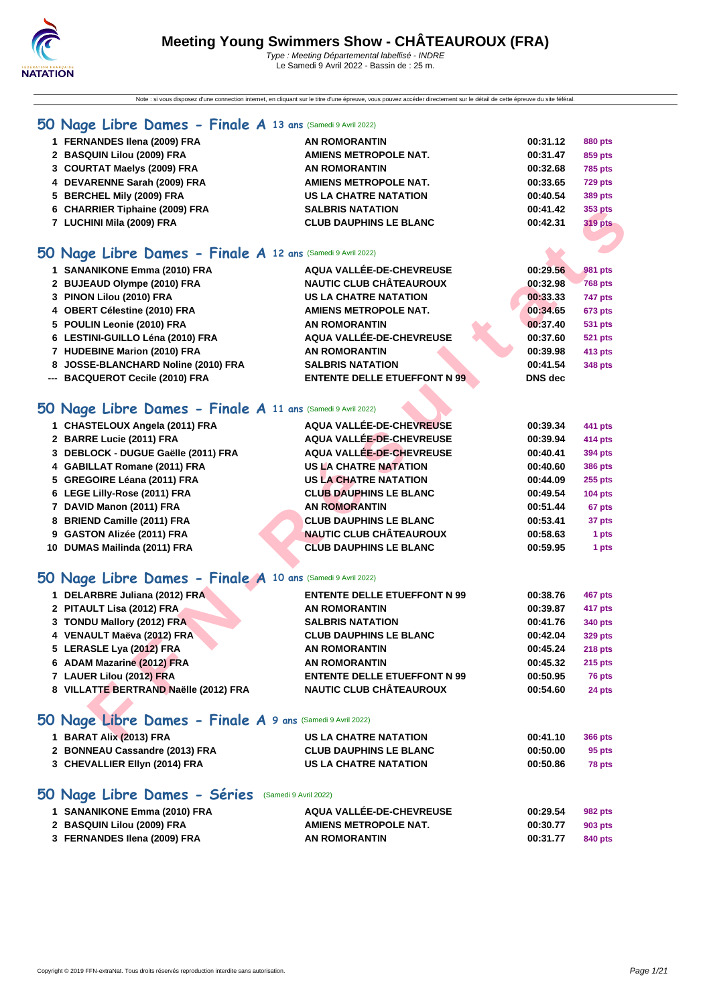Note : si vous disposez d'une connection internet, en cliquant sur le titre d'une épreuve, vous pouvez accéder directement sur le détail de cette épreuve du site féféral.

### **[50 Na](http://www.ffnatation.fr/webffn/index.php)ge Libre Dames - Finale A 13 ans** (Samedi 9 Avril 2022)

| 1 FERNANDES Ilena (2009) FRA                               | <b>AN ROMORANTIN</b>                                                                                           | 00:31.12 | 880 pts        |
|------------------------------------------------------------|----------------------------------------------------------------------------------------------------------------|----------|----------------|
|                                                            |                                                                                                                |          |                |
| 2 BASQUIN Lilou (2009) FRA                                 | <b>AMIENS METROPOLE NAT.</b>                                                                                   | 00:31.47 | 859 pts        |
| 3 COURTAT Maelys (2009) FRA                                | <b>AN ROMORANTIN</b>                                                                                           | 00:32.68 | <b>785 pts</b> |
| 4 DEVARENNE Sarah (2009) FRA                               | <b>AMIENS METROPOLE NAT.</b>                                                                                   | 00:33.65 | <b>729 pts</b> |
| 5 BERCHEL Mily (2009) FRA                                  | US LA CHATRE NATATION                                                                                          | 00:40.54 | 389 pts        |
| 6 CHARRIER Tiphaine (2009) FRA                             | <b>SALBRIS NATATION</b>                                                                                        | 00:41.42 | 353 pts        |
| 7 LUCHINI Mila (2009) FRA                                  | <b>CLUB DAUPHINS LE BLANC</b>                                                                                  | 00:42.31 | <b>319 pts</b> |
|                                                            |                                                                                                                |          |                |
| O Nage Libre Dames - Finale A 12 ans (Samedi 9 Avril 2022) |                                                                                                                |          |                |
|                                                            | and a series of the series of the series of the series of the series of the series of the series of the series |          |                |

### **50 Nage Libre Dames - Finale A 12 ans** (Samedi 9 Avril 2022)

| 1 SANANIKONE Emma (2010) FRA        | AQUA VALLÉE-DE-CHEVREUSE            | 00:29.56       | 981 pts        |
|-------------------------------------|-------------------------------------|----------------|----------------|
| 2 BUJEAUD Olympe (2010) FRA         | <b>NAUTIC CLUB CHÂTEAUROUX</b>      | 00:32.98       | <b>768 pts</b> |
| 3 PINON Lilou (2010) FRA            | <b>US LA CHATRE NATATION</b>        | 00:33.33       | 747 pts        |
| 4 OBERT Célestine (2010) FRA        | <b>AMIENS METROPOLE NAT.</b>        | 00:34.65       | <b>673 pts</b> |
| 5 POULIN Leonie (2010) FRA          | <b>AN ROMORANTIN</b>                | 00:37.40       | 531 pts        |
| 6 LESTINI-GUILLO Léna (2010) FRA    | AQUA VALLÉE-DE-CHEVREUSE            | 00:37.60       | <b>521 pts</b> |
| 7 HUDEBINE Marion (2010) FRA        | <b>AN ROMORANTIN</b>                | 00:39.98       | 413 pts        |
| 8 JOSSE-BLANCHARD Noline (2010) FRA | <b>SALBRIS NATATION</b>             | 00:41.54       | 348 pts        |
| --- BACQUEROT Cecile (2010) FRA     | <b>ENTENTE DELLE ETUEFFONT N 99</b> | <b>DNS</b> dec |                |

### **50 Nage Libre Dames - Finale A 11 ans** (Samedi 9 Avril 2022)

| 6 CHARRIER Tiphaine (2009) FRA                             | <b>SALBRIS NATATION</b>             | 00:41.42       | 353 pts        |
|------------------------------------------------------------|-------------------------------------|----------------|----------------|
| 7 LUCHINI Mila (2009) FRA                                  | <b>CLUB DAUPHINS LE BLANC</b>       | 00:42.31       | <b>319 pts</b> |
|                                                            |                                     |                |                |
| O Nage Libre Dames - Finale A 12 ans (Samedi 9 Avril 2022) |                                     |                |                |
| 1 SANANIKONE Emma (2010) FRA                               | AQUA VALLÉE-DE-CHEVREUSE            | 00:29.56       | <b>981 pts</b> |
| 2 BUJEAUD Olympe (2010) FRA                                | <b>NAUTIC CLUB CHÂTEAUROUX</b>      | 00:32.98       | <b>768 pts</b> |
| 3 PINON Lilou (2010) FRA                                   | <b>US LA CHATRE NATATION</b>        | 00:33.33       | 747 pts        |
| 4 OBERT Célestine (2010) FRA                               | <b>AMIENS METROPOLE NAT.</b>        | 00:34.65       | 673 pts        |
| 5 POULIN Leonie (2010) FRA                                 | <b>AN ROMORANTIN</b>                | 00:37.40       | <b>531 pts</b> |
| 6 LESTINI-GUILLO Léna (2010) FRA                           | <b>AQUA VALLÉE-DE-CHEVREUSE</b>     | 00:37.60       | <b>521 pts</b> |
| 7 HUDEBINE Marion (2010) FRA                               | <b>AN ROMORANTIN</b>                | 00:39.98       | 413 pts        |
| 8 JOSSE-BLANCHARD Noline (2010) FRA                        | <b>SALBRIS NATATION</b>             | 00:41.54       | <b>348 pts</b> |
| --- BACQUEROT Cecile (2010) FRA                            | <b>ENTENTE DELLE ETUEFFONT N 99</b> | <b>DNS</b> dec |                |
|                                                            |                                     |                |                |
| O Nage Libre Dames - Finale A 11 ans (Samedi 9 Avril 2022) |                                     |                |                |
| 1 CHASTELOUX Angela (2011) FRA                             | AQUA VALLÉE-DE-CHEVREUSE            | 00:39.34       | 441 pts        |
| 2 BARRE Lucie (2011) FRA                                   | <b>AQUA VALLÉE-DE-CHEVREUSE</b>     | 00:39.94       | <b>414 pts</b> |
| 3 DEBLOCK - DUGUE Gaëlle (2011) FRA                        | <b>AQUA VALLÉE-DE-CHEVREUSE</b>     | 00:40.41       | 394 pts        |
| 4 GABILLAT Romane (2011) FRA                               | <b>US LA CHATRE NATATION</b>        | 00:40.60       | <b>386 pts</b> |
| 5 GREGOIRE Léana (2011) FRA                                | <b>US LA CHATRE NATATION</b>        | 00:44.09       | <b>255 pts</b> |
| 6 LEGE Lilly-Rose (2011) FRA                               | <b>CLUB DAUPHINS LE BLANC</b>       | 00:49.54       | <b>104 pts</b> |
| 7 DAVID Manon (2011) FRA                                   | <b>AN ROMORANTIN</b>                | 00:51.44       | 67 pts         |
| 8 BRIEND Camille (2011) FRA                                | <b>CLUB DAUPHINS LE BLANC</b>       | 00:53.41       | 37 pts         |
| 9 GASTON Alizée (2011) FRA                                 | <b>NAUTIC CLUB CHÂTEAUROUX</b>      | 00:58.63       | 1 pts          |
| 10 DUMAS Mailinda (2011) FRA                               | <b>CLUB DAUPHINS LE BLANC</b>       | 00:59.95       | 1 pts          |
|                                                            |                                     |                |                |
| O Nage Libre Dames - Finale A 10 ans (Samedi 9 Avril 2022) |                                     |                |                |
| 1 DELARBRE Juliana (2012) FRA                              | <b>ENTENTE DELLE ETUEFFONT N 99</b> | 00:38.76       | 467 pts        |
| 2 PITAULT Lisa (2012) FRA                                  | <b>AN ROMORANTIN</b>                | 00:39.87       | 417 pts        |
| 3 TONDU Mallory (2012) FRA                                 | <b>SALBRIS NATATION</b>             | 00:41.76       | 340 pts        |
| 4 VENAULT Maëva (2012) FRA                                 | <b>CLUB DAUPHINS LE BLANC</b>       | 00:42.04       | <b>329 pts</b> |
| 5 LERASLE Lya (2012) FRA                                   | <b>AN ROMORANTIN</b>                | 00:45.24       | 218 pts        |
| 6 ADAM Mazarine (2012) FRA                                 | <b>AN ROMORANTIN</b>                | 00:45.32       | <b>215 pts</b> |
| 7 LAUER Lilou (2012) FRA                                   | <b>ENTENTE DELLE ETUEFFONT N 99</b> | 00:50.95       | 76 pts         |
| 8 VILLATTE BERTRAND Naëlle (2012) FRA                      | <b>NAUTIC CLUB CHÂTEAUROUX</b>      | 00:54.60       | 24 pts         |
|                                                            |                                     |                |                |
| O Nage Libre Dames - Finale A 9 ans (Samedi 9 Avril 2022)  |                                     |                |                |
| 1 BARAT Alix (2013) FRA                                    | <b>US LA CHATRE NATATION</b>        | 00:41.10       | 366 pts        |

### **50 Nage Libre Dames - Finale A 10 ans** (Samedi 9 Avril 2022)

| 1 DELARBRE Juliana (2012) FRA         | <b>ENTENTE DELLE ETUEFFONT N 99</b> | 00:38.76 | 467 pts        |
|---------------------------------------|-------------------------------------|----------|----------------|
| 2 PITAULT Lisa (2012) FRA             | <b>AN ROMORANTIN</b>                | 00:39.87 | 417 pts        |
| 3 TONDU Mallory (2012) FRA            | <b>SALBRIS NATATION</b>             | 00:41.76 | 340 pts        |
| 4 VENAULT Maëva (2012) FRA            | <b>CLUB DAUPHINS LE BLANC</b>       | 00:42.04 | 329 pts        |
| 5 LERASLE Lya (2012) FRA              | <b>AN ROMORANTIN</b>                | 00:45.24 | <b>218 pts</b> |
| 6 ADAM Mazarine (2012) FRA            | <b>AN ROMORANTIN</b>                | 00:45.32 | $215$ pts      |
| 7 LAUER Lilou (2012) FRA              | <b>ENTENTE DELLE ETUEFFONT N 99</b> | 00:50.95 | 76 pts         |
| 8 VILLATTE BERTRAND Naëlle (2012) FRA | <b>NAUTIC CLUB CHÂTEAUROUX</b>      | 00:54.60 | 24 pts         |
|                                       |                                     |          |                |

## **50 Nage Libre Dames - Finale A 9 ans** (Samedi 9 Avril 2022)

| US LA CHATRE NATATION         | 00:41.10 | 366 pts |
|-------------------------------|----------|---------|
| <b>CLUB DAUPHINS LE BLANC</b> | 00:50.00 | 95 pts  |
| US LA CHATRE NATATION         | 00:50.86 | 78 pts  |
|                               |          |         |

### **50 Nage Libre Dames - Séries** (Samedi 9 Avril 2022)

| 1 SANANIKONE Emma (2010) FRA | AQUA VALLÉE-DE-CHEVREUSE | 00:29.54 | 982 pts |
|------------------------------|--------------------------|----------|---------|
| 2 BASQUIN Lilou (2009) FRA   | AMIENS METROPOLE NAT.    | 00:30.77 | 903 pts |
| 3 FERNANDES Ilena (2009) FRA | AN ROMORANTIN            | 00:31.77 | 840 pts |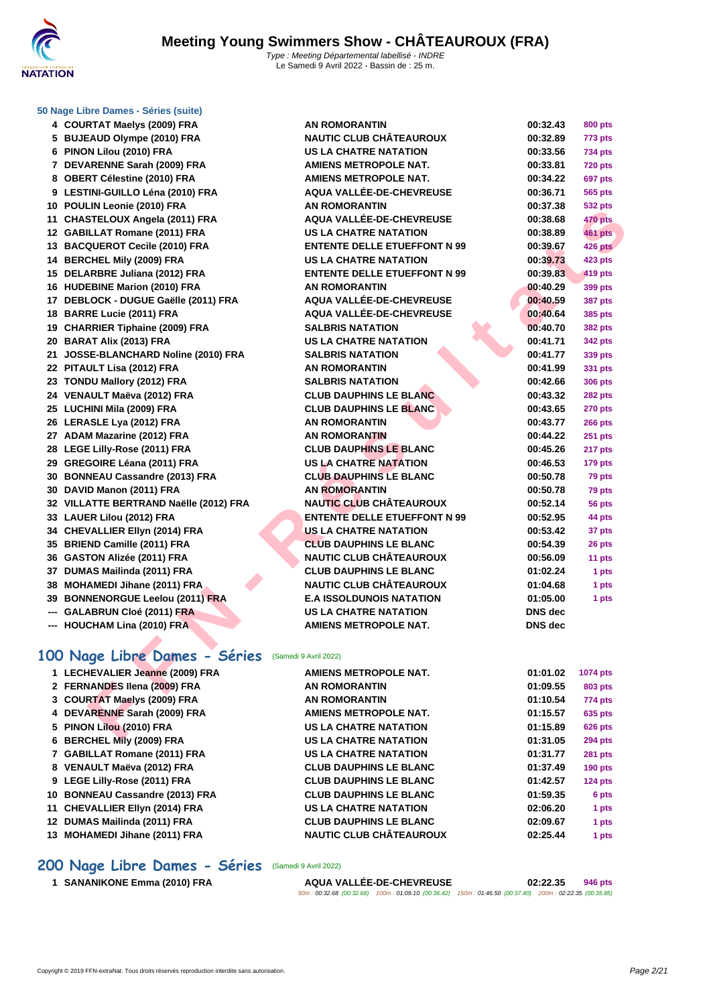

#### **[50 Nage L](http://www.ffnatation.fr/webffn/index.php)ibre Dames - Séries (suite)**

| 5 BUJEAUD Olympe (2010) FRA            | <b>NAUTIC CLUB CHÂTEAUROUX</b>      | 00:32.89       |
|----------------------------------------|-------------------------------------|----------------|
| 6 PINON Lilou (2010) FRA               | <b>US LA CHATRE NATATION</b>        | 00:33.56       |
| 7 DEVARENNE Sarah (2009) FRA           | <b>AMIENS METROPOLE NAT.</b>        | 00:33.81       |
| 8 OBERT Célestine (2010) FRA           | <b>AMIENS METROPOLE NAT.</b>        | 00:34.22       |
| 9 LESTINI-GUILLO Léna (2010) FRA       | AQUA VALLÉE-DE-CHEVREUSE            | 00:36.71       |
| 10 POULIN Leonie (2010) FRA            | <b>AN ROMORANTIN</b>                | 00:37.38       |
| 11 CHASTELOUX Angela (2011) FRA        | AQUA VALLÉE-DE-CHEVREUSE            | 00:38.68       |
| 12 GABILLAT Romane (2011) FRA          | <b>US LA CHATRE NATATION</b>        | 00:38.89       |
| 13 BACQUEROT Cecile (2010) FRA         | <b>ENTENTE DELLE ETUEFFONT N 99</b> | 00:39.67       |
| 14 BERCHEL Mily (2009) FRA             | <b>US LA CHATRE NATATION</b>        | 00:39.73       |
| 15 DELARBRE Juliana (2012) FRA         | <b>ENTENTE DELLE ETUEFFONT N 99</b> | 00:39.83       |
| 16 HUDEBINE Marion (2010) FRA          | <b>AN ROMORANTIN</b>                | 00:40.29       |
| 17 DEBLOCK - DUGUE Gaëlle (2011) FRA   | AQUA VALLÉE-DE-CHEVREUSE            | 00:40.59       |
| 18 BARRE Lucie (2011) FRA              | AQUA VALLÉE-DE-CHEVREUSE            | 00:40.64       |
| 19 CHARRIER Tiphaine (2009) FRA        | <b>SALBRIS NATATION</b>             | 00:40.70       |
| 20 BARAT Alix (2013) FRA               | <b>US LA CHATRE NATATION</b>        | 00:41.71       |
| 21 JOSSE-BLANCHARD Noline (2010) FRA   | <b>SALBRIS NATATION</b>             | 00:41.77       |
| 22 PITAULT Lisa (2012) FRA             | <b>AN ROMORANTIN</b>                | 00:41.99       |
| 23 TONDU Mallory (2012) FRA            | <b>SALBRIS NATATION</b>             | 00:42.66       |
| 24 VENAULT Maëva (2012) FRA            | <b>CLUB DAUPHINS LE BLANC</b>       | 00:43.32       |
| 25 LUCHINI Mila (2009) FRA             | <b>CLUB DAUPHINS LE BLANC</b>       | 00:43.65       |
| 26 LERASLE Lya (2012) FRA              | <b>AN ROMORANTIN</b>                | 00:43.77       |
| 27 ADAM Mazarine (2012) FRA            | <b>AN ROMORANTIN</b>                | 00:44.22       |
| 28 LEGE Lilly-Rose (2011) FRA          | <b>CLUB DAUPHINS LE BLANC</b>       | 00:45.26       |
| 29 GREGOIRE Léana (2011) FRA           | <b>US LA CHATRE NATATION</b>        | 00:46.53       |
| 30 BONNEAU Cassandre (2013) FRA        | <b>CLUB DAUPHINS LE BLANC</b>       | 00:50.78       |
| 30 DAVID Manon (2011) FRA              | <b>AN ROMORANTIN</b>                | 00:50.78       |
| 32 VILLATTE BERTRAND Naëlle (2012) FRA | <b>NAUTIC CLUB CHÂTEAUROUX</b>      | 00:52.14       |
| 33 LAUER Lilou (2012) FRA              | <b>ENTENTE DELLE ETUEFFONT N 99</b> | 00:52.95       |
| 34 CHEVALLIER Ellyn (2014) FRA         | <b>US LA CHATRE NATATION</b>        | 00:53.42       |
| 35 BRIEND Camille (2011) FRA           | <b>CLUB DAUPHINS LE BLANC</b>       | 00:54.39       |
| 36 GASTON Alizée (2011) FRA            | <b>NAUTIC CLUB CHÂTEAUROUX</b>      | 00:56.09       |
| 37 DUMAS Mailinda (2011) FRA           | <b>CLUB DAUPHINS LE BLANC</b>       | 01:02.24       |
| 38 MOHAMEDI Jihane (2011) FRA          | <b>NAUTIC CLUB CHÂTEAUROUX</b>      | 01:04.68       |
| 39 BONNENORGUE Leelou (2011) FRA       | <b>E.A ISSOLDUNOIS NATATION</b>     | 01:05.00       |
| --- GALABRUN Cloé (2011) FRA           | <b>US LA CHATRE NATATION</b>        | <b>DNS</b> dec |
| --- HOUCHAM Lina (2010) FRA            | <b>AMIENS METROPOLE NAT.</b>        | <b>DNS</b> dec |
|                                        |                                     |                |

| 4 COURTAT Maelys (2009) FRA            | <b>AN ROMORANTIN</b>                | 00:32.43       | <b>800 pts</b>  |
|----------------------------------------|-------------------------------------|----------------|-----------------|
| 5 BUJEAUD Olympe (2010) FRA            | <b>NAUTIC CLUB CHÂTEAUROUX</b>      | 00:32.89       | <b>773 pts</b>  |
| 6 PINON Lilou (2010) FRA               | <b>US LA CHATRE NATATION</b>        | 00:33.56       | <b>734 pts</b>  |
| 7 DEVARENNE Sarah (2009) FRA           | <b>AMIENS METROPOLE NAT.</b>        | 00:33.81       | <b>720 pts</b>  |
| 8 OBERT Célestine (2010) FRA           | <b>AMIENS METROPOLE NAT.</b>        | 00:34.22       | <b>697 pts</b>  |
| 9 LESTINI-GUILLO Léna (2010) FRA       | AQUA VALLÉE-DE-CHEVREUSE            | 00:36.71       | 565 pts         |
| 10 POULIN Leonie (2010) FRA            | <b>AN ROMORANTIN</b>                | 00:37.38       | <b>532 pts</b>  |
| 11 CHASTELOUX Angela (2011) FRA        | AQUA VALLÉE-DE-CHEVREUSE            | 00:38.68       | <b>470 pts</b>  |
| 12 GABILLAT Romane (2011) FRA          | <b>US LA CHATRE NATATION</b>        | 00:38.89       | <b>461 pts</b>  |
| 13 BACQUEROT Cecile (2010) FRA         | <b>ENTENTE DELLE ETUEFFONT N 99</b> | 00:39.67       | 426 pts         |
| 14 BERCHEL Mily (2009) FRA             | <b>US LA CHATRE NATATION</b>        | 00:39.73       | <b>423 pts</b>  |
| 15 DELARBRE Juliana (2012) FRA         | <b>ENTENTE DELLE ETUEFFONT N 99</b> | 00:39.83       | <b>419 pts</b>  |
| 16 HUDEBINE Marion (2010) FRA          | <b>AN ROMORANTIN</b>                | 00:40.29       | 399 pts         |
| 17 DEBLOCK - DUGUE Gaëlle (2011) FRA   | AQUA VALLÉE-DE-CHEVREUSE            | 00:40.59       | <b>387 pts</b>  |
| 18 BARRE Lucie (2011) FRA              | AQUA VALLÉE-DE-CHEVREUSE            | 00:40.64       | 385 pts         |
| 19 CHARRIER Tiphaine (2009) FRA        | <b>SALBRIS NATATION</b>             | 00:40.70       | <b>382 pts</b>  |
| 20 BARAT Alix (2013) FRA               | <b>US LA CHATRE NATATION</b>        | 00:41.71       | 342 pts         |
| 21 JOSSE-BLANCHARD Noline (2010) FRA   | <b>SALBRIS NATATION</b>             | 00:41.77       | 339 pts         |
| 22 PITAULT Lisa (2012) FRA             | <b>AN ROMORANTIN</b>                | 00:41.99       | 331 pts         |
| 23 TONDU Mallory (2012) FRA            | <b>SALBRIS NATATION</b>             | 00:42.66       | <b>306 pts</b>  |
| 24 VENAULT Maëva (2012) FRA            | <b>CLUB DAUPHINS LE BLANC</b>       | 00:43.32       | <b>282 pts</b>  |
| 25 LUCHINI Mila (2009) FRA             | <b>CLUB DAUPHINS LE BLANC</b>       | 00:43.65       | <b>270 pts</b>  |
| 26 LERASLE Lya (2012) FRA              | <b>AN ROMORANTIN</b>                | 00:43.77       | <b>266 pts</b>  |
| 27 ADAM Mazarine (2012) FRA            | <b>AN ROMORANTIN</b>                | 00:44.22       | <b>251 pts</b>  |
| 28 LEGE Lilly-Rose (2011) FRA          | <b>CLUB DAUPHINS LE BLANC</b>       | 00:45.26       | 217 pts         |
| 29 GREGOIRE Léana (2011) FRA           | <b>US LA CHATRE NATATION</b>        | 00:46.53       | <b>179 pts</b>  |
| 30 BONNEAU Cassandre (2013) FRA        | <b>CLUB DAUPHINS LE BLANC</b>       | 00:50.78       | 79 pts          |
| 30 DAVID Manon (2011) FRA              | <b>AN ROMORANTIN</b>                | 00:50.78       | 79 pts          |
| 32 VILLATTE BERTRAND Naëlle (2012) FRA | <b>NAUTIC CLUB CHÂTEAUROUX</b>      | 00:52.14       | 56 pts          |
| 33 LAUER Lilou (2012) FRA              | <b>ENTENTE DELLE ETUEFFONT N 99</b> | 00:52.95       | 44 pts          |
| 34 CHEVALLIER Ellyn (2014) FRA         | <b>US LA CHATRE NATATION</b>        | 00:53.42       | 37 pts          |
| 35 BRIEND Camille (2011) FRA           | <b>CLUB DAUPHINS LE BLANC</b>       | 00:54.39       | 26 pts          |
| 36 GASTON Alizée (2011) FRA            | <b>NAUTIC CLUB CHÂTEAUROUX</b>      | 00:56.09       | 11 pts          |
| 37 DUMAS Mailinda (2011) FRA           | <b>CLUB DAUPHINS LE BLANC</b>       | 01:02.24       | 1 pts           |
| 38 MOHAMEDI Jihane (2011) FRA          | <b>NAUTIC CLUB CHÂTEAUROUX</b>      | 01:04.68       | 1 pts           |
| 39 BONNENORGUE Leelou (2011) FRA       | <b>E.A ISSOLDUNOIS NATATION</b>     | 01:05.00       | 1 pts           |
| --- GALABRUN Cloé (2011) FRA           | <b>US LA CHATRE NATATION</b>        | <b>DNS</b> dec |                 |
| --- HOUCHAM Lina (2010) FRA            | <b>AMIENS METROPOLE NAT.</b>        | <b>DNS</b> dec |                 |
|                                        |                                     |                |                 |
| 00 Nage Libre Dames - Séries           | (Samedi 9 Avril 2022)               |                |                 |
| 1 LECHEVALIER Jeanne (2009) FRA        | AMIENS METROPOLE NAT.               | 01:01.02       | <b>1074 pts</b> |
| 2 FERNANDES Ilena (2009) FRA           | <b>AN ROMORANTIN</b>                | 01:09.55       | 803 pts         |
| 3 COURTAT Maelys (2009) FRA            | <b>AN ROMORANTIN</b>                | 01:10.54       | 774 pts         |
| 4 DEVARENNE Sarah (2009) FRA           | <b>AMIENS METROPOLE NAT.</b>        | 01:15.57       | 635 pts         |
| 5 PINON Lilou (2010) FRA               | <b>US LA CHATRE NATATION</b>        | 01:15.89       | <b>626 pts</b>  |
| C. BEBOUEL MILL (0000) EBA             | <b>HOLLA OUATRE MATATION</b>        | 04.24.05       | 0.04            |

## **100 Nage Libre Dames - Séries** (Samedi 9 Avril 2022)

| 1 LECHEVALIER Jeanne (2009) FRA | AMIENS METROPOLE NAT.          | 01:01.02 | 1074 pts       |
|---------------------------------|--------------------------------|----------|----------------|
| 2 FERNANDES Ilena (2009) FRA    | <b>AN ROMORANTIN</b>           | 01:09.55 | <b>803 pts</b> |
| 3 COURTAT Maelys (2009) FRA     | <b>AN ROMORANTIN</b>           | 01:10.54 | 774 pts        |
| 4 DEVARENNE Sarah (2009) FRA    | <b>AMIENS METROPOLE NAT.</b>   | 01:15.57 | 635 pts        |
| 5 PINON Lilou (2010) FRA        | <b>US LA CHATRE NATATION</b>   | 01:15.89 | <b>626 pts</b> |
| 6 BERCHEL MIIy (2009) FRA       | <b>US LA CHATRE NATATION</b>   | 01:31.05 | <b>294 pts</b> |
| 7 GABILLAT Romane (2011) FRA    | <b>US LA CHATRE NATATION</b>   | 01:31.77 | <b>281 pts</b> |
| 8 VENAULT Maëva (2012) FRA      | <b>CLUB DAUPHINS LE BLANC</b>  | 01:37.49 | 190 pts        |
| 9 LEGE Lilly-Rose (2011) FRA    | <b>CLUB DAUPHINS LE BLANC</b>  | 01:42.57 | $124$ pts      |
| 10 BONNEAU Cassandre (2013) FRA | <b>CLUB DAUPHINS LE BLANC</b>  | 01:59.35 | 6 pts          |
| 11 CHEVALLIER Ellyn (2014) FRA  | <b>US LA CHATRE NATATION</b>   | 02:06.20 | 1 pts          |
| 12 DUMAS Mailinda (2011) FRA    | <b>CLUB DAUPHINS LE BLANC</b>  | 02:09.67 | 1 pts          |
| 13 MOHAMEDI Jihane (2011) FRA   | <b>NAUTIC CLUB CHÂTEAUROUX</b> | 02:25.44 | 1 pts          |
|                                 |                                |          |                |

### **200 Nage Libre Dames - Séries** (Samedi 9 Avril 2022)

 **SANANIKONE Emma (2010) FRA AQUA VALLÉE-DE-CHEVREUSE 02:22.35 946 pts** 50m : 00:32.68 (00:32.68) 100m : 01:09.10 (00:36.42) 150m : 01:46.50 (00:37.40) 200m : 02:22.35 (00:35.85)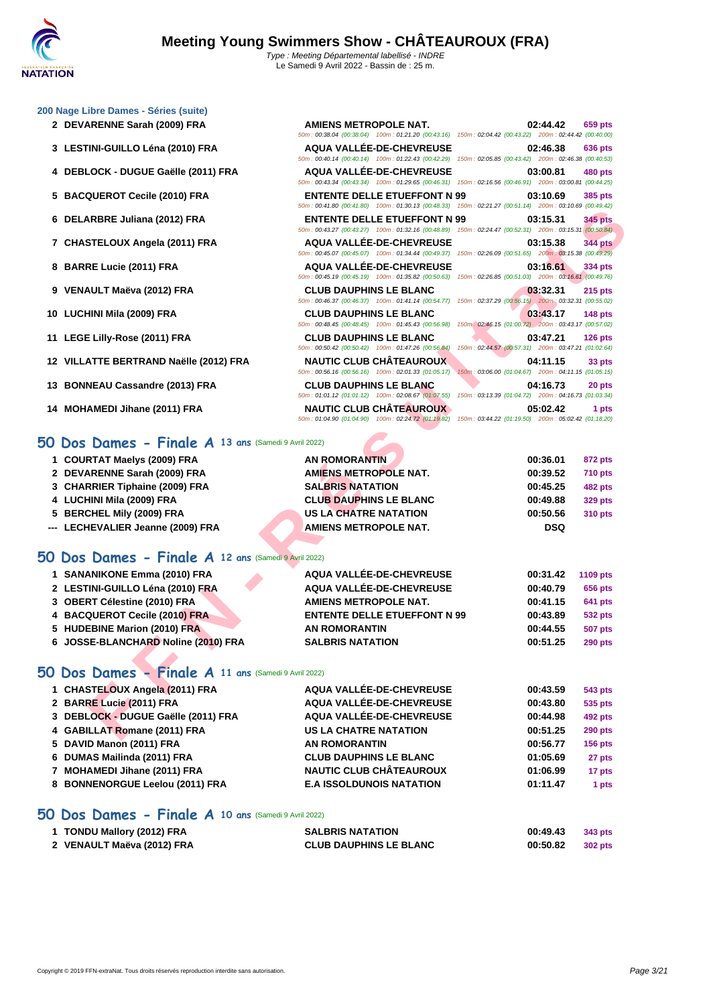50m : 00:38.04 (00:38.04) 100m : 01:21.20 (00:43.16) 150m : 02:04.42 (00:43.22) 200m : 02:44.42 (00:40.00)

50m : 00:40.14 (00:40.14) 100m : 01:22.43 (00:42.29) 150m : 02:05.85 (00:43.42) 200m : 02:46.38 (00:40.53)

50m : 00:43.34 (00:43.34) 100m : 01:29.65 (00:46.31) 150m : 02:16.56 (00:46.91) 200m : 03:00.81 (00:44.25)

50m : 00:41.80 (00:41.80) 100m : 01:30.13 (00:48.33) 150m : 02:21.27 (00:51.14) 200m : 03:10.69 (00:49.42)

#### **[200 Nage](http://www.ffnatation.fr/webffn/index.php) Libre Dames - Séries (suite)**

- **DEVARENNE Sarah (2009) FRA AMIENS METROPOLE NAT. 02:44.42 659 pts**
- **LESTINI-GUILLO Léna (2010) FRA AQUA VALLÉE-DE-CHEVREUSE 02:46.38 636 pts**
- **DEBLOCK DUGUE Gaëlle (2011) FRA AQUA VALLÉE-DE-CHEVREUSE 03:00.81 480 pts**
- **BACQUEROT Cecile (2010) FRA ENTENTE DELLE ETUEFFONT N 99 03:10.69 385 pts**
- **DELARBRE Juliana (2012) FRA ENTENTE DELLE ETUEFFONT N 99 03:15.31 345 pts**
- **CHASTELOUX Angela (2011) FRA AQUA VALLÉE-DE-CHEVREUSE 03:15.38 344 pts**
- **BARRE Lucie (2011) FRA AQUA VALLÉE-DE-CHEVREUSE 03:16.61 334 pts**
- **VENAULT Maëva (2012) FRA CLUB DAUPHINS LE BLANC 03:32.31 215 pts**
- **LUCHINI Mila (2009) FRA CLUB DAUPHINS LE BLANC 03:43.17 148 pts**
- **LEGE Lilly-Rose (2011) FRA CLUB DAUPHINS LE BLANC 03:47.21 126 pts**
- **VILLATTE BERTRAND Naëlle (2012) FRA NAUTIC CLUB CHÂTEAUROUX 100m : 02:01.33 16:00** (01:05.17) **150m** : 03:06.00 (01:04.67) 200m : 04:11.15 (01:05.15)
- **BONNEAU Cassandre (2013) FRA CLUB DAUPHINS LE BLANC 04:16.73 20 pts**
- **MOHAMEDI Jihane (2011) FRA NAUTIC CLUB CHÂTEAUROUX 05:02.42 1 pts**

### **50 Dos Dames - Finale A 13 ans** (Samedi 9 Avril 2022)

- **COURTAT Maelys (2009) FRA AN ROMORANTIN 00:36.01 872 pts**
- **DEVARENNE Sarah (2009) FRA AMIENS METROPOLE NAT. 00:39.52 710 pts**
- **CHARRIER Tiphaine (2009) FRA SALBRIS NATATION 00:45.25 482 pts**
- **LUCHINI Mila (2009) FRA CLUB DAUPHINS LE BLANC 00:49.88 329 pts**
- **BERCHEL Mily (2009) FRA US LA CHATRE NATATION 00:50.56 310 pts**
- **--- LECHEVALIER Jeanne (2009) FRA AMIENS METROPOLE NAT. DSQ**

### **50 Dos Dames - Finale A 12 ans** (Samedi 9 Avril 2022)

|                                                     | JUINT. UU. TI.OU (UU. TI.OU) NUUMI. UT.JU.TJ (UU. TU.JJ)                                                                                      | 100111.02.21.21.00.01.14                                        |                |
|-----------------------------------------------------|-----------------------------------------------------------------------------------------------------------------------------------------------|-----------------------------------------------------------------|----------------|
| 6 DELARBRE Juliana (2012) FRA                       | <b>ENTENTE DELLE ETUEFFONT N 99</b><br>50m: 00:43.27 (00:43.27) 100m: 01:32.16 (00:48.89) 150m: 02:24.47 (00:52.31) 200m: 03:15.31 (00:50.84) | 03:15.31                                                        | <b>345 pts</b> |
| 7 CHASTELOUX Angela (2011) FRA                      | <b>AQUA VALLÉE-DE-CHEVREUSE</b><br>50m: 00:45.07 (00:45.07) 100m: 01:34.44 (00:49.37) 150m: 02:26.09 (00:51.65) 200m: 03:15.38 (00:49.29)     | 03:15.38                                                        | <b>344 pts</b> |
| 8 BARRE Lucie (2011) FRA                            | <b>AQUA VALLÉE-DE-CHEVREUSE</b><br>50m: 00:45.19 (00:45.19) 100m: 01:35.82 (00:50.63)                                                         | 03:16.61<br>150m: 02:26.85 (00:51.03) 200m: 03:16.61 (00:49.76) | 334 pts        |
| 9 VENAULT Maëva (2012) FRA                          | <b>CLUB DAUPHINS LE BLANC</b><br>50m: 00:46.37 (00:46.37) 100m: 01:41.14 (00:54.77)                                                           | 03:32.31<br>150m: 02:37.29 (00:56.15) 200m: 03:32.31 (00:55.02) | <b>215 pts</b> |
| 10 LUCHINI Mila (2009) FRA                          | <b>CLUB DAUPHINS LE BLANC</b><br>50m: 00:48.45 (00:48.45) 100m: 01:45.43 (00:56.98)                                                           | 03:43.17<br>150m: 02:46.15 (01:00.72) 200m: 03:43.17 (00:57.02) | 148 pts        |
| 11 LEGE Lilly-Rose (2011) FRA                       | <b>CLUB DAUPHINS LE BLANC</b><br>50m: 00:50.42 (00:50.42) 100m: 01:47.26 (00:56.84)                                                           | 03:47.21<br>150m: 02:44.57 (00:57.31) 200m: 03:47.21 (01:02.64) | 126 pts        |
| 12 VILLATTE BERTRAND Naëlle (2012) FRA              | <b>NAUTIC CLUB CHÂTEAUROUX</b><br>50m: 00:56.16 (00:56.16) 100m: 02:01.33 (01:05.17)                                                          | 04:11.15<br>150m: 03:06.00 (01:04.67) 200m: 04:11.15 (01:05.15) | 33 pts         |
| 13 BONNEAU Cassandre (2013) FRA                     | <b>CLUB DAUPHINS LE BLANC</b><br>50m: 01:01.12 (01:01.12) 100m: 02:08.67 (01:07.55)                                                           | 04:16.73<br>150m: 03:13.39 (01:04.72) 200m: 04:16.73 (01:03.34) | 20 pts         |
| 14 MOHAMEDI Jihane (2011) FRA                       | <b>NAUTIC CLUB CHÂTEAUROUX</b><br>50m: 01:04.90 (01:04.90) 100m: 02:24.72 (01:19.82) 150m: 03:44.22 (01:19.50) 200m: 05:02.42 (01:18.20)      | 05:02.42                                                        | 1 pts          |
| O Dos Dames - Finale A 13 ans (Samedi 9 Avril 2022) |                                                                                                                                               |                                                                 |                |
| 1 COURTAT Maelys (2009) FRA                         | <b>AN ROMORANTIN</b>                                                                                                                          | 00:36.01                                                        | <b>872 pts</b> |
| 2 DEVARENNE Sarah (2009) FRA                        | <b>AMIENS METROPOLE NAT.</b>                                                                                                                  | 00:39.52                                                        | <b>710 pts</b> |
| 3 CHARRIER Tiphaine (2009) FRA                      | <b>SALBRIS NATATION</b>                                                                                                                       | 00:45.25                                                        | <b>482 pts</b> |
| 4 LUCHINI Mila (2009) FRA                           | <b>CLUB DAUPHINS LE BLANC</b>                                                                                                                 | 00:49.88                                                        | <b>329 pts</b> |
| 5 BERCHEL Mily (2009) FRA                           | <b>US LA CHATRE NATATION</b>                                                                                                                  | 00:50.56                                                        | <b>310 pts</b> |
| --- LECHEVALIER Jeanne (2009) FRA                   | <b>AMIENS METROPOLE NAT.</b>                                                                                                                  | <b>DSQ</b>                                                      |                |
| O Dos Dames - Finale A 12 ans (Samedi 9 Avril 2022) |                                                                                                                                               |                                                                 |                |
| 1 SANANIKONE Emma (2010) FRA                        | AQUA VALLÉE-DE-CHEVREUSE                                                                                                                      | 00:31.42                                                        | 1109 pts       |
| 2 LESTINI-GUILLO Léna (2010) FRA                    | AQUA VALLÉE-DE-CHEVREUSE                                                                                                                      | 00:40.79                                                        | <b>656 pts</b> |
| 3 OBERT Célestine (2010) FRA                        | <b>AMIENS METROPOLE NAT.</b>                                                                                                                  | 00:41.15                                                        | <b>641 pts</b> |
| 4 BACQUEROT Cecile (2010) FRA                       | <b>ENTENTE DELLE ETUEFFONT N 99</b>                                                                                                           | 00:43.89                                                        | <b>532 pts</b> |
| 5 HUDEBINE Marion (2010) FRA                        | <b>AN ROMORANTIN</b>                                                                                                                          | 00:44.55                                                        | <b>507 pts</b> |
| 6 JOSSE-BLANCHARD Noline (2010) FRA                 | <b>SALBRIS NATATION</b>                                                                                                                       | 00:51.25                                                        | <b>290 pts</b> |
| O Dos Dames - Finale A 11 ans (Samedi 9 Avril 2022) |                                                                                                                                               |                                                                 |                |
| 1 CHASTELOUX Angela (2011) FRA                      | AQUA VALLÉE-DE-CHEVREUSE                                                                                                                      | 00:43.59                                                        | 543 pts        |
| 2 BARRE Lucie (2011) FRA                            | AQUA VALLÉE-DE-CHEVREUSE                                                                                                                      | 00:43.80                                                        | 535 pts        |
| 3 DEBLOCK - DUGUE Gaëlle (2011) FRA                 | AQUA VALLÉE-DE-CHEVREUSE                                                                                                                      | 00:44.98                                                        | 492 pts        |
| 4 GABILLAT Romane (2011) FRA                        | <b>US LA CHATRE NATATION</b>                                                                                                                  | 00:51.25                                                        | <b>290 pts</b> |
|                                                     |                                                                                                                                               |                                                                 |                |

#### **50 Dos Dames - Finale A 11 ans** (Samedi 9 Avril 2022)

| 1 CHASTELOUX Angela (2011) FRA      | AQUA VALLÉE-DE-CHEVREUSE        | 00:43.59 | 543 pts        |
|-------------------------------------|---------------------------------|----------|----------------|
| 2 BARRE Lucie (2011) FRA            | AQUA VALLÉE-DE-CHEVREUSE        | 00:43.80 | 535 pts        |
| 3 DEBLOCK - DUGUE Gaëlle (2011) FRA | AQUA VALLÉE-DE-CHEVREUSE        | 00:44.98 | <b>492 pts</b> |
| 4 GABILLAT Romane (2011) FRA        | <b>US LA CHATRE NATATION</b>    | 00:51.25 | <b>290 pts</b> |
| 5 DAVID Manon (2011) FRA            | <b>AN ROMORANTIN</b>            | 00:56.77 | <b>156 pts</b> |
| 6 DUMAS Mailinda (2011) FRA         | <b>CLUB DAUPHINS LE BLANC</b>   | 01:05.69 | 27 pts         |
| 7 MOHAMEDI Jihane (2011) FRA        | <b>NAUTIC CLUB CHÂTEAUROUX</b>  | 01:06.99 | 17 pts         |
| 8 BONNENORGUE Leelou (2011) FRA     | <b>E.A ISSOLDUNOIS NATATION</b> | 01:11.47 | 1 pts          |
|                                     |                                 |          |                |

#### **50 Dos Dames - Finale A 10 ans** (Samedi 9 Avril 2022)

| 1 TONDU Mallory (2012) FRA | <b>SALBRIS NATATION</b>       | 00:49.43 | 343 pts |
|----------------------------|-------------------------------|----------|---------|
| 2 VENAULT Maëva (2012) FRA | <b>CLUB DAUPHINS LE BLANC</b> | 00:50.82 | 302 pts |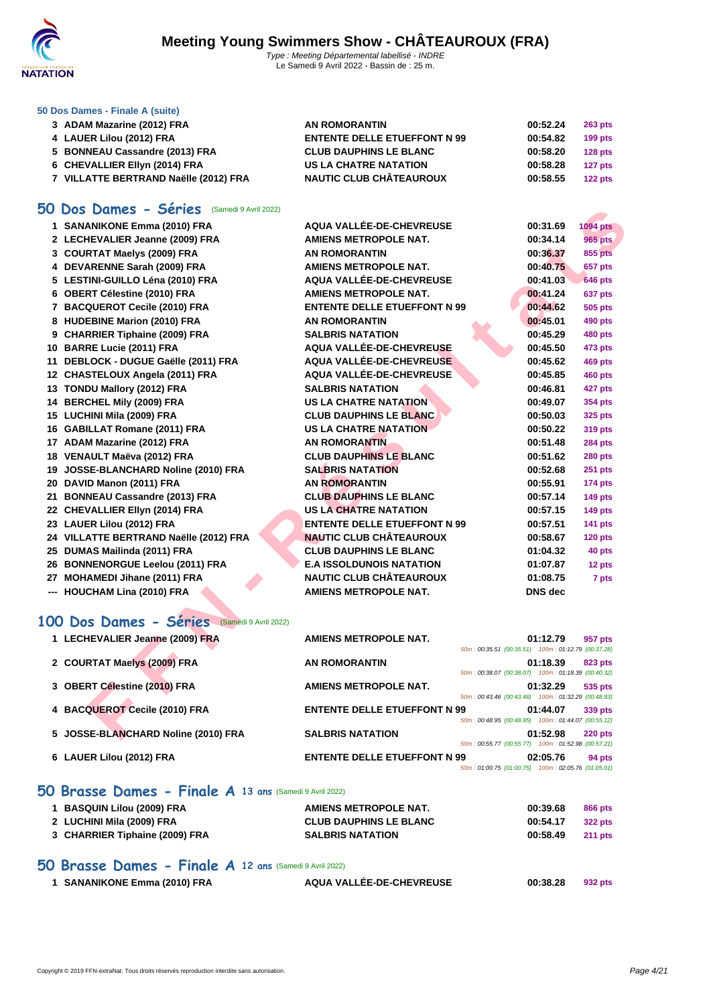

#### **[50 Dos D](http://www.ffnatation.fr/webffn/index.php)ames - Finale A (suite)**

| 3 ADAM Mazarine (2012) FRA            | AN ROMORANTIN                       | 00:52.24 | <b>263 pts</b> |
|---------------------------------------|-------------------------------------|----------|----------------|
| 4 LAUER Lilou (2012) FRA              | <b>ENTENTE DELLE ETUEFFONT N 99</b> | 00:54.82 | $199$ pts      |
| 5 BONNEAU Cassandre (2013) FRA        | <b>CLUB DAUPHINS LE BLANC</b>       | 00:58.20 | $128$ pts      |
| 6 CHEVALLIER Ellyn (2014) FRA         | US LA CHATRE NATATION               | 00:58.28 | $127$ pts      |
| 7 VILLATTE BERTRAND Naëlle (2012) FRA | <b>NAUTIC CLUB CHÂTEAUROUX</b>      | 00:58.55 | $122$ pts      |

### **50 Dos Dames - Séries** (Samedi 9 Avril 2022)

| <b>DOS Dames - Series</b> (Samedi 9 Avril 2022) |                                                                                           |          |                 |
|-------------------------------------------------|-------------------------------------------------------------------------------------------|----------|-----------------|
| 1 SANANIKONE Emma (2010) FRA                    | AQUA VALLÉE-DE-CHEVREUSE                                                                  | 00:31.69 | <b>1094 pts</b> |
| 2 LECHEVALIER Jeanne (2009) FRA                 | <b>AMIENS METROPOLE NAT.</b>                                                              | 00:34.14 | <b>965 pts</b>  |
| 3 COURTAT Maelys (2009) FRA                     | <b>AN ROMORANTIN</b>                                                                      | 00:36.37 | 855 pts         |
| 4 DEVARENNE Sarah (2009) FRA                    | <b>AMIENS METROPOLE NAT.</b>                                                              | 00:40.75 | 657 pts         |
| 5 LESTINI-GUILLO Léna (2010) FRA                | AQUA VALLÉE-DE-CHEVREUSE                                                                  | 00:41.03 | <b>646 pts</b>  |
| 6 OBERT Célestine (2010) FRA                    | <b>AMIENS METROPOLE NAT.</b>                                                              | 00:41.24 | 637 pts         |
| 7 BACQUEROT Cecile (2010) FRA                   | <b>ENTENTE DELLE ETUEFFONT N 99</b>                                                       | 00:44.62 | <b>505 pts</b>  |
| 8 HUDEBINE Marion (2010) FRA                    | <b>AN ROMORANTIN</b>                                                                      | 00:45.01 | 490 pts         |
| 9 CHARRIER Tiphaine (2009) FRA                  | <b>SALBRIS NATATION</b>                                                                   | 00:45.29 | 480 pts         |
| 10 BARRE Lucie (2011) FRA                       | AQUA VALLÉE-DE-CHEVREUSE                                                                  | 00:45.50 | 473 pts         |
| 11 DEBLOCK - DUGUE Gaëlle (2011) FRA            | AQUA VALLÉE-DE-CHEVREUSE                                                                  | 00:45.62 | 469 pts         |
| 12 CHASTELOUX Angela (2011) FRA                 | AQUA VALLÉE-DE-CHEVREUSE                                                                  | 00:45.85 | <b>460 pts</b>  |
| 13 TONDU Mallory (2012) FRA                     | <b>SALBRIS NATATION</b>                                                                   | 00:46.81 | 427 pts         |
| 14 BERCHEL Mily (2009) FRA                      | <b>US LA CHATRE NATATION</b>                                                              | 00:49.07 | 354 pts         |
| 15 LUCHINI Mila (2009) FRA                      | <b>CLUB DAUPHINS LE BLANC</b>                                                             | 00:50.03 | <b>325 pts</b>  |
| 16 GABILLAT Romane (2011) FRA                   | US LA CHATRE NATATION                                                                     | 00:50.22 | 319 pts         |
| 17 ADAM Mazarine (2012) FRA                     | <b>AN ROMORANTIN</b>                                                                      | 00:51.48 | <b>284 pts</b>  |
| 18 VENAULT Maëva (2012) FRA                     | <b>CLUB DAUPHINS LE BLANC</b>                                                             | 00:51.62 | <b>280 pts</b>  |
| 19 JOSSE-BLANCHARD Noline (2010) FRA            | <b>SALBRIS NATATION</b>                                                                   | 00:52.68 | <b>251 pts</b>  |
| 20 DAVID Manon (2011) FRA                       | <b>AN ROMORANTIN</b>                                                                      | 00:55.91 | <b>174 pts</b>  |
| 21 BONNEAU Cassandre (2013) FRA                 | <b>CLUB DAUPHINS LE BLANC</b>                                                             | 00:57.14 | <b>149 pts</b>  |
| 22 CHEVALLIER Ellyn (2014) FRA                  | <b>US LA CHATRE NATATION</b>                                                              | 00:57.15 | <b>149 pts</b>  |
| 23 LAUER Lilou (2012) FRA                       | <b>ENTENTE DELLE ETUEFFONT N 99</b>                                                       | 00:57.51 | 141 pts         |
| 24 VILLATTE BERTRAND Naëlle (2012) FRA          | <b>NAUTIC CLUB CHÂTEAUROUX</b>                                                            | 00:58.67 | <b>120 pts</b>  |
| 25 DUMAS Mailinda (2011) FRA                    | <b>CLUB DAUPHINS LE BLANC</b>                                                             | 01:04.32 | 40 pts          |
| 26 BONNENORGUE Leelou (2011) FRA                | <b>E.A ISSOLDUNOIS NATATION</b>                                                           | 01:07.87 | 12 pts          |
| 27 MOHAMEDI Jihane (2011) FRA                   | <b>NAUTIC CLUB CHÂTEAUROUX</b>                                                            | 01:08.75 | 7 pts           |
| --- HOUCHAM Lina (2010) FRA                     | AMIENS METROPOLE NAT.                                                                     | DNS dec  |                 |
|                                                 |                                                                                           |          |                 |
| 00 Dos Dames - Séries (Samedi 9 Avril 2022)     |                                                                                           |          |                 |
| 1 LECHEVALIER Jeanne (2009) FRA                 | AMIENS METROPOLE NAT.<br>50m: 00:35.51 (00:35.51) 100m: 01:12.79 (00:37.28)               | 01:12.79 | 957 pts         |
| 2 COURTAT Maelys (2009) FRA                     | AN ROMORANTIN                                                                             | 01:18.39 | 823 pts         |
|                                                 | 50m: 00:38.07 (00:38.07) 100m: 01:18.39 (00:40.32)                                        |          |                 |
| 3 OBERT Célestine (2010) FRA                    | <b>AMIENS METROPOLE NAT.</b>                                                              | 01:32.29 | 535 pts         |
|                                                 | 50m: 00:43.46 (00:43.46) 100m: 01:32.29 (00:48.83)                                        |          |                 |
| 4 BACQUEROT Cecile (2010) FRA                   | <b>ENTENTE DELLE ETUEFFONT N 99</b><br>50m: 00:48.95 (00:48.95) 100m: 01:44.07 (00:55.12) | 01:44.07 | 339 pts         |
| 5 JOSSE-BLANCHARD Noline (2010) FRA             | <b>SALBRIS NATATION</b>                                                                   | 01:52.98 | <b>220 pts</b>  |
|                                                 |                                                                                           |          |                 |

## **100 Dos Dames - Séries** (Samedi 9 Avril 2022)

| 1 LECHEVALIER Jeanne (2009) FRA     | AMIENS METROPOLE NAT.               | 01:12.79<br>957 pts<br>50m: 00:35.51 (00:35.51) 100m: 01:12.79 (00:37.28)        |
|-------------------------------------|-------------------------------------|----------------------------------------------------------------------------------|
| 2 COURTAT Maelys (2009) FRA         | <b>AN ROMORANTIN</b>                | 01:18.39<br>823 pts<br>50m: 00:38.07 (00:38.07) 100m: 01:18.39 (00:40.32)        |
| 3 OBERT Célestine (2010) FRA        | <b>AMIENS METROPOLE NAT.</b>        | 01:32.29<br>535 pts<br>50m: 00:43.46 (00:43.46) 100m: 01:32.29 (00:48.83)        |
| 4 BACQUEROT Cecile (2010) FRA       | <b>ENTENTE DELLE ETUEFFONT N 99</b> | 01:44.07<br>339 pts<br>50m: 00:48.95 (00:48.95) 100m: 01:44.07 (00:55.12)        |
| 5 JOSSE-BLANCHARD Noline (2010) FRA | <b>SALBRIS NATATION</b>             | 01:52.98<br><b>220 pts</b><br>50m: 00:55.77 (00:55.77) 100m: 01:52.98 (00:57.21) |
| 6 LAUER Lilou (2012) FRA            | <b>ENTENTE DELLE ETUEFFONT N 99</b> | 02:05.76<br>94 pts<br>50m: 01:00.75 (01:00.75) 100m: 02:05.76 (01:05.01)         |

### **50 Brasse Dames - Finale A 13 ans** (Samedi 9 Avril 2022)

| 1 BASQUIN Lilou (2009) FRA                              | AMIENS METROPOLE NAT.         | 00:39.68 | <b>866 pts</b> |
|---------------------------------------------------------|-------------------------------|----------|----------------|
| 2 LUCHINI Mila (2009) FRA                               | <b>CLUB DAUPHINS LE BLANC</b> | 00:54.17 | 322 pts        |
| 3 CHARRIER Tiphaine (2009) FRA                          | <b>SALBRIS NATATION</b>       | 00:58.49 | <b>211 pts</b> |
| 50 Brasse Dames - Finale A 12 ans (Samedi 9 Avril 2022) |                               |          |                |

|  | 1 SANANIKONE Emma (2010) FRA | AQUA VALLÉE-DE-CHEVREUSE | 00:38.28 | 932 pts |
|--|------------------------------|--------------------------|----------|---------|
|--|------------------------------|--------------------------|----------|---------|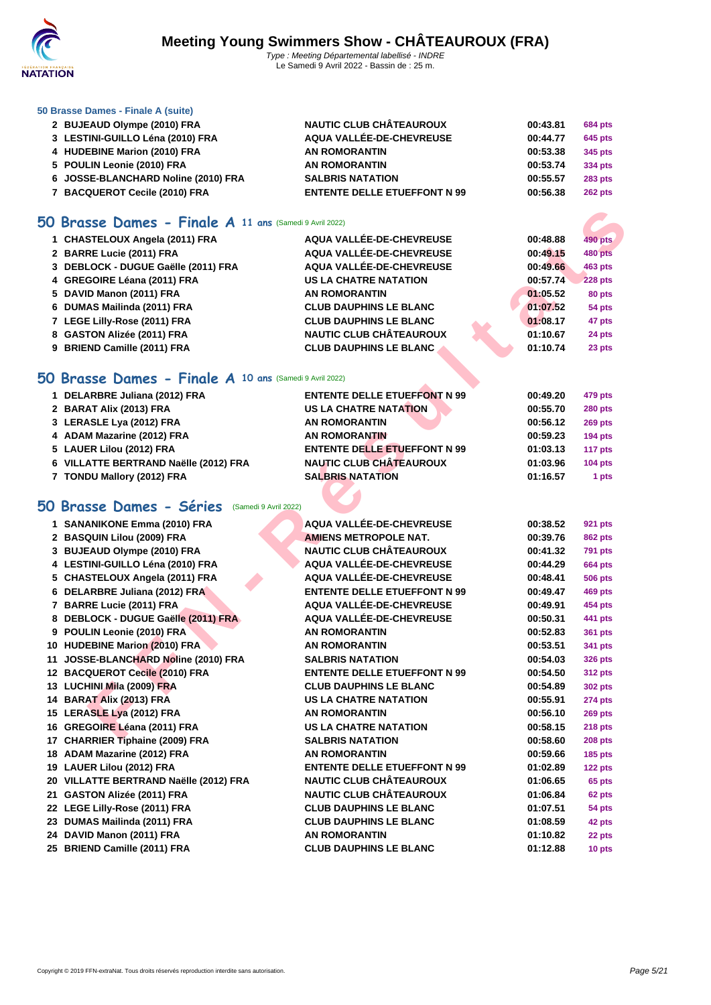

#### **[50 Brasse](http://www.ffnatation.fr/webffn/index.php) Dames - Finale A (suite)**

 **BUJEAUD Olympe (2010) FRA NAUTIC CLUB CHÂTEAUROUX 00:43.81 684 pts LESTINI-GUILLO Léna (2010) FRA AQUA VALLÉE-DE-CHEVREUSE 00:44.77 645 pts HUDEBINE Marion (2010) FRA AN ROMORANTIN 00:53.38 345 pts POULIN Leonie (2010) FRA AN ROMORANTIN 00:53.74 334 pts JOSSE-BLANCHARD Noline (2010) FRA SALBRIS NATATION 00:55.57 283 pts BACQUEROT Cecile (2010) FRA ENTENTE DELLE ETUEFFONT N 99 00:56.38 262 pts**

### **50 Brasse Dames - Finale A 11 ans** (Samedi 9 Avril 2022)

| 1 CHASTELOUX Angela (2011) FRA      | AQUA VALLÉE-DE-CHEVREUSE       | 00:48.88 | 490 pts        |
|-------------------------------------|--------------------------------|----------|----------------|
| 2 BARRE Lucie (2011) FRA            | AQUA VALLÉE-DE-CHEVREUSE       | 00:49.15 | <b>480 pts</b> |
| 3 DEBLOCK - DUGUE Gaëlle (2011) FRA | AQUA VALLÉE-DE-CHEVREUSE       | 00:49.66 | 463 pts        |
| 4 GREGOIRE Léana (2011) FRA         | <b>US LA CHATRE NATATION</b>   | 00:57.74 | <b>228 pts</b> |
| 5 DAVID Manon (2011) FRA            | <b>AN ROMORANTIN</b>           | 01:05.52 | 80 pts         |
| 6 DUMAS Mailinda (2011) FRA         | <b>CLUB DAUPHINS LE BLANC</b>  | 01:07.52 | 54 pts         |
| 7 LEGE Lilly-Rose (2011) FRA        | <b>CLUB DAUPHINS LE BLANC</b>  | 01:08.17 | 47 pts         |
| 8 GASTON Alizée (2011) FRA          | <b>NAUTIC CLUB CHÂTEAUROUX</b> | 01:10.67 | 24 pts         |
| 9 BRIEND Camille (2011) FRA         | <b>CLUB DAUPHINS LE BLANC</b>  | 01:10.74 | 23 pts         |

### **50 Brasse Dames - Finale A 10 ans** (Samedi 9 Avril 2022)

| 1 DELARBRE Juliana (2012) FRA         | <b>ENTENTE DELLE ETUEFFONT N 99</b> | 00:49.20 | 479 pts        |
|---------------------------------------|-------------------------------------|----------|----------------|
| 2 BARAT Alix (2013) FRA               | <b>US LA CHATRE NATATION</b>        | 00:55.70 | <b>280 pts</b> |
| 3 LERASLE Lya (2012) FRA              | <b>AN ROMORANTIN</b>                | 00:56.12 | <b>269 pts</b> |
| 4 ADAM Mazarine (2012) FRA            | <b>AN ROMORANTIN</b>                | 00:59.23 | <b>194 pts</b> |
| 5 LAUER Lilou (2012) FRA              | <b>ENTENTE DELLE ETUEFFONT N 99</b> | 01:03.13 | 117 pts        |
| 6 VILLATTE BERTRAND Naëlle (2012) FRA | <b>NAUTIC CLUB CHÂTEAUROUX</b>      | 01:03.96 | $104$ pts      |
| 7 TONDU Mallory (2012) FRA            | <b>SALBRIS NATATION</b>             | 01:16.57 | 1 pts          |

## **50 Brasse Dames - Séries** (Samedi 9 Avril 2022)

| <b>10 Brasse Dames - Finale A 11 ans (Samedi 9 Avril 2022)</b> |                                     |                            |
|----------------------------------------------------------------|-------------------------------------|----------------------------|
| 1 CHASTELOUX Angela (2011) FRA                                 | <b>AQUA VALLÉE-DE-CHEVREUSE</b>     | 00:48.88<br><b>490 pts</b> |
| 2 BARRE Lucie (2011) FRA                                       | <b>AQUA VALLÉE-DE-CHEVREUSE</b>     | 480 pts<br>00:49.15        |
| 3 DEBLOCK - DUGUE Gaëlle (2011) FRA                            | <b>AQUA VALLÉE-DE-CHEVREUSE</b>     | 00:49.66<br>463 pts        |
| 4 GREGOIRE Léana (2011) FRA                                    | <b>US LA CHATRE NATATION</b>        | 00:57.74<br><b>228 pts</b> |
| 5 DAVID Manon (2011) FRA                                       | <b>AN ROMORANTIN</b>                | 01:05.52<br>80 pts         |
| 6 DUMAS Mailinda (2011) FRA                                    | <b>CLUB DAUPHINS LE BLANC</b>       | 01:07.52<br>54 pts         |
| 7 LEGE Lilly-Rose (2011) FRA                                   | <b>CLUB DAUPHINS LE BLANC</b>       | 01:08.17<br>47 pts         |
| 8 GASTON Alizée (2011) FRA                                     | <b>NAUTIC CLUB CHÂTEAUROUX</b>      | 01:10.67<br>24 pts         |
| 9 BRIEND Camille (2011) FRA                                    | <b>CLUB DAUPHINS LE BLANC</b>       | 01:10.74<br>23 pts         |
| <b>10 Brasse Dames - Finale A 10 ans (Samedi 9 Avril 2022)</b> |                                     |                            |
|                                                                |                                     |                            |
| 1 DELARBRE Juliana (2012) FRA                                  | <b>ENTENTE DELLE ETUEFFONT N 99</b> | 00:49.20<br>479 pts        |
| 2 BARAT Alix (2013) FRA                                        | <b>US LA CHATRE NATATION</b>        | 00:55.70<br>280 pts        |
| 3 LERASLE Lya (2012) FRA                                       | <b>AN ROMORANTIN</b>                | 00:56.12<br><b>269 pts</b> |
| 4 ADAM Mazarine (2012) FRA                                     | <b>AN ROMORANTIN</b>                | 00:59.23<br>$194$ pts      |
| 5 LAUER Lilou (2012) FRA                                       | <b>ENTENTE DELLE ETUEFFONT N 99</b> | 01:03.13<br>117 pts        |
| 6 VILLATTE BERTRAND Naëlle (2012) FRA                          | <b>NAUTIC CLUB CHÂTEAUROUX</b>      | 01:03.96<br><b>104 pts</b> |
| 7 TONDU Mallory (2012) FRA                                     | <b>SALBRIS NATATION</b>             | 01:16.57<br>1 pts          |
| <b>10 Brasse Dames - Séries</b> (Samedi 9 Avril 2022)          |                                     |                            |
| 1 SANANIKONE Emma (2010) FRA                                   | <b>AQUA VALLÉE-DE-CHEVREUSE</b>     | 00:38.52<br><b>921 pts</b> |
| 2 BASQUIN Lilou (2009) FRA                                     | <b>AMIENS METROPOLE NAT.</b>        | 00:39.76<br>862 pts        |
| 3 BUJEAUD Olympe (2010) FRA                                    | NAUTIC CLUB CHÂTEAUROUX             | 00:41.32<br><b>791 pts</b> |
| 4 LESTINI-GUILLO Léna (2010) FRA                               | <b>AQUA VALLÉE-DE-CHEVREUSE</b>     | 00:44.29<br><b>664 pts</b> |
| 5 CHASTELOUX Angela (2011) FRA                                 | <b>AQUA VALLÉE-DE-CHEVREUSE</b>     | 00:48.41<br>506 pts        |
| 6 DELARBRE Juliana (2012) FRA                                  | <b>ENTENTE DELLE ETUEFFONT N 99</b> | 00:49.47<br><b>469 pts</b> |
| 7 BARRE Lucie (2011) FRA                                       | <b>AQUA VALLÉE-DE-CHEVREUSE</b>     | 00:49.91<br>454 pts        |
| 8 DEBLOCK - DUGUE Gaëlle (2011) FRA                            | <b>AQUA VALLÉE-DE-CHEVREUSE</b>     | <b>441 pts</b><br>00:50.31 |
| 9 POULIN Leonie (2010) FRA                                     | <b>AN ROMORANTIN</b>                | 00:52.83<br><b>361 pts</b> |
| 10 HUDEBINE Marion (2010) FRA                                  | <b>AN ROMORANTIN</b>                | 00:53.51<br>341 pts        |
| 11 JOSSE-BLANCHARD Noline (2010) FRA                           | <b>SALBRIS NATATION</b>             | 00:54.03                   |
| 12 BACQUEROT Cecile (2010) FRA                                 | <b>ENTENTE DELLE ETUEFFONT N 99</b> | <b>326 pts</b><br>00:54.50 |
|                                                                | <b>CLUB DAUPHINS LE BLANC</b>       | <b>312 pts</b>             |
| 13 LUCHINI Mila (2009) FRA                                     | <b>US LA CHATRE NATATION</b>        | 00:54.89<br><b>302 pts</b> |
| 14 BARAT Alix (2013) FRA                                       | <b>AN ROMORANTIN</b>                | 00:55.91<br>274 pts        |
| 15 LERASLE Lya (2012) FRA                                      |                                     | 00:56.10<br>269 pts        |
| 16 GREGOIRE Léana (2011) FRA                                   | <b>US LA CHATRE NATATION</b>        | 00:58.15<br>218 pts        |
| 17 CHARRIER Tiphaine (2009) FRA                                | <b>SALBRIS NATATION</b>             | 00:58.60<br>208 pts        |
| 18 ADAM Mazarine (2012) FRA                                    | <b>AN ROMORANTIN</b>                | 00:59.66<br><b>185 pts</b> |
| 19 LAUER Lilou (2012) FRA                                      | <b>ENTENTE DELLE ETUEFFONT N 99</b> | 01:02.89<br>$122$ pts      |
| 20 VILLATTE BERTRAND Naëlle (2012) FRA                         | <b>NAUTIC CLUB CHÂTEAUROUX</b>      | 01:06.65<br>65 pts         |
| 21 GASTON Alizée (2011) FRA                                    | <b>NAUTIC CLUB CHÂTEAUROUX</b>      | 01:06.84<br>62 pts         |
| 22 LEGE Lilly-Rose (2011) FRA                                  | <b>CLUB DAUPHINS LE BLANC</b>       | 01:07.51<br>54 pts         |
| 23 DUMAS Mailinda (2011) FRA                                   | <b>CLUB DAUPHINS LE BLANC</b>       | 01:08.59<br>42 pts         |
| 24 DAVID Manon (2011) FRA                                      | <b>AN ROMORANTIN</b>                | 01:10.82<br>22 pts         |
| 25 BRIEND Camille (2011) FRA                                   | <b>CLUB DAUPHINS LE BLANC</b>       | 01:12.88<br>10 pts         |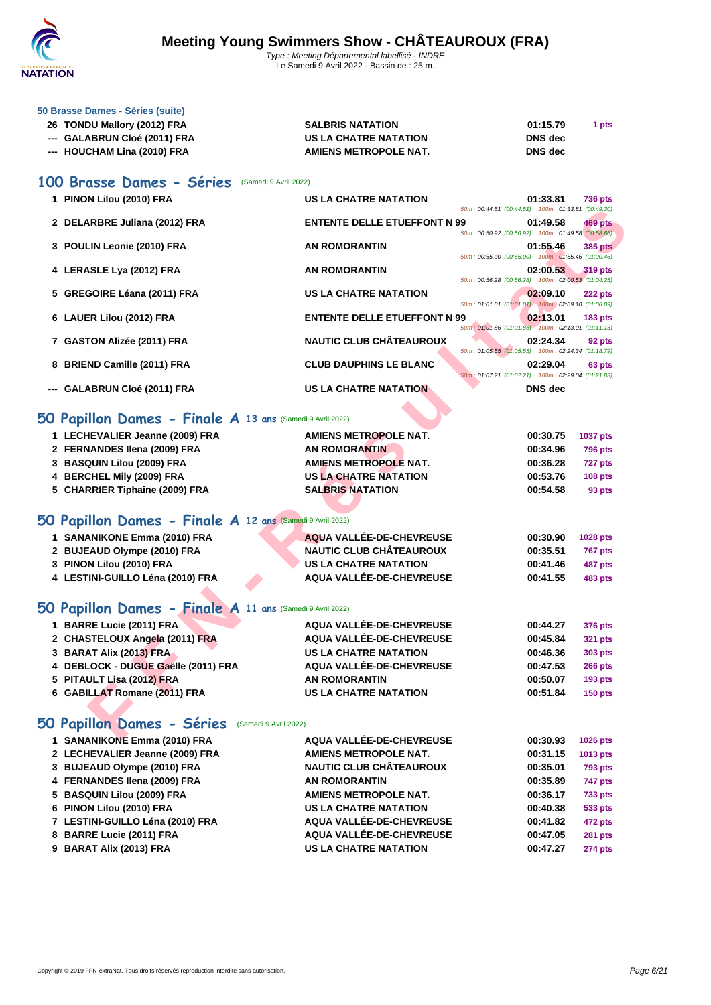

| 50 Brasse Dames - Séries (suite) |  |  |
|----------------------------------|--|--|
|----------------------------------|--|--|

| 26 TONDU Mallory (2012) FRA  | <b>SALBRIS NATATION</b> | 01:15.79       | 1 pts |
|------------------------------|-------------------------|----------------|-------|
| --- GALABRUN Cloé (2011) FRA | US LA CHATRE NATATION   | DNS dec        |       |
| --- HOUCHAM Lina (2010) FRA  | AMIENS METROPOLE NAT.   | <b>DNS</b> dec |       |

### **100 Brasse Dames - Séries** (Samedi 9 Avril 2022)

| 1 PINON Lilou (2010) FRA                                  | <b>US LA CHATRE NATATION</b>        | 01:33.81<br>50m: 00:44.51 (00:44.51) 100m: 01:33.81 (00:49.30)       | <b>736 pts</b>  |
|-----------------------------------------------------------|-------------------------------------|----------------------------------------------------------------------|-----------------|
| 2 DELARBRE Juliana (2012) FRA                             | <b>ENTENTE DELLE ETUEFFONT N 99</b> | 01:49.58                                                             | 469 pts         |
|                                                           |                                     | 50m: 00:50.92 (00:50.92) 100m: 01:49.58 (00:58.66)                   |                 |
| 3 POULIN Leonie (2010) FRA                                | <b>AN ROMORANTIN</b>                | 01:55.46<br>50m : 00:55.00 (00:55.00) 100m : 01:55.46 (01:00.46)     | <b>385 pts</b>  |
| 4 LERASLE Lya (2012) FRA                                  | <b>AN ROMORANTIN</b>                | 02:00.53                                                             | <b>319 pts</b>  |
|                                                           |                                     | 50m: 00:56.28 (00:56.28) 100m: 02:00.53 (01:04.25)                   |                 |
| 5 GREGOIRE Léana (2011) FRA                               | <b>US LA CHATRE NATATION</b>        | 02:09.10<br>50m: 01:01.01 (01:01.01) 100m: 02:09.10 (01:08.09)       | 222 pts         |
| 6 LAUER Lilou (2012) FRA                                  | <b>ENTENTE DELLE ETUEFFONT N 99</b> | 02:13.01                                                             | <b>183 pts</b>  |
|                                                           | <b>NAUTIC CLUB CHÂTEAUROUX</b>      | 50m: 01:01.86 (01:01.86) 100m: 02:13.01 (01:11.15)                   |                 |
| 7 GASTON Alizée (2011) FRA                                |                                     | 02:24.34<br>50m: 01:05.55 (01:05.55) 100m: 02:24.34 (01:18.79)       | 92 pts          |
| 8 BRIEND Camille (2011) FRA                               | <b>CLUB DAUPHINS LE BLANC</b>       | 02:29.04                                                             | 63 pts          |
| --- GALABRUN Cloé (2011) FRA                              | <b>US LA CHATRE NATATION</b>        | 50m: 01:07.21 (01:07.21) 100m: 02:29.04 (01:21.83)<br><b>DNS</b> dec |                 |
|                                                           |                                     |                                                                      |                 |
| O Papillon Dames - Finale A 13 ans (Samedi 9 Avril 2022)  |                                     |                                                                      |                 |
| 1 LECHEVALIER Jeanne (2009) FRA                           | <b>AMIENS METROPOLE NAT.</b>        | 00:30.75                                                             | 1037 pts        |
| 2 FERNANDES Ilena (2009) FRA                              | <b>AN ROMORANTIN</b>                | 00:34.96                                                             | <b>796 pts</b>  |
| 3 BASQUIN Lilou (2009) FRA                                | <b>AMIENS METROPOLE NAT.</b>        | 00:36.28                                                             | 727 pts         |
| 4 BERCHEL Mily (2009) FRA                                 | <b>US LA CHATRE NATATION</b>        | 00:53.76                                                             | 108 pts         |
| 5 CHARRIER Tiphaine (2009) FRA                            | <b>SALBRIS NATATION</b>             | 00:54.58                                                             | 93 pts          |
|                                                           |                                     |                                                                      |                 |
| O Papillon Dames - Finale A 12 ans (Samedi 9 Avril 2022)  |                                     |                                                                      |                 |
| 1 SANANIKONE Emma (2010) FRA                              | AQUA VALLÉE-DE-CHEVREUSE            | 00:30.90                                                             | 1028 pts        |
| 2 BUJEAUD Olympe (2010) FRA                               | <b>NAUTIC CLUB CHÂTEAUROUX</b>      | 00:35.51                                                             | <b>767 pts</b>  |
| 3 PINON Lilou (2010) FRA                                  | <b>US LA CHATRE NATATION</b>        | 00:41.46                                                             | <b>487 pts</b>  |
| 4 LESTINI-GUILLO Léna (2010) FRA                          | AQUA VALLÉE-DE-CHEVREUSE            | 00:41.55                                                             | <b>483 pts</b>  |
|                                                           |                                     |                                                                      |                 |
| O Papillon Dames - Finale A 11 ans (Samedi 9 Avril 2022)  |                                     |                                                                      |                 |
| 1 BARRE Lucie (2011) FRA                                  | AQUA VALLÉE-DE-CHEVREUSE            | 00:44.27                                                             | <b>376 pts</b>  |
| 2 CHASTELOUX Angela (2011) FRA                            | AQUA VALLÉE-DE-CHEVREUSE            | 00:45.84                                                             | <b>321 pts</b>  |
| 3 BARAT Alix (2013) FRA                                   | <b>US LA CHATRE NATATION</b>        | 00:46.36                                                             | 303 pts         |
| 4 DEBLOCK - DUGUE Gaëlle (2011) FRA                       | AQUA VALLÉE-DE-CHEVREUSE            | 00:47.53                                                             | 266 pts         |
| 5 PITAULT Lisa (2012) FRA                                 | <b>AN ROMORANTIN</b>                | 00:50.07                                                             | <b>193 pts</b>  |
| 6 GABILLAT Romane (2011) FRA                              | <b>US LA CHATRE NATATION</b>        | 00:51.84                                                             | <b>150 pts</b>  |
|                                                           |                                     |                                                                      |                 |
| <b>O Papillon Dames - Séries</b><br>(Samedi 9 Avril 2022) |                                     |                                                                      |                 |
| $\overline{A}$ CANANIIZONE Emma (0040) EDA                | AOUA VALLÉE DE OUEVOEUGE            | 0.0000                                                               | $\overline{AB}$ |

### **50 Papillon Dames - Finale A 13 ans** (Samedi 9 Avril 2022)

| 1 LECHEVALIER Jeanne (2009) FRA                           | <b>AMIENS METROPOLE NAT.</b> | 00:30.75 | <b>1037 pts</b> |
|-----------------------------------------------------------|------------------------------|----------|-----------------|
| 2 FERNANDES Ilena (2009) FRA                              | <b>AN ROMORANTIN</b>         | 00:34.96 | <b>796 pts</b>  |
| 3 BASQUIN Lilou (2009) FRA                                | <b>AMIENS METROPOLE NAT.</b> | 00:36.28 | <b>727 pts</b>  |
| 4 BERCHEL Mily (2009) FRA                                 | <b>US LA CHATRE NATATION</b> | 00:53.76 | <b>108 pts</b>  |
| 5 CHARRIER Tiphaine (2009) FRA                            | <b>SALBRIS NATATION</b>      | 00:54.58 | 93 pts          |
| 50 Papillon Dames - Finale A 12 ans (Samedi 9 Avril 2022) |                              |          |                 |
| 1 SANANIKONE Emma (2010) FRA                              | AQUA VALLÉE-DE-CHEVREUSE     | 00:30.90 | <b>1028 pts</b> |
| 2 BUJEAUD Olympe (2010) FRA                               | NAUTIC CLUB CHÂTEAUROUX      | 00:35.51 | <b>767 pts</b>  |
| 3 PINON Lilou (2010) FRA                                  | <b>US LA CHATRE NATATION</b> | 00:41.46 | <b>487 pts</b>  |
| 4 LESTINI-GUILLO Léna (2010) FRA                          | AQUA VALLÉE-DE-CHEVREUSE     | 00:41.55 | <b>483 pts</b>  |

## **50 Papillon Dames - Finale A 11 ans** (Samedi 9 Avril 2022)

| 1 BARRE Lucie (2011) FRA            | AQUA VALLÉE-DE-CHEVREUSE     | 00:44.27 | 376 pts        |
|-------------------------------------|------------------------------|----------|----------------|
| 2 CHASTELOUX Angela (2011) FRA      | AQUA VALLÉE-DE-CHEVREUSE     | 00:45.84 | 321 pts        |
| 3 BARAT Alix (2013) FRA             | <b>US LA CHATRE NATATION</b> | 00:46.36 | 303 pts        |
| 4 DEBLOCK - DUGUE Gaëlle (2011) FRA | AQUA VALLÉE-DE-CHEVREUSE     | 00:47.53 | <b>266 pts</b> |
| 5 PITAULT Lisa (2012) FRA           | <b>AN ROMORANTIN</b>         | 00:50.07 | <b>193 pts</b> |
| 6 GABILLAT Romane (2011) FRA        | <b>US LA CHATRE NATATION</b> | 00:51.84 | <b>150 pts</b> |

## **50 Papillon Dames - Séries** (Samedi 9 Avril 2022)

| AQUA VALLÉE-DE-CHEVREUSE                                                                                                                                                                                                                                                            | 00:30.93 | 1026 pts       |
|-------------------------------------------------------------------------------------------------------------------------------------------------------------------------------------------------------------------------------------------------------------------------------------|----------|----------------|
| <b>AMIENS METROPOLE NAT.</b>                                                                                                                                                                                                                                                        | 00:31.15 | 1013 pts       |
| <b>NAUTIC CLUB CHÂTEAUROUX</b>                                                                                                                                                                                                                                                      | 00:35.01 | <b>793 pts</b> |
| <b>AN ROMORANTIN</b>                                                                                                                                                                                                                                                                | 00:35.89 | 747 pts        |
| <b>AMIENS METROPOLE NAT.</b>                                                                                                                                                                                                                                                        | 00:36.17 | <b>733 pts</b> |
| <b>US LA CHATRE NATATION</b>                                                                                                                                                                                                                                                        | 00:40.38 | 533 pts        |
| AQUA VALLÉE-DE-CHEVREUSE                                                                                                                                                                                                                                                            | 00:41.82 | <b>472 pts</b> |
| AQUA VALLÉE-DE-CHEVREUSE                                                                                                                                                                                                                                                            | 00:47.05 | <b>281 pts</b> |
| <b>US LA CHATRE NATATION</b>                                                                                                                                                                                                                                                        | 00:47.27 | <b>274 pts</b> |
| 1 SANANIKONE Emma (2010) FRA<br>2 LECHEVALIER Jeanne (2009) FRA<br>3 BUJEAUD Olympe (2010) FRA<br>4 FERNANDES Ilena (2009) FRA<br>5 BASQUIN Lilou (2009) FRA<br>6 PINON Lilou (2010) FRA<br>7 LESTINI-GUILLO Léna (2010) FRA<br>8 BARRE Lucie (2011) FRA<br>9 BARAT Alix (2013) FRA |          |                |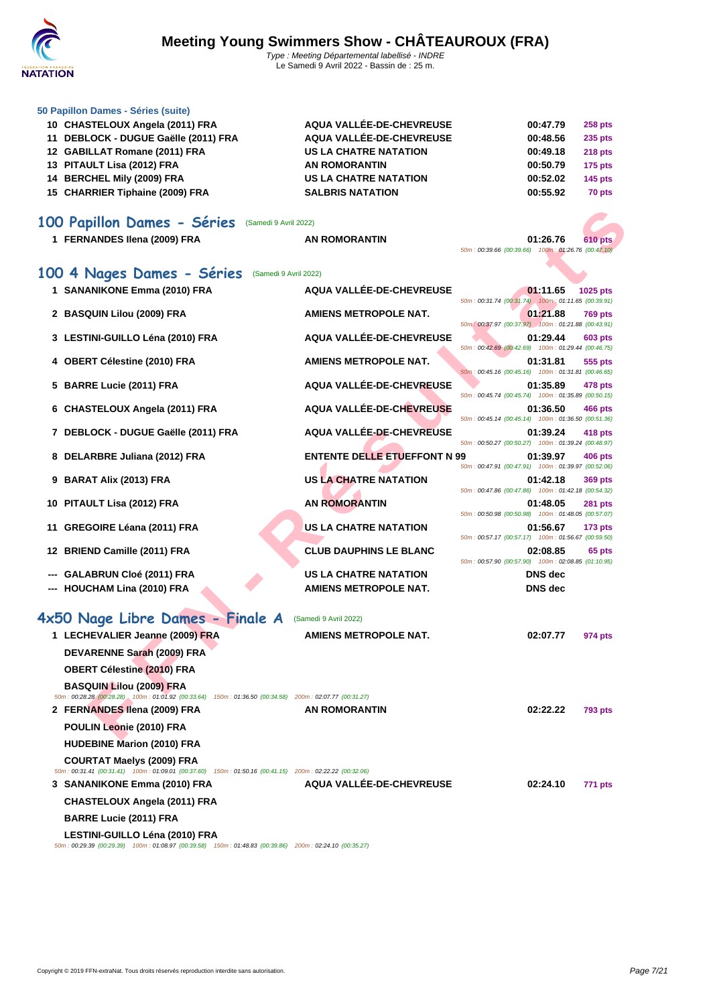

| 50 Papillon Dames - Séries (suite)   |                              |          |                |
|--------------------------------------|------------------------------|----------|----------------|
| 10 CHASTELOUX Angela (2011) FRA      | AQUA VALLÉE-DE-CHEVREUSE     | 00:47.79 | <b>258 pts</b> |
| 11 DEBLOCK - DUGUE Gaëlle (2011) FRA | AQUA VALLÉE-DE-CHEVREUSE     | 00:48.56 | <b>235 pts</b> |
| 12 GABILLAT Romane (2011) FRA        | <b>US LA CHATRE NATATION</b> | 00:49.18 | <b>218 pts</b> |
| 13 PITAULT Lisa (2012) FRA           | <b>AN ROMORANTIN</b>         | 00:50.79 | <b>175 pts</b> |
| 14 BERCHEL Mily (2009) FRA           | <b>US LA CHATRE NATATION</b> | 00:52.02 | <b>145 pts</b> |
| 15 CHARRIER Tiphaine (2009) FRA      | <b>SALBRIS NATATION</b>      | 00:55.92 | 70 pts         |
|                                      |                              |          |                |

| 100 Papillon Dames - Séries<br>(Samedi 9 Avril 2022)                                                                                       |                                     |                                                                 |                |
|--------------------------------------------------------------------------------------------------------------------------------------------|-------------------------------------|-----------------------------------------------------------------|----------------|
| 1 FERNANDES Ilena (2009) FRA                                                                                                               | <b>AN ROMORANTIN</b>                | 01:26.76<br>50m: 00:39.66 (00:39.66) 100m: 01:26.76 (00:47.10)  | <b>610 pts</b> |
| 100 4 Nages Dames - Séries<br>(Samedi 9 Avril 2022)                                                                                        |                                     |                                                                 |                |
| 1 SANANIKONE Emma (2010) FRA                                                                                                               | AQUA VALLÉE-DE-CHEVREUSE            | 01:11.65<br>50m: 00:31.74 (00:31.74)  100m: 01:11.65 (00:39.91) | 1025 pts       |
| 2 BASQUIN Lilou (2009) FRA                                                                                                                 | <b>AMIENS METROPOLE NAT.</b>        | 01:21.88                                                        | <b>769 pts</b> |
| 3 LESTINI-GUILLO Léna (2010) FRA                                                                                                           | AQUA VALLÉE-DE-CHEVREUSE            | 50m: 00:37.97 (00:37.97) 100m: 01:21.88 (00:43.91)<br>01:29.44  | 603 pts        |
| 4 OBERT Célestine (2010) FRA                                                                                                               | <b>AMIENS METROPOLE NAT.</b>        | 50m: 00:42.69 (00:42.69) 100m: 01:29.44 (00:46.75)<br>01:31.81  | 555 pts        |
| 5 BARRE Lucie (2011) FRA                                                                                                                   | AQUA VALLÉE-DE-CHEVREUSE            | 50m: 00:45.16 (00:45.16) 100m: 01:31.81 (00:46.65)<br>01:35.89  | 478 pts        |
|                                                                                                                                            | AQUA VALLÉE-DE-CHEVREUSE            | 50m: 00:45.74 (00:45.74) 100m: 01:35.89 (00:50.15)              |                |
| 6 CHASTELOUX Angela (2011) FRA                                                                                                             |                                     | 01:36.50<br>50m: 00:45.14 (00:45.14) 100m: 01:36.50 (00:51.36)  | 466 pts        |
| 7 DEBLOCK - DUGUE Gaëlle (2011) FRA                                                                                                        | <b>AQUA VALLÉE-DE-CHEVREUSE</b>     | 01:39.24<br>50m: 00:50.27 (00:50.27) 100m: 01:39.24 (00:48.97)  | 418 pts        |
| 8 DELARBRE Juliana (2012) FRA                                                                                                              | <b>ENTENTE DELLE ETUEFFONT N 99</b> | 01:39.97                                                        | 406 pts        |
| 9 BARAT Alix (2013) FRA                                                                                                                    | <b>US LA CHATRE NATATION</b>        | 50m: 00:47.91 (00:47.91) 100m: 01:39.97 (00:52.06)<br>01:42.18  | 369 pts        |
| 10 PITAULT Lisa (2012) FRA                                                                                                                 | <b>AN ROMORANTIN</b>                | 50m: 00:47.86 (00:47.86) 100m: 01:42.18 (00:54.32)<br>01:48.05  | <b>281 pts</b> |
| <b>GREGOIRE Léana (2011) FRA</b><br>11                                                                                                     | <b>US LA CHATRE NATATION</b>        | 50m: 00:50.98 (00:50.98) 100m: 01:48.05 (00:57.07)<br>01:56.67  | <b>173 pts</b> |
|                                                                                                                                            | <b>CLUB DAUPHINS LE BLANC</b>       | 50m: 00:57.17 (00:57.17) 100m: 01:56.67 (00:59.50)<br>02:08.85  |                |
| 12 BRIEND Camille (2011) FRA                                                                                                               |                                     | 50m: 00:57.90 (00:57.90) 100m: 02:08.85 (01:10.95)              | 65 pts         |
| GALABRUN Cloé (2011) FRA                                                                                                                   | <b>US LA CHATRE NATATION</b>        | <b>DNS</b> dec                                                  |                |
| <b>HOUCHAM Lina (2010) FRA</b>                                                                                                             | <b>AMIENS METROPOLE NAT.</b>        | <b>DNS</b> dec                                                  |                |
| 4x50 Nage Libre Dames - Finale A                                                                                                           | (Samedi 9 Avril 2022)               |                                                                 |                |
| 1 LECHEVALIER Jeanne (2009) FRA                                                                                                            | <b>AMIENS METROPOLE NAT.</b>        | 02:07.77                                                        | 974 pts        |
| DEVARENNE Sarah (2009) FRA                                                                                                                 |                                     |                                                                 |                |
| <b>OBERT Célestine (2010) FRA</b>                                                                                                          |                                     |                                                                 |                |
| <b>BASQUIN Lilou (2009) FRA</b>                                                                                                            |                                     |                                                                 |                |
| 50m : 00:28.28 (00:28.28) 100m : 01:01.92 (00:33.64) 150m : 01:36.50 (00:34.58) 200m : 02:07.77 (00:31.27)                                 |                                     |                                                                 |                |
| 2 FERNANDES Ilena (2009) FRA                                                                                                               | <b>AN ROMORANTIN</b>                | 02:22.22                                                        | <b>793 pts</b> |
| POULIN Leonie (2010) FRA                                                                                                                   |                                     |                                                                 |                |
| <b>HUDEBINE Marion (2010) FRA</b>                                                                                                          |                                     |                                                                 |                |
| <b>COURTAT Maelys (2009) FRA</b><br>50m: 00:31.41 (00:31.41) 100m: 01:09.01 (00:37.60) 150m: 01:50.16 (00:41.15) 200m: 02:22.22 (00:32.06) |                                     |                                                                 |                |

**3 SANANIKONE Emma (2010) FRA AQUA VALLÉE-DE-CHEVREUSE 02:24.10 771 pts**

**LESTINI-GUILLO Léna (2010) FRA** 50m : 00:29.39 (00:29.39) 100m : 01:08.97 (00:39.58) 150m : 01:48.83 (00:39.86) 200m : 02:24.10 (00:35.27)

**CHASTELOUX Angela (2011) FRA**

**BARRE Lucie (2011) FRA**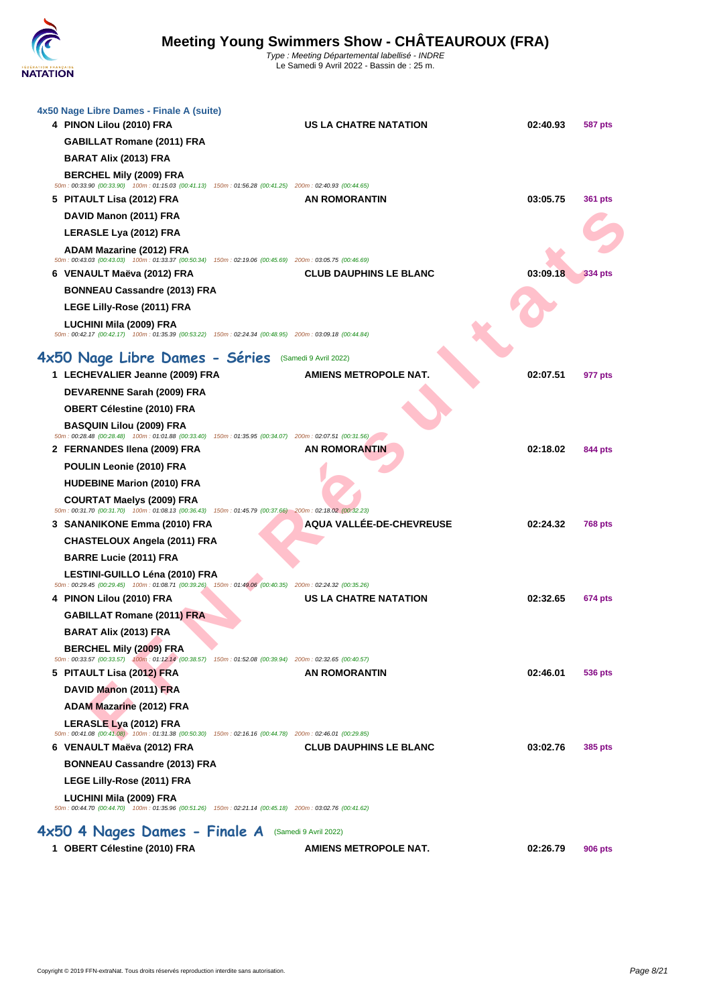

| 4x50 Nage Libre Dames - Finale A (suite)<br>4 PINON Lilou (2010) FRA | <b>US LA CHATRE NATATION</b>                                                                                                        | 02:40.93 | 587 pts        |
|----------------------------------------------------------------------|-------------------------------------------------------------------------------------------------------------------------------------|----------|----------------|
| <b>GABILLAT Romane (2011) FRA</b>                                    |                                                                                                                                     |          |                |
| <b>BARAT Alix (2013) FRA</b>                                         |                                                                                                                                     |          |                |
| <b>BERCHEL Mily (2009) FRA</b>                                       |                                                                                                                                     |          |                |
| 5 PITAULT Lisa (2012) FRA                                            | 50m : 00:33.90 (00:33.90) 100m : 01:15.03 (00:41.13) 150m : 01:56.28 (00:41.25) 200m : 02:40.93 (00:44.65)<br>AN ROMORANTIN         | 03:05.75 | 361 pts        |
| DAVID Manon (2011) FRA                                               |                                                                                                                                     |          |                |
| LERASLE Lya (2012) FRA                                               |                                                                                                                                     |          |                |
| <b>ADAM Mazarine (2012) FRA</b>                                      |                                                                                                                                     |          |                |
|                                                                      | 50m: 00:43.03 (00:43.03) 100m: 01:33.37 (00:50.34) 150m: 02:19.06 (00:45.69) 200m: 03:05.75 (00:46.69)                              |          |                |
| 6 VENAULT Maëva (2012) FRA                                           | <b>CLUB DAUPHINS LE BLANC</b>                                                                                                       | 03:09.18 | 334 pts        |
| <b>BONNEAU Cassandre (2013) FRA</b>                                  |                                                                                                                                     |          |                |
| LEGE Lilly-Rose (2011) FRA                                           |                                                                                                                                     |          |                |
| LUCHINI Mila (2009) FRA                                              | 50m: 00:42.17 (00:42.17) 100m: 01:35.39 (00:53.22) 150m: 02:24.34 (00:48.95) 200m: 03:09.18 (00:44.84)                              |          |                |
| 4x50 Nage Libre Dames - Séries (Samedi 9 Avril 2022)                 |                                                                                                                                     |          |                |
| 1 LECHEVALIER Jeanne (2009) FRA                                      | <b>AMIENS METROPOLE NAT.</b>                                                                                                        | 02:07.51 | 977 pts        |
| DEVARENNE Sarah (2009) FRA                                           |                                                                                                                                     |          |                |
| <b>OBERT Célestine (2010) FRA</b>                                    |                                                                                                                                     |          |                |
| <b>BASQUIN Lilou (2009) FRA</b>                                      |                                                                                                                                     |          |                |
|                                                                      | 50m : 00:28.48 (00:28.48) 100m : 01:01.88 (00:33.40) 150m : 01:35.95 (00:34.07) 200m : 02:07.51 (00:31.56)                          |          |                |
| 2 FERNANDES Ilena (2009) FRA                                         | <b>AN ROMORANTIN</b>                                                                                                                | 02:18.02 | 844 pts        |
| POULIN Leonie (2010) FRA                                             |                                                                                                                                     |          |                |
| <b>HUDEBINE Marion (2010) FRA</b>                                    |                                                                                                                                     |          |                |
| <b>COURTAT Maelys (2009) FRA</b>                                     | 50m: 00:31.70 (00:31.70) 100m: 01:08.13 (00:36.43) 150m: 01:45.79 (00:37.66) 200m: 02:18.02 (00:32.23)                              |          |                |
| 3 SANANIKONE Emma (2010) FRA                                         | <b>AQUA VALLÉE-DE-CHEVREUSE</b>                                                                                                     | 02:24.32 | <b>768 pts</b> |
| CHASTELOUX Angela (2011) FRA                                         |                                                                                                                                     |          |                |
| <b>BARRE Lucie (2011) FRA</b>                                        |                                                                                                                                     |          |                |
| LESTINI-GUILLO Léna (2010) FRA                                       |                                                                                                                                     |          |                |
| 4 PINON Lilou (2010) FRA                                             | 50m : 00:29.45 (00:29.45) 100m : 01:08.71 (00:39.26) 150m : 01:49.06 (00:40.35) 200m : 02:24.32 (00:35.26)<br>US LA CHATRE NATATION | 02:32.65 | 674 pts        |
| <b>GABILLAT Romane (2011) FRA</b>                                    |                                                                                                                                     |          |                |
| <b>BARAT Alix (2013) FRA</b>                                         |                                                                                                                                     |          |                |
| <b>BERCHEL Mily (2009) FRA</b>                                       |                                                                                                                                     |          |                |
|                                                                      | 50m : 00:33.57 (00:33.57) 400m : 01:12.14 (00:38.57) 150m : 01:52.08 (00:39.94) 200m : 02:32.65 (00:40.57)                          |          |                |
| 5 PITAULT Lisa (2012) FRA                                            | <b>AN ROMORANTIN</b>                                                                                                                | 02:46.01 | 536 pts        |
| DAVID Manon (2011) FRA                                               |                                                                                                                                     |          |                |
| <b>ADAM Mazarine (2012) FRA</b>                                      |                                                                                                                                     |          |                |
| LERASLE Lya (2012) FRA                                               | 50m : 00:41.08 (00:41.08) 100m : 01:31.38 (00:50.30) 150m : 02:16.16 (00:44.78) 200m : 02:46.01 (00:29.85)                          |          |                |
| 6 VENAULT Maëva (2012) FRA                                           | <b>CLUB DAUPHINS LE BLANC</b>                                                                                                       | 03:02.76 | <b>385 pts</b> |
| <b>BONNEAU Cassandre (2013) FRA</b>                                  |                                                                                                                                     |          |                |
| LEGE Lilly-Rose (2011) FRA                                           |                                                                                                                                     |          |                |
| LUCHINI Mila (2009) FRA                                              |                                                                                                                                     |          |                |
|                                                                      | 50m : 00:44.70 (00:44.70) 100m : 01:35.96 (00:51.26) 150m : 02:21.14 (00:45.18) 200m : 03:02.76 (00:41.62)                          |          |                |
| 4x50 4 Nages Dames - Finale A (Samedi 9 Avril 2022)                  |                                                                                                                                     |          |                |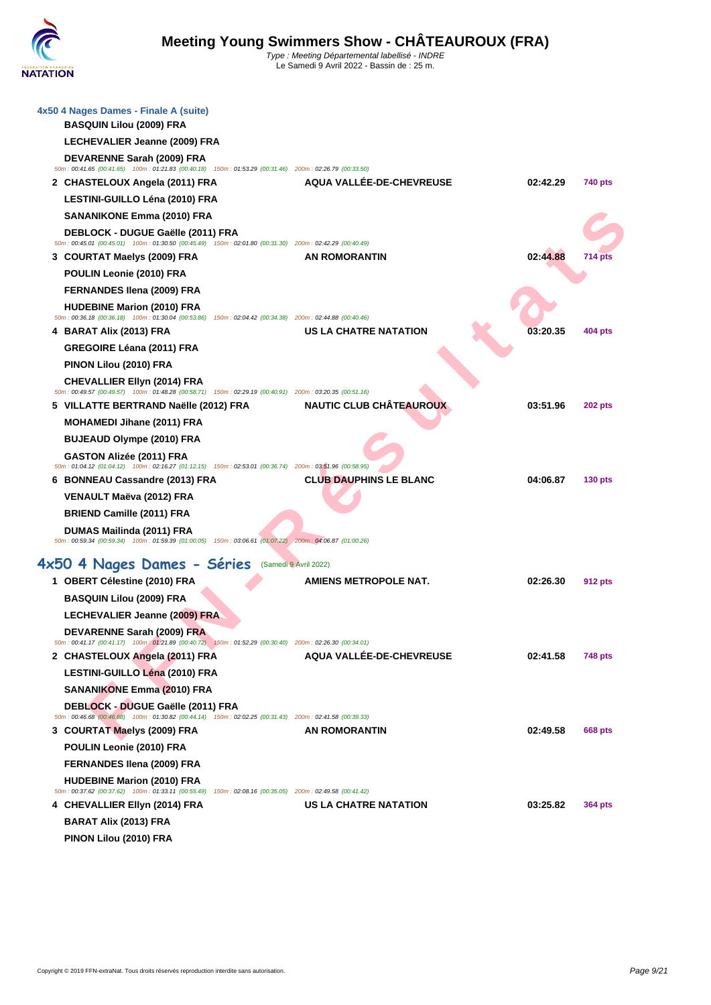| 4x50 4 Nages Dames - Finale A (suite)                                                                                                               |                                 |          |                |
|-----------------------------------------------------------------------------------------------------------------------------------------------------|---------------------------------|----------|----------------|
| <b>BASQUIN Lilou (2009) FRA</b>                                                                                                                     |                                 |          |                |
| LECHEVALIER Jeanne (2009) FRA                                                                                                                       |                                 |          |                |
| DEVARENNE Sarah (2009) FRA<br>50m : 00:41.65 (00:41.65) 100m : 01:21.83 (00:40.18) 150m : 01:53.29 (00:31.46) 200m : 02:26.79 (00:33.50)            |                                 |          |                |
| 2 CHASTELOUX Angela (2011) FRA                                                                                                                      | AQUA VALLÉE-DE-CHEVREUSE        | 02:42.29 | 740 pts        |
| LESTINI-GUILLO Léna (2010) FRA                                                                                                                      |                                 |          |                |
| <b>SANANIKONE Emma (2010) FRA</b>                                                                                                                   |                                 |          |                |
| DEBLOCK - DUGUE Gaëlle (2011) FRA<br>50m: 00:45.01 (00:45.01) 100m: 01:30.50 (00:45.49) 150m: 02:01.80 (00:31.30) 200m: 02:42.29 (00:40.49)         |                                 |          |                |
| 3 COURTAT Maelys (2009) FRA                                                                                                                         | <b>AN ROMORANTIN</b>            | 02:44.88 | 714 pts        |
| POULIN Leonie (2010) FRA                                                                                                                            |                                 |          |                |
| <b>FERNANDES Ilena (2009) FRA</b>                                                                                                                   |                                 |          |                |
| <b>HUDEBINE Marion (2010) FRA</b>                                                                                                                   |                                 |          |                |
| 50m : 00:36.18 (00:36.18) 100m : 01:30.04 (00:53.86) 150m : 02:04.42 (00:34.38) 200m : 02:44.88 (00:40.46)<br>4 BARAT Alix (2013) FRA               | <b>US LA CHATRE NATATION</b>    | 03:20.35 | 404 pts        |
| GREGOIRE Léana (2011) FRA                                                                                                                           |                                 |          |                |
| PINON Lilou (2010) FRA                                                                                                                              |                                 |          |                |
| <b>CHEVALLIER Ellyn (2014) FRA</b>                                                                                                                  |                                 |          |                |
| 50m : 00:49.57 (00:49.57) 100m : 01:48.28 (00:58.71) 150m : 02:29.19 (00:40.91) 200m : 03:20.35 (00:51.16)<br>5 VILLATTE BERTRAND Naëlle (2012) FRA | <b>NAUTIC CLUB CHÂTEAUROUX</b>  | 03:51.96 | 202 pts        |
| <b>MOHAMEDI Jihane (2011) FRA</b>                                                                                                                   |                                 |          |                |
| <b>BUJEAUD Olympe (2010) FRA</b>                                                                                                                    |                                 |          |                |
| GASTON Alizée (2011) FRA                                                                                                                            |                                 |          |                |
| 50m: 01:04.12 (01:04.12) 100m: 02:16.27 (01:12.15) 150m: 02:53.01 (00:36.74) 200m: 03:51.96 (00:58.95)<br>6 BONNEAU Cassandre (2013) FRA            | <b>CLUB DAUPHINS LE BLANC</b>   | 04:06.87 | $130$ pts      |
|                                                                                                                                                     |                                 |          |                |
|                                                                                                                                                     |                                 |          |                |
| VENAULT Maëva (2012) FRA<br><b>BRIEND Camille (2011) FRA</b>                                                                                        |                                 |          |                |
| DUMAS Mailinda (2011) FRA                                                                                                                           |                                 |          |                |
| 50m : 00:59.34 (00:59.34) 100m : 01:59.39 (01:00.05) 150m : 03:06.61 (01:07.22) 200m : 04:06.87 (01:00.26)                                          |                                 |          |                |
| 4x50 4 Nages Dames - Séries (Samedi 9 Avril 2022)                                                                                                   |                                 |          |                |
| 1 OBERT Célestine (2010) FRA                                                                                                                        | <b>AMIENS METROPOLE NAT.</b>    | 02:26.30 | 912 pts        |
| <b>BASQUIN Lilou (2009) FRA</b>                                                                                                                     |                                 |          |                |
| LECHEVALIER Jeanne (2009) FRA                                                                                                                       |                                 |          |                |
| DEVARENNE Sarah (2009) FRA                                                                                                                          |                                 |          |                |
| 50m: 00:41.17 (00:41.17) 100m: 01:21.89 (00:40.72) 150m: 01:52.29 (00:30.40) 200m: 02:26.30 (00:34.01)<br>2 CHASTELOUX Angela (2011) FRA            | <b>AQUA VALLÉE-DE-CHEVREUSE</b> | 02:41.58 | <b>748 pts</b> |
| LESTINI-GUILLO Léna (2010) FRA                                                                                                                      |                                 |          |                |
| <b>SANANIKONE Emma (2010) FRA</b>                                                                                                                   |                                 |          |                |
| DEBLOCK - DUGUE Gaëlle (2011) FRA                                                                                                                   |                                 |          |                |
| 50m: 00:46.68 (00:46.68) 100m: 01:30.82 (00:44.14) 150m: 02:02.25 (00:31.43) 200m: 02:41.58 (00:39.33)                                              |                                 |          |                |
| 3 COURTAT Maelys (2009) FRA<br>POULIN Leonie (2010) FRA                                                                                             | AN ROMORANTIN                   | 02:49.58 | 668 pts        |
| FERNANDES Ilena (2009) FRA                                                                                                                          |                                 |          |                |
| <b>HUDEBINE Marion (2010) FRA</b>                                                                                                                   |                                 |          |                |
| 50m: 00:37.62 (00:37.62) 100m: 01:33.11 (00:55.49) 150m: 02:08.16 (00:35.05) 200m: 02:49.58 (00:41.42)                                              |                                 |          |                |
| 4 CHEVALLIER Ellyn (2014) FRA                                                                                                                       | US LA CHATRE NATATION           | 03:25.82 | 364 pts        |
| <b>BARAT Alix (2013) FRA</b><br>PINON Lilou (2010) FRA                                                                                              |                                 |          |                |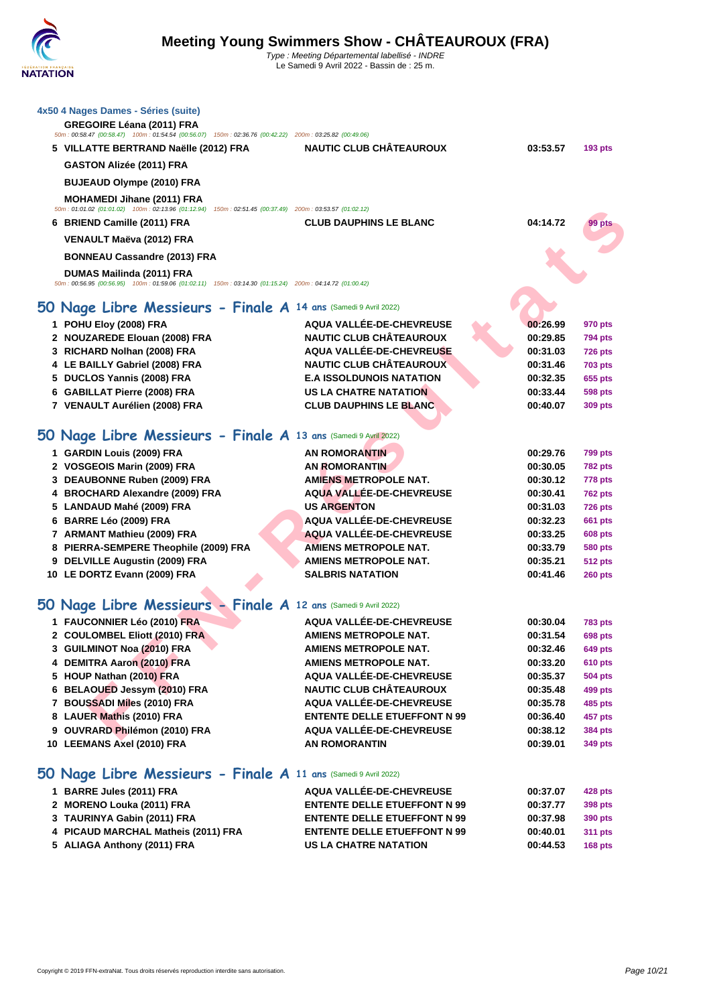| 4x50 4 Nages Dames - Séries (suite)<br>GREGOIRE Léana (2011) FRA<br>50m: 00:58.47 (00:58.47) 100m: 01:54.54 (00:56.07) 150m: 02:36.76 (00:42.22) 200m: 03:25.82 (00:49.06)<br>5 VILLATTE BERTRAND Naëlle (2012) FRA<br>GASTON Alizée (2011) FRA<br><b>BUJEAUD Olympe (2010) FRA</b><br><b>MOHAMEDI Jihane (2011) FRA</b> | <b>NAUTIC CLUB CHÂTEAUROUX</b>                               | 03:53.57             | $193$ pts          |
|--------------------------------------------------------------------------------------------------------------------------------------------------------------------------------------------------------------------------------------------------------------------------------------------------------------------------|--------------------------------------------------------------|----------------------|--------------------|
| 50m: 01:01.02 (01:01.02) 100m: 02:13.96 (01:12.94) 150m: 02:51.45 (00:37.49) 200m: 03:53.57 (01:02.12)                                                                                                                                                                                                                   |                                                              |                      |                    |
| 6 BRIEND Camille (2011) FRA                                                                                                                                                                                                                                                                                              | <b>CLUB DAUPHINS LE BLANC</b>                                | 04:14.72             | 99 pts             |
| VENAULT Maëva (2012) FRA                                                                                                                                                                                                                                                                                                 |                                                              |                      |                    |
| <b>BONNEAU Cassandre (2013) FRA</b>                                                                                                                                                                                                                                                                                      |                                                              |                      |                    |
| DUMAS Mailinda (2011) FRA<br>50m : 00:56.95 (00:56.95) 100m : 01:59.06 (01:02.11) 150m : 03:14.30 (01:15.24) 200m : 04:14.72 (01:00.42)                                                                                                                                                                                  |                                                              |                      |                    |
| 50 Nage Libre Messieurs - Finale A 14 ans (Samedi 9 Avril 2022)                                                                                                                                                                                                                                                          |                                                              |                      |                    |
| 1 POHU Eloy (2008) FRA                                                                                                                                                                                                                                                                                                   | AQUA VALLÉE-DE-CHEVREUSE                                     | 00:26.99             | 970 pts            |
| 2 NOUZAREDE Elouan (2008) FRA                                                                                                                                                                                                                                                                                            | <b>NAUTIC CLUB CHÂTEAUROUX</b>                               | 00:29.85             | 794 pts            |
| 3 RICHARD Nolhan (2008) FRA                                                                                                                                                                                                                                                                                              | AQUA VALLÉE-DE-CHEVREUSE                                     | 00:31.03             | <b>726 pts</b>     |
| 4 LE BAILLY Gabriel (2008) FRA                                                                                                                                                                                                                                                                                           | <b>NAUTIC CLUB CHÂTEAUROUX</b>                               | 00:31.46             | <b>703 pts</b>     |
| 5 DUCLOS Yannis (2008) FRA                                                                                                                                                                                                                                                                                               | <b>E.A ISSOLDUNOIS NATATION</b>                              | 00:32.35             | 655 pts            |
| 6 GABILLAT Pierre (2008) FRA                                                                                                                                                                                                                                                                                             | <b>US LA CHATRE NATATION</b>                                 | 00:33.44             | <b>598 pts</b>     |
| 7 VENAULT Aurélien (2008) FRA                                                                                                                                                                                                                                                                                            | <b>CLUB DAUPHINS LE BLANC</b>                                | 00:40.07             | 309 pts            |
| 50 Nage Libre Messieurs - Finale A 13 ans (Samedi 9 Avril 2022)                                                                                                                                                                                                                                                          |                                                              |                      |                    |
| 1 GARDIN Louis (2009) FRA                                                                                                                                                                                                                                                                                                | <b>AN ROMORANTIN</b>                                         | 00:29.76             | 799 pts            |
| 2 VOSGEOIS Marin (2009) FRA                                                                                                                                                                                                                                                                                              | <b>AN ROMORANTIN</b>                                         | 00:30.05             | <b>782 pts</b>     |
| 3 DEAUBONNE Ruben (2009) FRA                                                                                                                                                                                                                                                                                             | AMIENS METROPOLE NAT.                                        | 00:30.12             | <b>778 pts</b>     |
| 4 BROCHARD Alexandre (2009) FRA                                                                                                                                                                                                                                                                                          | AQUA VALLÉE-DE-CHEVREUSE                                     | 00:30.41             | <b>762 pts</b>     |
| 5 LANDAUD Mahé (2009) FRA                                                                                                                                                                                                                                                                                                | <b>US ARGENTON</b>                                           | 00:31.03             | <b>726 pts</b>     |
| 6 BARRE Léo (2009) FRA                                                                                                                                                                                                                                                                                                   | AQUA VALLÉE-DE-CHEVREUSE                                     | 00:32.23             | <b>661 pts</b>     |
| 7 ARMANT Mathieu (2009) FRA                                                                                                                                                                                                                                                                                              | AQUA VALLÉE-DE-CHEVREUSE                                     | 00:33.25             | <b>608 pts</b>     |
| 8 PIERRA-SEMPERE Theophile (2009) FRA                                                                                                                                                                                                                                                                                    | AMIENS METROPOLE NAT.                                        | 00:33.79             | 580 pts            |
| 9 DELVILLE Augustin (2009) FRA                                                                                                                                                                                                                                                                                           | <b>AMIENS METROPOLE NAT.</b>                                 | 00:35.21             | <b>512 pts</b>     |
| 10 LE DORTZ Evann (2009) FRA                                                                                                                                                                                                                                                                                             | <b>SALBRIS NATATION</b>                                      | 00:41.46             | $260$ pts          |
| 50 Nage Libre Messieurs - Finale A 12 ans (Samedi 9 Avril 2022)                                                                                                                                                                                                                                                          |                                                              |                      |                    |
|                                                                                                                                                                                                                                                                                                                          |                                                              |                      |                    |
| 1 FAUCONNIER Léo (2010) FRA<br>2 COULOMBEL Eliott (2010) FRA                                                                                                                                                                                                                                                             | AQUA VALLÉE-DE-CHEVREUSE                                     | 00:30.04             | <b>783 pts</b>     |
| 3 GUILMINOT Noa (2010) FRA                                                                                                                                                                                                                                                                                               | <b>AMIENS METROPOLE NAT.</b><br><b>AMIENS METROPOLE NAT.</b> | 00:31.54<br>00:32.46 | 698 pts<br>649 pts |
| 4 DEMITRA Aaron (2010) FRA                                                                                                                                                                                                                                                                                               | <b>AMIENS METROPOLE NAT.</b>                                 | 00:33.20             | 610 pts            |
| 5 HOUP Nathan (2010) FRA                                                                                                                                                                                                                                                                                                 | AQUA VALLÉE-DE-CHEVREUSE                                     | 00:35.37             | 504 pts            |
| 6 BELAOUED Jessym (2010) FRA                                                                                                                                                                                                                                                                                             | <b>NAUTIC CLUB CHÂTEAUROUX</b>                               | 00:35.48             | 499 pts            |
| 7 BOUSSADI Miles (2010) FRA                                                                                                                                                                                                                                                                                              | AQUA VALLÉE-DE-CHEVREUSE                                     | 00:35.78             | 485 pts            |
| 8 LAUER Mathis (2010) FRA                                                                                                                                                                                                                                                                                                | <b>ENTENTE DELLE ETUEFFONT N 99</b>                          | 00:36.40             | 457 pts            |
| 9 OUVRARD Philémon (2010) FRA                                                                                                                                                                                                                                                                                            | AQUA VALLÉE-DE-CHEVREUSE                                     | 00:38.12             | 384 pts            |
| 10 LEEMANS Axel (2010) FRA                                                                                                                                                                                                                                                                                               | <b>AN ROMORANTIN</b>                                         | 00:39.01             | 349 pts            |
| 50 Nage Libre Messieurs - Finale A 11 ans (Samedi 9 Avril 2022)                                                                                                                                                                                                                                                          |                                                              |                      |                    |
| 1 BARRE Jules (2011) FRA                                                                                                                                                                                                                                                                                                 | AQUA VALLÉE-DE-CHEVREUSE                                     | 00:37.07             | 428 pts            |
| 2 MORENO Louka (2011) FRA                                                                                                                                                                                                                                                                                                | <b>ENTENTE DELLE ETUEFFONT N 99</b>                          | 00:37.77             | 398 pts            |
| 3 TAURINYA Gabin (2011) FRA                                                                                                                                                                                                                                                                                              | <b>ENTENTE DELLE ETUEFFONT N 99</b>                          | 00:37.98             | 390 pts            |
| 4 PICAUD MARCHAL Matheis (2011) FRA                                                                                                                                                                                                                                                                                      | <b>ENTENTE DELLE ETUEFFONT N 99</b>                          | 00:40.01             | 311 pts            |
| 5 ALIAGA Anthony (2011) FRA                                                                                                                                                                                                                                                                                              | <b>US LA CHATRE NATATION</b>                                 | 00:44.53             | <b>168 pts</b>     |
|                                                                                                                                                                                                                                                                                                                          |                                                              |                      |                    |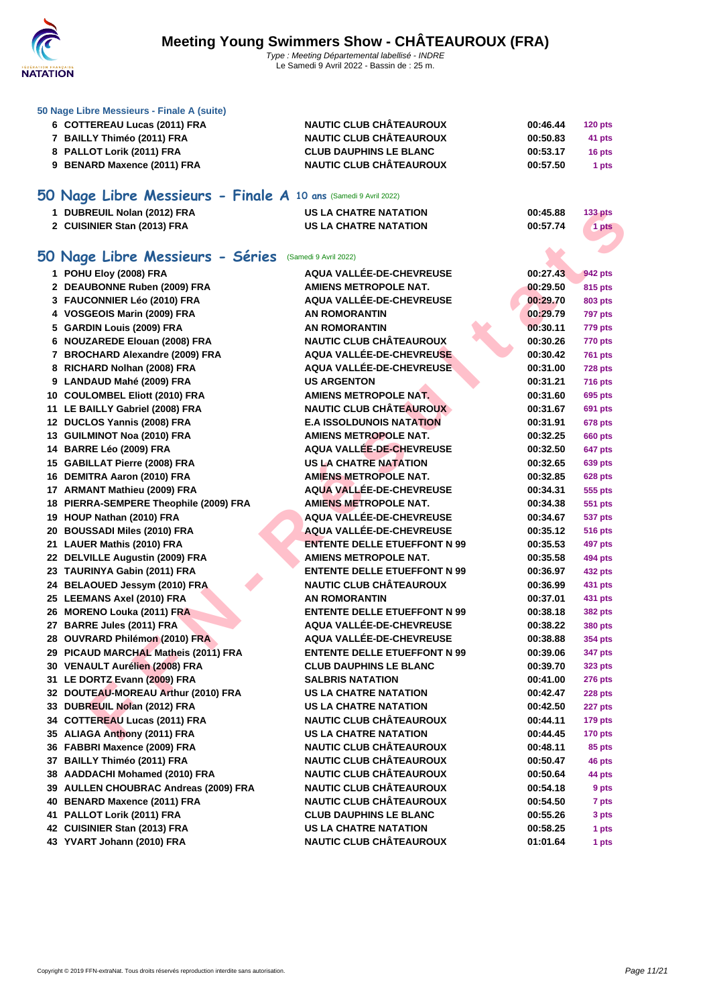

Le Samedi 9 Avril 2022 - Bassin de : 25 m.

| 50 Nage Libre Messieurs - Finale A (suite)                      |                                     |          |                |
|-----------------------------------------------------------------|-------------------------------------|----------|----------------|
| 6 COTTEREAU Lucas (2011) FRA                                    | <b>NAUTIC CLUB CHÂTEAUROUX</b>      | 00:46.44 | <b>120 pts</b> |
| 7 BAILLY Thiméo (2011) FRA                                      | <b>NAUTIC CLUB CHÂTEAUROUX</b>      | 00:50.83 | 41 pts         |
| 8 PALLOT Lorik (2011) FRA                                       | <b>CLUB DAUPHINS LE BLANC</b>       | 00:53.17 | 16 pts         |
| 9 BENARD Maxence (2011) FRA                                     | <b>NAUTIC CLUB CHÂTEAUROUX</b>      | 00:57.50 | 1 pts          |
|                                                                 |                                     |          |                |
| 50 Nage Libre Messieurs - Finale A 10 ans (Samedi 9 Avril 2022) |                                     |          |                |
| 1 DUBREUIL Nolan (2012) FRA                                     | <b>US LA CHATRE NATATION</b>        | 00:45.88 | <b>133 pts</b> |
| 2 CUISINIER Stan (2013) FRA                                     | <b>US LA CHATRE NATATION</b>        | 00:57.74 | 1 pts          |
|                                                                 |                                     |          |                |
| 50 Nage Libre Messieurs - Séries (Samedi 9 Avril 2022)          |                                     |          |                |
| 1 POHU Eloy (2008) FRA                                          | AQUA VALLÉE-DE-CHEVREUSE            | 00:27.43 | 942 pts        |
| 2 DEAUBONNE Ruben (2009) FRA                                    | <b>AMIENS METROPOLE NAT.</b>        | 00:29.50 | 815 pts        |
| 3 FAUCONNIER Léo (2010) FRA                                     | <b>AQUA VALLEE-DE-CHEVREUSE</b>     | 00:29.70 | 803 pts        |
| 4 VOSGEOIS Marin (2009) FRA                                     | <b>AN ROMORANTIN</b>                | 00:29.79 | <b>797 pts</b> |
| 5 GARDIN Louis (2009) FRA                                       | <b>AN ROMORANTIN</b>                | 00:30.11 | 779 pts        |
| 6 NOUZAREDE Elouan (2008) FRA                                   | <b>NAUTIC CLUB CHÂTEAUROUX</b>      | 00:30.26 | 770 pts        |
| 7 BROCHARD Alexandre (2009) FRA                                 | AQUA VALLÉE-DE-CHEVREUSE            | 00:30.42 | <b>761 pts</b> |
| 8 RICHARD Nolhan (2008) FRA                                     | AQUA VALLÉE-DE-CHEVREUSE            | 00:31.00 | <b>728 pts</b> |
| 9 LANDAUD Mahé (2009) FRA                                       | <b>US ARGENTON</b>                  | 00:31.21 | 716 pts        |
| 10 COULOMBEL Eliott (2010) FRA                                  | <b>AMIENS METROPOLE NAT.</b>        | 00:31.60 | 695 pts        |
| 11 LE BAILLY Gabriel (2008) FRA                                 | <b>NAUTIC CLUB CHÂTEAUROUX</b>      | 00:31.67 | 691 pts        |
| 12 DUCLOS Yannis (2008) FRA                                     | <b>E.A ISSOLDUNOIS NATATION</b>     | 00:31.91 | 678 pts        |
| 13 GUILMINOT Noa (2010) FRA                                     | <b>AMIENS METROPOLE NAT.</b>        | 00:32.25 | <b>660 pts</b> |
| 14 BARRE Léo (2009) FRA                                         | <b>AQUA VALLÉE-DE-CHEVREUSE</b>     | 00:32.50 | 647 pts        |
| 15 GABILLAT Pierre (2008) FRA                                   | <b>US LA CHATRE NATATION</b>        | 00:32.65 | 639 pts        |
| 16 DEMITRA Aaron (2010) FRA                                     | <b>AMIENS METROPOLE NAT.</b>        | 00:32.85 | <b>628 pts</b> |
| 17 ARMANT Mathieu (2009) FRA                                    | AQUA VALLÉE-DE-CHEVREUSE            | 00:34.31 | 555 pts        |
| 18 PIERRA-SEMPERE Theophile (2009) FRA                          | <b>AMIENS METROPOLE NAT.</b>        | 00:34.38 | 551 pts        |
| 19 HOUP Nathan (2010) FRA                                       | <b>AQUA VALLÉE-DE-CHEVREUSE</b>     | 00:34.67 | 537 pts        |
| 20 BOUSSADI Miles (2010) FRA                                    | AQUA VALLÉE-DE-CHEVREUSE            | 00:35.12 | 516 pts        |
| 21 LAUER Mathis (2010) FRA                                      | <b>ENTENTE DELLE ETUEFFONT N 99</b> | 00:35.53 | 497 pts        |
| 22 DELVILLE Augustin (2009) FRA                                 | <b>AMIENS METROPOLE NAT.</b>        | 00:35.58 | 494 pts        |
| 23 TAURINYA Gabin (2011) FRA                                    | <b>ENTENTE DELLE ETUEFFONT N 99</b> | 00:36.97 | 432 pts        |
| 24 BELAOUED Jessym (2010) FRA                                   | <b>NAUTIC CLUB CHÂTEAUROUX</b>      | 00:36.99 | 431 pts        |
| 25 LEEMANS Axel (2010) FRA                                      | <b>AN ROMORANTIN</b>                | 00:37.01 | 431 pts        |
| 26 MORENO Louka (2011) FRA                                      | <b>ENTENTE DELLE ETUEFFONT N 99</b> | 00:38.18 | 382 pts        |
| 27 BARRE Jules (2011) FRA                                       | <b>AQUA VALLÉE-DE-CHEVREUSE</b>     | 00:38.22 | <b>380 pts</b> |
| 28 OUVRARD Philémon (2010) FRA                                  | AQUA VALLÉE-DE-CHEVREUSE            | 00:38.88 | <b>354 pts</b> |
| 29 PICAUD MARCHAL Matheis (2011) FRA                            | <b>ENTENTE DELLE ETUEFFONT N 99</b> | 00:39.06 | 347 pts        |
| 30 VENAULT Aurélien (2008) FRA                                  | <b>CLUB DAUPHINS LE BLANC</b>       | 00:39.70 | 323 pts        |
| 31 LE DORTZ Evann (2009) FRA                                    | <b>SALBRIS NATATION</b>             | 00:41.00 | <b>276 pts</b> |
| 32 DOUTEAU-MOREAU Arthur (2010) FRA                             | <b>US LA CHATRE NATATION</b>        | 00:42.47 | <b>228 pts</b> |
| 33 DUBREUIL Nolan (2012) FRA                                    | US LA CHATRE NATATION               | 00:42.50 | 227 pts        |
| 34 COTTEREAU Lucas (2011) FRA                                   | <b>NAUTIC CLUB CHÂTEAUROUX</b>      | 00:44.11 | <b>179 pts</b> |
| 35 ALIAGA Anthony (2011) FRA                                    | <b>US LA CHATRE NATATION</b>        | 00:44.45 | <b>170 pts</b> |
| 36 FABBRI Maxence (2009) FRA                                    | <b>NAUTIC CLUB CHÂTEAUROUX</b>      | 00:48.11 | 85 pts         |
| 37 BAILLY Thiméo (2011) FRA                                     | <b>NAUTIC CLUB CHÂTEAUROUX</b>      | 00:50.47 | 46 pts         |
| 38 AADDACHI Mohamed (2010) FRA                                  | <b>NAUTIC CLUB CHÂTEAUROUX</b>      | 00:50.64 | 44 pts         |
| 39 AULLEN CHOUBRAC Andreas (2009) FRA                           | <b>NAUTIC CLUB CHÂTEAUROUX</b>      | 00:54.18 | 9 pts          |
| 40 BENARD Maxence (2011) FRA                                    | <b>NAUTIC CLUB CHÂTEAUROUX</b>      | 00:54.50 | 7 pts          |
| 41 PALLOT Lorik (2011) FRA                                      | <b>CLUB DAUPHINS LE BLANC</b>       | 00:55.26 | 3 pts          |
| 42 CUISINIER Stan (2013) FRA                                    | <b>US LA CHATRE NATATION</b>        | 00:58.25 | 1 pts          |
| 43 YVART Johann (2010) FRA                                      | <b>NAUTIC CLUB CHÂTEAUROUX</b>      | 01:01.64 | 1 pts          |
|                                                                 |                                     |          |                |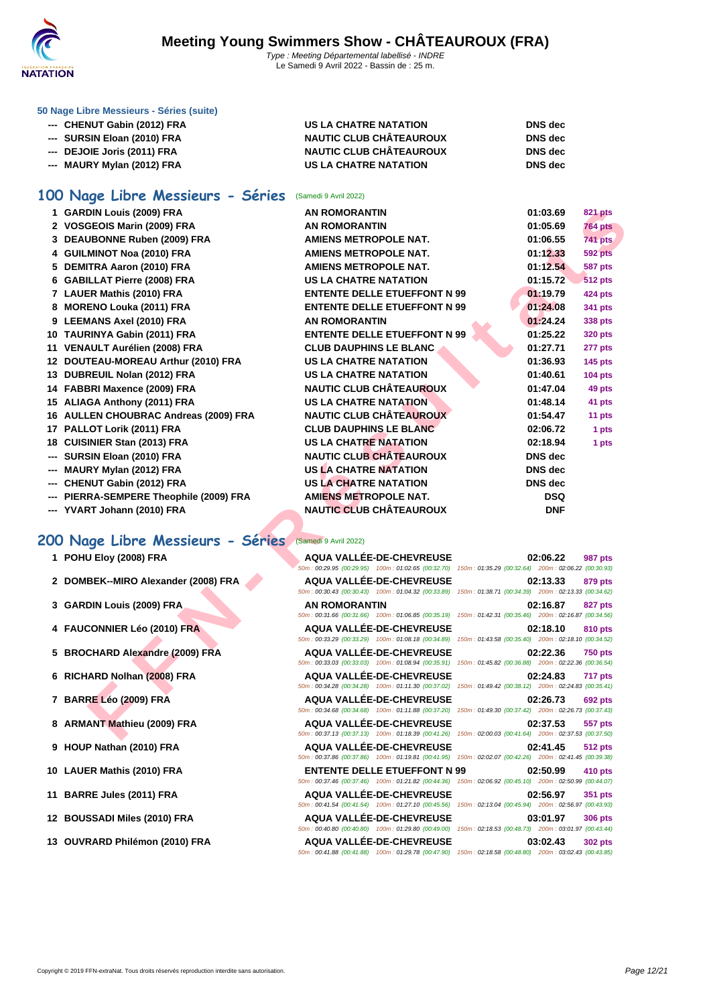

**[50 Nage L](http://www.ffnatation.fr/webffn/index.php)ibre Messieurs - Séries (suite)**

| --- CHENUT Gabin (2012) FRA | US LA CHATRE NATATION          | <b>DNS</b> dec |
|-----------------------------|--------------------------------|----------------|
| --- SURSIN Eloan (2010) FRA | <b>NAUTIC CLUB CHÂTEAUROUX</b> | <b>DNS</b> dec |
| --- DEJOIE Joris (2011) FRA | <b>NAUTIC CLUB CHÂTEAUROUX</b> | <b>DNS</b> dec |
| --- MAURY Mylan (2012) FRA  | US LA CHATRE NATATION          | <b>DNS</b> dec |

### **100 Nage Libre Messieurs - Séries** (Samedi 9 Avril 2022)

| 1 GARDIN Louis (2009) FRA<br><b>AN ROMORANTIN</b><br>2 VOSGEOIS Marin (2009) FRA<br><b>AN ROMORANTIN</b><br>3 DEAUBONNE Ruben (2009) FRA<br>AMIENS METROPOLE NAT.<br>4 GUILMINOT Noa (2010) FRA<br>AMIENS METROPOLE NAT.<br>5 DEMITRA Aaron (2010) FRA<br><b>AMIENS METROPOLE NAT.</b><br>6 GABILLAT Pierre (2008) FRA<br><b>US LA CHATRE NATATION</b><br>7 LAUER Mathis (2010) FRA<br><b>ENTENTE DELLE ETUEFFONT N 99</b><br><b>ENTENTE DELLE ETUEFFONT N 99</b><br>8 MORENO Louka (2011) FRA<br>9 LEEMANS Axel (2010) FRA<br><b>AN ROMORANTIN</b><br><b>ENTENTE DELLE ETUEFFONT N 99</b><br>10 TAURINYA Gabin (2011) FRA<br>11 VENAULT Aurélien (2008) FRA<br><b>CLUB DAUPHINS LE BLANC</b><br>12 DOUTEAU-MOREAU Arthur (2010) FRA<br><b>US LA CHATRE NATATION</b><br><b>US LA CHATRE NATATION</b><br>13 DUBREUIL Nolan (2012) FRA<br><b>NAUTIC CLUB CHÂTEAUROUX</b><br>14 FABBRI Maxence (2009) FRA<br><b>US LA CHATRE NATATION</b><br>15 ALIAGA Anthony (2011) FRA<br><b>NAUTIC CLUB CHÂTEAUROUX</b><br>16 AULLEN CHOUBRAC Andreas (2009) FRA<br><b>CLUB DAUPHINS LE BLANC</b><br>17 PALLOT Lorik (2011) FRA<br><b>US LA CHATRE NATATION</b><br>18 CUISINIER Stan (2013) FRA<br><b>NAUTIC CLUB CHÂTEAUROUX</b><br>--- SURSIN Eloan (2010) FRA<br><b>US LA CHATRE NATATION</b><br>--- MAURY Mylan (2012) FRA<br>--- CHENUT Gabin (2012) FRA<br>US LA CHATRE NATATION<br><b>AMIENS METROPOLE NAT.</b><br>--- PIERRA-SEMPERE Theophile (2009) FRA<br><b>NAUTIC CLUB CHÂTEAUROUX</b><br>--- YVART Johann (2010) FRA<br>00 Nage Libre Messieurs - Séries<br>(Samedi 9 Avril 2022)<br>1 POHU Eloy (2008) FRA<br>AQUA VALLÉE-DE-CHEVREUSE<br>50m: 00:29.95 (00:29.95) 100m: 01:02.65 (00:32.70) 150m: 01:35.29 (00:32.64) 200m: 02:06.22 (00:30.93)<br>2 DOMBEK--MIRO Alexander (2008) FRA<br><b>AQUA VALLÉE-DE-CHEVREUSE</b><br>50m : 00:30.43 (00:30.43) 100m : 01:04.32 (00:33.89) 150m : 01:38.71 (00:34.39) 200m : 02:13.33 (00:34.62)<br>3 GARDIN Louis (2009) FRA<br><b>AN ROMORANTIN</b><br>50m: 00:31.66 (00:31.66) 100m: 01:06.85 (00:35.19) 150m: 01:42.31 (00:35.46) 200m: 02:16.87 (00:34.56)<br>4 FAUCONNIER Léo (2010) FRA<br><b>AQUA VALLÉE-DE-CHEVREUSE</b><br>50m: 00:33.29 (00:33.29) 100m: 01:08.18 (00:34.89) 150m: 01:43.58 (00:35.40) 200m: 02:18.10 (00:34.52)<br>AQUA VALLÉE-DE-CHEVREUSE<br>5 BROCHARD Alexandre (2009) FRA<br>50m: 00:33.03 (00:33.03) 100m: 01:08.94 (00:35.91) 150m: 01:45.82 (00:36.88) 200m: 02:22.36 (00:36.54)<br>6 RICHARD Nolhan (2008) FRA<br><b>AQUA VALLÉE-DE-CHEVREUSE</b><br>50m: 00:34.28 (00:34.28) 100m: 01:11.30 (00:37.02) 150m: 01:49.42 (00:38.12) 200m: 02:24.83 (00:35.41)<br>7 BARRE Léo (2009) FRA<br><b>AQUA VALLÉE-DE-CHEVREUSE</b><br>50m: 00:34.68 (00:34.68) 100m: 01:11.88 (00:37.20) 150m: 01:49.30 (00:37.42) 200m: 02:26.73 (00:37.43)<br>8 ARMANT Mathieu (2009) FRA<br>AQUA VALLÉE-DE-CHEVREUSE |  |                |                |
|----------------------------------------------------------------------------------------------------------------------------------------------------------------------------------------------------------------------------------------------------------------------------------------------------------------------------------------------------------------------------------------------------------------------------------------------------------------------------------------------------------------------------------------------------------------------------------------------------------------------------------------------------------------------------------------------------------------------------------------------------------------------------------------------------------------------------------------------------------------------------------------------------------------------------------------------------------------------------------------------------------------------------------------------------------------------------------------------------------------------------------------------------------------------------------------------------------------------------------------------------------------------------------------------------------------------------------------------------------------------------------------------------------------------------------------------------------------------------------------------------------------------------------------------------------------------------------------------------------------------------------------------------------------------------------------------------------------------------------------------------------------------------------------------------------------------------------------------------------------------------------------------------------------------------------------------------------------------------------------------------------------------------------------------------------------------------------------------------------------------------------------------------------------------------------------------------------------------------------------------------------------------------------------------------------------------------------------------------------------------------------------------------------------------------------------------------------------------------------------------------------------------------------------------------------------------------------------------------------------------------------------------------------------------------------------------------------------------------------------------------------------------------------------------------------------------------------------------------------------------------|--|----------------|----------------|
|                                                                                                                                                                                                                                                                                                                                                                                                                                                                                                                                                                                                                                                                                                                                                                                                                                                                                                                                                                                                                                                                                                                                                                                                                                                                                                                                                                                                                                                                                                                                                                                                                                                                                                                                                                                                                                                                                                                                                                                                                                                                                                                                                                                                                                                                                                                                                                                                                                                                                                                                                                                                                                                                                                                                                                                                                                                                            |  | 01:03.69       | 821 pts        |
|                                                                                                                                                                                                                                                                                                                                                                                                                                                                                                                                                                                                                                                                                                                                                                                                                                                                                                                                                                                                                                                                                                                                                                                                                                                                                                                                                                                                                                                                                                                                                                                                                                                                                                                                                                                                                                                                                                                                                                                                                                                                                                                                                                                                                                                                                                                                                                                                                                                                                                                                                                                                                                                                                                                                                                                                                                                                            |  | 01:05.69       | <b>764 pts</b> |
|                                                                                                                                                                                                                                                                                                                                                                                                                                                                                                                                                                                                                                                                                                                                                                                                                                                                                                                                                                                                                                                                                                                                                                                                                                                                                                                                                                                                                                                                                                                                                                                                                                                                                                                                                                                                                                                                                                                                                                                                                                                                                                                                                                                                                                                                                                                                                                                                                                                                                                                                                                                                                                                                                                                                                                                                                                                                            |  | 01:06.55       | <b>741 pts</b> |
|                                                                                                                                                                                                                                                                                                                                                                                                                                                                                                                                                                                                                                                                                                                                                                                                                                                                                                                                                                                                                                                                                                                                                                                                                                                                                                                                                                                                                                                                                                                                                                                                                                                                                                                                                                                                                                                                                                                                                                                                                                                                                                                                                                                                                                                                                                                                                                                                                                                                                                                                                                                                                                                                                                                                                                                                                                                                            |  | 01:12.33       | <b>592 pts</b> |
|                                                                                                                                                                                                                                                                                                                                                                                                                                                                                                                                                                                                                                                                                                                                                                                                                                                                                                                                                                                                                                                                                                                                                                                                                                                                                                                                                                                                                                                                                                                                                                                                                                                                                                                                                                                                                                                                                                                                                                                                                                                                                                                                                                                                                                                                                                                                                                                                                                                                                                                                                                                                                                                                                                                                                                                                                                                                            |  | 01:12.54       | <b>587 pts</b> |
|                                                                                                                                                                                                                                                                                                                                                                                                                                                                                                                                                                                                                                                                                                                                                                                                                                                                                                                                                                                                                                                                                                                                                                                                                                                                                                                                                                                                                                                                                                                                                                                                                                                                                                                                                                                                                                                                                                                                                                                                                                                                                                                                                                                                                                                                                                                                                                                                                                                                                                                                                                                                                                                                                                                                                                                                                                                                            |  | 01:15.72       | <b>512 pts</b> |
|                                                                                                                                                                                                                                                                                                                                                                                                                                                                                                                                                                                                                                                                                                                                                                                                                                                                                                                                                                                                                                                                                                                                                                                                                                                                                                                                                                                                                                                                                                                                                                                                                                                                                                                                                                                                                                                                                                                                                                                                                                                                                                                                                                                                                                                                                                                                                                                                                                                                                                                                                                                                                                                                                                                                                                                                                                                                            |  | 01:19.79       | 424 pts        |
|                                                                                                                                                                                                                                                                                                                                                                                                                                                                                                                                                                                                                                                                                                                                                                                                                                                                                                                                                                                                                                                                                                                                                                                                                                                                                                                                                                                                                                                                                                                                                                                                                                                                                                                                                                                                                                                                                                                                                                                                                                                                                                                                                                                                                                                                                                                                                                                                                                                                                                                                                                                                                                                                                                                                                                                                                                                                            |  | 01:24.08       | 341 pts        |
|                                                                                                                                                                                                                                                                                                                                                                                                                                                                                                                                                                                                                                                                                                                                                                                                                                                                                                                                                                                                                                                                                                                                                                                                                                                                                                                                                                                                                                                                                                                                                                                                                                                                                                                                                                                                                                                                                                                                                                                                                                                                                                                                                                                                                                                                                                                                                                                                                                                                                                                                                                                                                                                                                                                                                                                                                                                                            |  | 01:24.24       | 338 pts        |
|                                                                                                                                                                                                                                                                                                                                                                                                                                                                                                                                                                                                                                                                                                                                                                                                                                                                                                                                                                                                                                                                                                                                                                                                                                                                                                                                                                                                                                                                                                                                                                                                                                                                                                                                                                                                                                                                                                                                                                                                                                                                                                                                                                                                                                                                                                                                                                                                                                                                                                                                                                                                                                                                                                                                                                                                                                                                            |  | 01:25.22       | <b>320 pts</b> |
|                                                                                                                                                                                                                                                                                                                                                                                                                                                                                                                                                                                                                                                                                                                                                                                                                                                                                                                                                                                                                                                                                                                                                                                                                                                                                                                                                                                                                                                                                                                                                                                                                                                                                                                                                                                                                                                                                                                                                                                                                                                                                                                                                                                                                                                                                                                                                                                                                                                                                                                                                                                                                                                                                                                                                                                                                                                                            |  | 01:27.71       | 277 pts        |
|                                                                                                                                                                                                                                                                                                                                                                                                                                                                                                                                                                                                                                                                                                                                                                                                                                                                                                                                                                                                                                                                                                                                                                                                                                                                                                                                                                                                                                                                                                                                                                                                                                                                                                                                                                                                                                                                                                                                                                                                                                                                                                                                                                                                                                                                                                                                                                                                                                                                                                                                                                                                                                                                                                                                                                                                                                                                            |  | 01:36.93       | <b>145 pts</b> |
|                                                                                                                                                                                                                                                                                                                                                                                                                                                                                                                                                                                                                                                                                                                                                                                                                                                                                                                                                                                                                                                                                                                                                                                                                                                                                                                                                                                                                                                                                                                                                                                                                                                                                                                                                                                                                                                                                                                                                                                                                                                                                                                                                                                                                                                                                                                                                                                                                                                                                                                                                                                                                                                                                                                                                                                                                                                                            |  | 01:40.61       | <b>104 pts</b> |
|                                                                                                                                                                                                                                                                                                                                                                                                                                                                                                                                                                                                                                                                                                                                                                                                                                                                                                                                                                                                                                                                                                                                                                                                                                                                                                                                                                                                                                                                                                                                                                                                                                                                                                                                                                                                                                                                                                                                                                                                                                                                                                                                                                                                                                                                                                                                                                                                                                                                                                                                                                                                                                                                                                                                                                                                                                                                            |  | 01:47.04       | 49 pts         |
|                                                                                                                                                                                                                                                                                                                                                                                                                                                                                                                                                                                                                                                                                                                                                                                                                                                                                                                                                                                                                                                                                                                                                                                                                                                                                                                                                                                                                                                                                                                                                                                                                                                                                                                                                                                                                                                                                                                                                                                                                                                                                                                                                                                                                                                                                                                                                                                                                                                                                                                                                                                                                                                                                                                                                                                                                                                                            |  | 01:48.14       | 41 pts         |
|                                                                                                                                                                                                                                                                                                                                                                                                                                                                                                                                                                                                                                                                                                                                                                                                                                                                                                                                                                                                                                                                                                                                                                                                                                                                                                                                                                                                                                                                                                                                                                                                                                                                                                                                                                                                                                                                                                                                                                                                                                                                                                                                                                                                                                                                                                                                                                                                                                                                                                                                                                                                                                                                                                                                                                                                                                                                            |  | 01:54.47       | 11 pts         |
|                                                                                                                                                                                                                                                                                                                                                                                                                                                                                                                                                                                                                                                                                                                                                                                                                                                                                                                                                                                                                                                                                                                                                                                                                                                                                                                                                                                                                                                                                                                                                                                                                                                                                                                                                                                                                                                                                                                                                                                                                                                                                                                                                                                                                                                                                                                                                                                                                                                                                                                                                                                                                                                                                                                                                                                                                                                                            |  | 02:06.72       | 1 pts          |
|                                                                                                                                                                                                                                                                                                                                                                                                                                                                                                                                                                                                                                                                                                                                                                                                                                                                                                                                                                                                                                                                                                                                                                                                                                                                                                                                                                                                                                                                                                                                                                                                                                                                                                                                                                                                                                                                                                                                                                                                                                                                                                                                                                                                                                                                                                                                                                                                                                                                                                                                                                                                                                                                                                                                                                                                                                                                            |  | 02:18.94       | 1 pts          |
|                                                                                                                                                                                                                                                                                                                                                                                                                                                                                                                                                                                                                                                                                                                                                                                                                                                                                                                                                                                                                                                                                                                                                                                                                                                                                                                                                                                                                                                                                                                                                                                                                                                                                                                                                                                                                                                                                                                                                                                                                                                                                                                                                                                                                                                                                                                                                                                                                                                                                                                                                                                                                                                                                                                                                                                                                                                                            |  | <b>DNS</b> dec |                |
|                                                                                                                                                                                                                                                                                                                                                                                                                                                                                                                                                                                                                                                                                                                                                                                                                                                                                                                                                                                                                                                                                                                                                                                                                                                                                                                                                                                                                                                                                                                                                                                                                                                                                                                                                                                                                                                                                                                                                                                                                                                                                                                                                                                                                                                                                                                                                                                                                                                                                                                                                                                                                                                                                                                                                                                                                                                                            |  | <b>DNS</b> dec |                |
|                                                                                                                                                                                                                                                                                                                                                                                                                                                                                                                                                                                                                                                                                                                                                                                                                                                                                                                                                                                                                                                                                                                                                                                                                                                                                                                                                                                                                                                                                                                                                                                                                                                                                                                                                                                                                                                                                                                                                                                                                                                                                                                                                                                                                                                                                                                                                                                                                                                                                                                                                                                                                                                                                                                                                                                                                                                                            |  | <b>DNS</b> dec |                |
|                                                                                                                                                                                                                                                                                                                                                                                                                                                                                                                                                                                                                                                                                                                                                                                                                                                                                                                                                                                                                                                                                                                                                                                                                                                                                                                                                                                                                                                                                                                                                                                                                                                                                                                                                                                                                                                                                                                                                                                                                                                                                                                                                                                                                                                                                                                                                                                                                                                                                                                                                                                                                                                                                                                                                                                                                                                                            |  | <b>DSQ</b>     |                |
|                                                                                                                                                                                                                                                                                                                                                                                                                                                                                                                                                                                                                                                                                                                                                                                                                                                                                                                                                                                                                                                                                                                                                                                                                                                                                                                                                                                                                                                                                                                                                                                                                                                                                                                                                                                                                                                                                                                                                                                                                                                                                                                                                                                                                                                                                                                                                                                                                                                                                                                                                                                                                                                                                                                                                                                                                                                                            |  | <b>DNF</b>     |                |
|                                                                                                                                                                                                                                                                                                                                                                                                                                                                                                                                                                                                                                                                                                                                                                                                                                                                                                                                                                                                                                                                                                                                                                                                                                                                                                                                                                                                                                                                                                                                                                                                                                                                                                                                                                                                                                                                                                                                                                                                                                                                                                                                                                                                                                                                                                                                                                                                                                                                                                                                                                                                                                                                                                                                                                                                                                                                            |  |                |                |
|                                                                                                                                                                                                                                                                                                                                                                                                                                                                                                                                                                                                                                                                                                                                                                                                                                                                                                                                                                                                                                                                                                                                                                                                                                                                                                                                                                                                                                                                                                                                                                                                                                                                                                                                                                                                                                                                                                                                                                                                                                                                                                                                                                                                                                                                                                                                                                                                                                                                                                                                                                                                                                                                                                                                                                                                                                                                            |  |                |                |
|                                                                                                                                                                                                                                                                                                                                                                                                                                                                                                                                                                                                                                                                                                                                                                                                                                                                                                                                                                                                                                                                                                                                                                                                                                                                                                                                                                                                                                                                                                                                                                                                                                                                                                                                                                                                                                                                                                                                                                                                                                                                                                                                                                                                                                                                                                                                                                                                                                                                                                                                                                                                                                                                                                                                                                                                                                                                            |  | 02:06.22       | <b>987 pts</b> |
|                                                                                                                                                                                                                                                                                                                                                                                                                                                                                                                                                                                                                                                                                                                                                                                                                                                                                                                                                                                                                                                                                                                                                                                                                                                                                                                                                                                                                                                                                                                                                                                                                                                                                                                                                                                                                                                                                                                                                                                                                                                                                                                                                                                                                                                                                                                                                                                                                                                                                                                                                                                                                                                                                                                                                                                                                                                                            |  |                |                |
|                                                                                                                                                                                                                                                                                                                                                                                                                                                                                                                                                                                                                                                                                                                                                                                                                                                                                                                                                                                                                                                                                                                                                                                                                                                                                                                                                                                                                                                                                                                                                                                                                                                                                                                                                                                                                                                                                                                                                                                                                                                                                                                                                                                                                                                                                                                                                                                                                                                                                                                                                                                                                                                                                                                                                                                                                                                                            |  | 02:13.33       | 879 pts        |
|                                                                                                                                                                                                                                                                                                                                                                                                                                                                                                                                                                                                                                                                                                                                                                                                                                                                                                                                                                                                                                                                                                                                                                                                                                                                                                                                                                                                                                                                                                                                                                                                                                                                                                                                                                                                                                                                                                                                                                                                                                                                                                                                                                                                                                                                                                                                                                                                                                                                                                                                                                                                                                                                                                                                                                                                                                                                            |  |                |                |
|                                                                                                                                                                                                                                                                                                                                                                                                                                                                                                                                                                                                                                                                                                                                                                                                                                                                                                                                                                                                                                                                                                                                                                                                                                                                                                                                                                                                                                                                                                                                                                                                                                                                                                                                                                                                                                                                                                                                                                                                                                                                                                                                                                                                                                                                                                                                                                                                                                                                                                                                                                                                                                                                                                                                                                                                                                                                            |  | 02:16.87       | <b>827 pts</b> |
|                                                                                                                                                                                                                                                                                                                                                                                                                                                                                                                                                                                                                                                                                                                                                                                                                                                                                                                                                                                                                                                                                                                                                                                                                                                                                                                                                                                                                                                                                                                                                                                                                                                                                                                                                                                                                                                                                                                                                                                                                                                                                                                                                                                                                                                                                                                                                                                                                                                                                                                                                                                                                                                                                                                                                                                                                                                                            |  | 02:18.10       | 810 pts        |
|                                                                                                                                                                                                                                                                                                                                                                                                                                                                                                                                                                                                                                                                                                                                                                                                                                                                                                                                                                                                                                                                                                                                                                                                                                                                                                                                                                                                                                                                                                                                                                                                                                                                                                                                                                                                                                                                                                                                                                                                                                                                                                                                                                                                                                                                                                                                                                                                                                                                                                                                                                                                                                                                                                                                                                                                                                                                            |  |                |                |
|                                                                                                                                                                                                                                                                                                                                                                                                                                                                                                                                                                                                                                                                                                                                                                                                                                                                                                                                                                                                                                                                                                                                                                                                                                                                                                                                                                                                                                                                                                                                                                                                                                                                                                                                                                                                                                                                                                                                                                                                                                                                                                                                                                                                                                                                                                                                                                                                                                                                                                                                                                                                                                                                                                                                                                                                                                                                            |  | 02:22.36       | <b>750 pts</b> |
|                                                                                                                                                                                                                                                                                                                                                                                                                                                                                                                                                                                                                                                                                                                                                                                                                                                                                                                                                                                                                                                                                                                                                                                                                                                                                                                                                                                                                                                                                                                                                                                                                                                                                                                                                                                                                                                                                                                                                                                                                                                                                                                                                                                                                                                                                                                                                                                                                                                                                                                                                                                                                                                                                                                                                                                                                                                                            |  |                |                |
|                                                                                                                                                                                                                                                                                                                                                                                                                                                                                                                                                                                                                                                                                                                                                                                                                                                                                                                                                                                                                                                                                                                                                                                                                                                                                                                                                                                                                                                                                                                                                                                                                                                                                                                                                                                                                                                                                                                                                                                                                                                                                                                                                                                                                                                                                                                                                                                                                                                                                                                                                                                                                                                                                                                                                                                                                                                                            |  | 02:24.83       | 717 pts        |
|                                                                                                                                                                                                                                                                                                                                                                                                                                                                                                                                                                                                                                                                                                                                                                                                                                                                                                                                                                                                                                                                                                                                                                                                                                                                                                                                                                                                                                                                                                                                                                                                                                                                                                                                                                                                                                                                                                                                                                                                                                                                                                                                                                                                                                                                                                                                                                                                                                                                                                                                                                                                                                                                                                                                                                                                                                                                            |  |                |                |
|                                                                                                                                                                                                                                                                                                                                                                                                                                                                                                                                                                                                                                                                                                                                                                                                                                                                                                                                                                                                                                                                                                                                                                                                                                                                                                                                                                                                                                                                                                                                                                                                                                                                                                                                                                                                                                                                                                                                                                                                                                                                                                                                                                                                                                                                                                                                                                                                                                                                                                                                                                                                                                                                                                                                                                                                                                                                            |  | 02:26.73       | <b>692 pts</b> |
|                                                                                                                                                                                                                                                                                                                                                                                                                                                                                                                                                                                                                                                                                                                                                                                                                                                                                                                                                                                                                                                                                                                                                                                                                                                                                                                                                                                                                                                                                                                                                                                                                                                                                                                                                                                                                                                                                                                                                                                                                                                                                                                                                                                                                                                                                                                                                                                                                                                                                                                                                                                                                                                                                                                                                                                                                                                                            |  | 02:37.53       | 557 pts        |
| 50m: 00:37.13 (00:37.13) 100m: 01:18.39 (00:41.26) 150m: 02:00.03 (00:41.64) 200m: 02:37.53 (00:37.50)                                                                                                                                                                                                                                                                                                                                                                                                                                                                                                                                                                                                                                                                                                                                                                                                                                                                                                                                                                                                                                                                                                                                                                                                                                                                                                                                                                                                                                                                                                                                                                                                                                                                                                                                                                                                                                                                                                                                                                                                                                                                                                                                                                                                                                                                                                                                                                                                                                                                                                                                                                                                                                                                                                                                                                     |  |                |                |

### **200 Nage Libre Messieurs - Séries** (Samedi 9 Avril 2022)

- 
- 
- 
- 
- 
- 
- 
- 
- 
- 
- 
- 
- 

| 1 POHU Eloy (2008) FRA              | AQUA VALLÉE-DE-CHEVREUSE            | 02:06.22<br>987 pts<br>50m: 00:29.95 (00:29.95) 100m: 01:02.65 (00:32.70) 150m: 01:35.29 (00:32.64) 200m: 02:06.22 (00:30.93)                                                                                                                  |
|-------------------------------------|-------------------------------------|------------------------------------------------------------------------------------------------------------------------------------------------------------------------------------------------------------------------------------------------|
| 2 DOMBEK--MIRO Alexander (2008) FRA | AQUA VALLÉE-DE-CHEVREUSE            | 02:13.33<br><b>879 pts</b><br>50m: 00:30.43 (00:30.43) 100m: 01:04.32 (00:33.89) 150m: 01:38.71 (00:34.39) 200m: 02:13.33 (00:34.62)                                                                                                           |
| 3 GARDIN Louis (2009) FRA           | <b>AN ROMORANTIN</b>                | 02:16.87<br><b>827 pts</b><br>50m: 00:31.66 (00:31.66) 100m: 01:06.85 (00:35.19) 150m: 01:42.31 (00:35.46) 200m: 02:16.87 (00:34.56)                                                                                                           |
| 4 FAUCONNIER Léo (2010) FRA         | AQUA VALLÉE-DE-CHEVREUSE            | 02:18.10<br>810 pts<br>50m: 00:33.29 (00:33.29) 100m: 01:08.18 (00:34.89) 150m: 01:43.58 (00:35.40) 200m: 02:18.10 (00:34.52)                                                                                                                  |
| 5 BROCHARD Alexandre (2009) FRA     | AQUA VALLÉE-DE-CHEVREUSE            | 02:22.36<br><b>750 pts</b><br>50m: 00:33.03 (00:33.03) 100m: 01:08.94 (00:35.91) 150m: 01:45.82 (00:36.88) 200m: 02:22.36 (00:36.54)                                                                                                           |
| 6 RICHARD Nolhan (2008) FRA         | AQUA VALLÉE-DE-CHEVREUSE            | 02:24.83<br><b>717 pts</b><br>50m: 00:34.28 (00:34.28) 100m: 01:11.30 (00:37.02) 150m: 01:49.42 (00:38.12) 200m: 02:24.83 (00:35.41)                                                                                                           |
| 7 BARRE Léo (2009) FRA              | AQUA VALLÉE-DE-CHEVREUSE            | 02:26.73<br><b>692 pts</b><br>50m: 00:34.68 (00:34.68) 100m: 01:11.88 (00:37.20) 150m: 01:49.30 (00:37.42) 200m: 02:26.73 (00:37.43)                                                                                                           |
| 8 ARMANT Mathieu (2009) FRA         | <b>AQUA VALLÉE-DE-CHEVREUSE</b>     | 02:37.53<br>557 pts<br>50m: 00:37.13 (00:37.13) 100m: 01:18.39 (00:41.26) 150m: 02:00.03 (00:41.64) 200m: 02:37.53 (00:37.50)                                                                                                                  |
| 9 HOUP Nathan (2010) FRA            | AQUA VALLÉE-DE-CHEVREUSE            | 02:41.45<br><b>512 pts</b><br>50m: 00:37.86 (00:37.86) 100m: 01:19.81 (00:41.95) 150m: 02:02.07 (00:42.26) 200m: 02:41.45 (00:39.38)                                                                                                           |
| 10 LAUER Mathis (2010) FRA          | <b>ENTENTE DELLE ETUEFFONT N 99</b> | 02:50.99<br>410 pts<br>50m: 00:37.46 (00:37.46) 100m: 01:21.82 (00:44.36) 150m: 02:06.92 (00:45.10) 200m: 02:50.99 (00:44.07)                                                                                                                  |
| 11 BARRE Jules (2011) FRA           | AQUA VALLÉE-DE-CHEVREUSE            | 02:56.97<br>351 pts<br>50m: 00:41.54 (00:41.54) 100m: 01:27.10 (00:45.56) 150m: 02:13.04 (00:45.94) 200m: 02:56.97 (00:43.93)                                                                                                                  |
| 12 BOUSSADI Miles (2010) FRA        | AQUA VALLÉE-DE-CHEVREUSE            | 03:01.97<br><b>306 pts</b>                                                                                                                                                                                                                     |
| 13 OUVRARD Philémon (2010) FRA      | AQUA VALLÉE-DE-CHEVREUSE            | 50m: 00:40.80 (00:40.80) 100m: 01:29.80 (00:49.00) 150m: 02:18.53 (00:48.73) 200m: 03:01.97 (00:43.44)<br>03:02.43<br><b>302 pts</b><br>50m: 00:41.88 (00:41.88) 100m: 01:29.78 (00:47.90) 150m: 02:18.58 (00:48.80) 200m: 03:02.43 (00:43.85) |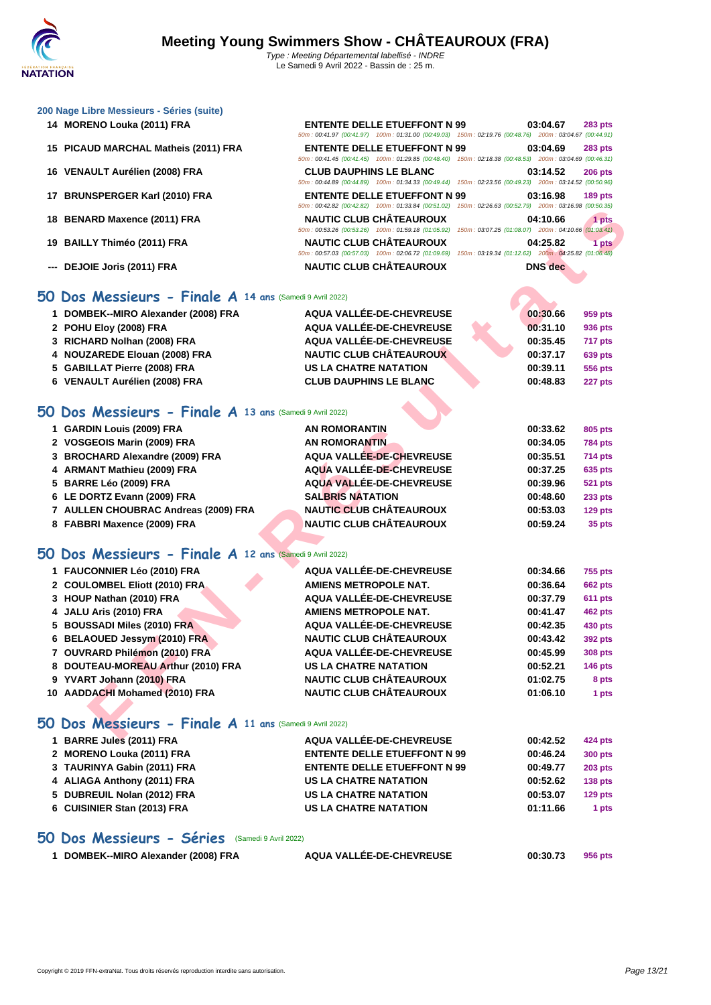50m : 00:41.97 (00:41.97) 100m : 01:31.00 (00:49.03) 150m : 02:19.76 (00:48.76) 200m : 03:04.67 (00:44.91)

50m : 00:41.45 (00:41.45) 100m : 01:29.85 (00:48.40) 150m : 02:18.38 (00:48.53) 200m : 03:04.69 (00:46.31)

50m : 00:44.89 (00:44.89) 100m : 01:34.33 (00:49.44) 150m : 02:23.56 (00:49.23) 200m : 03:14.52 (00:50.96)

50m : 00:42.82 (00:42.82) 100m : 01:33.84 (00:51.02) 150m : 02:26.63 (00:52.79) 200m : 03:16.98 (00:50.35)

| 200 Nage Libre Messieurs - Séries (suite) |
|-------------------------------------------|
|-------------------------------------------|

- **MORENO Louka (2011) FRA ENTENTE DELLE ETUEFFONT N 99 03:04.67 283 pts**
- **PICAUD MARCHAL Matheis (2011) FRA ENTENTE DELLE ETUEFFONT N 99 03:04.69 283 pts**
- **VENAULT Aurélien (2008) FRA CLUB DAUPHINS LE BLANC 03:14.52 206 pts**
- **BRUNSPERGER Karl (2010) FRA ENTENTE DELLE ETUEFFONT N 99 03:16.98 189 pts**
- **BENARD Maxence (2011) FRA NAUTIC CLUB CHÂTEAUROUX 04:10.66 1 pts**
- **BAILLY Thiméo (2011) FRA NAUTIC CLUB CHÂTEAUROUX 04:25.82 1 pts**
- **--- DEJOIE Joris (2011) FRA NAUTIC CLUB CHÂTEAUROUX DNS dec**

|                                                          | $[00.42.02]$ $[00.11.03.04]$ $[00.01.02]$                                                              |                                                                          |
|----------------------------------------------------------|--------------------------------------------------------------------------------------------------------|--------------------------------------------------------------------------|
| 18 BENARD Maxence (2011) FRA                             | <b>NAUTIC CLUB CHÂTEAUROUX</b>                                                                         | 04:10.66<br>1 pts                                                        |
| 19 BAILLY Thiméo (2011) FRA                              | 50m: 00:53.26 (00:53.26) 100m: 01:59.18 (01:05.92)<br><b>NAUTIC CLUB CHÂTEAUROUX</b>                   | 150m: 03:07.25 (01:08.07) 200m: 04:10.66 (01:03.41)<br>04:25.82<br>1 pts |
|                                                          | 50m: 00:57.03 (00:57.03) 100m: 02:06.72 (01:09.69) 150m: 03:19.34 (01:12.62) 200m: 04:25.82 (01:06.48) |                                                                          |
| --- DEJOIE Joris (2011) FRA                              | <b>NAUTIC CLUB CHÂTEAUROUX</b>                                                                         | <b>DNS</b> dec                                                           |
| 50 Dos Messieurs - Finale A 14 ans (Samedi 9 Avril 2022) |                                                                                                        |                                                                          |
| 1 DOMBEK--MIRO Alexander (2008) FRA                      | AQUA VALLÉE-DE-CHEVREUSE                                                                               | 00:30.66<br>959 pts                                                      |
| 2 POHU Eloy (2008) FRA                                   | AQUA VALLÉE-DE-CHEVREUSE                                                                               | 00:31.10<br>936 pts                                                      |
| 3 RICHARD Nolhan (2008) FRA                              | AQUA VALLÉE-DE-CHEVREUSE                                                                               | 00:35.45<br>717 pts                                                      |
| 4 NOUZAREDE Elouan (2008) FRA                            | <b>NAUTIC CLUB CHÂTEAUROUX</b>                                                                         | 00:37.17<br>639 pts                                                      |
| 5 GABILLAT Pierre (2008) FRA                             | <b>US LA CHATRE NATATION</b>                                                                           | 00:39.11<br>556 pts                                                      |
| 6 VENAULT Aurélien (2008) FRA                            | <b>CLUB DAUPHINS LE BLANC</b>                                                                          | 00:48.83<br>227 pts                                                      |
| 50 Dos Messieurs - Finale A 13 ans (Samedi 9 Avril 2022) |                                                                                                        |                                                                          |
| 1 GARDIN Louis (2009) FRA                                | <b>AN ROMORANTIN</b>                                                                                   | 00:33.62<br>805 pts                                                      |
| 2 VOSGEOIS Marin (2009) FRA                              | <b>AN ROMORANTIN</b>                                                                                   | 00:34.05<br><b>784 pts</b>                                               |
| 3 BROCHARD Alexandre (2009) FRA                          | <b>AQUA VALLÉE-DE-CHEVREUSE</b>                                                                        | 00:35.51<br>714 pts                                                      |
| 4 ARMANT Mathieu (2009) FRA                              | AQUA VALLÉE-DE-CHEVREUSE                                                                               | 00:37.25<br>635 pts                                                      |
| 5 BARRE Léo (2009) FRA                                   | AQUA VALLÉE-DE-CHEVREUSE                                                                               | 00:39.96<br><b>521 pts</b>                                               |
| 6 LE DORTZ Evann (2009) FRA                              | <b>SALBRIS NATATION</b>                                                                                | 00:48.60<br>233 pts                                                      |
| 7 AULLEN CHOUBRAC Andreas (2009) FRA                     | <b>NAUTIC CLUB CHÂTEAUROUX</b>                                                                         | 00:53.03<br>129 pts                                                      |
| 8 FABBRI Maxence (2009) FRA                              | <b>NAUTIC CLUB CHÂTEAUROUX</b>                                                                         | 00:59.24<br>35 pts                                                       |
| 50 Dos Messieurs - Finale A 12 ans (Samedi 9 Avril 2022) |                                                                                                        |                                                                          |
| 1 FAUCONNIER Léo (2010) FRA                              | AQUA VALLÉE-DE-CHEVREUSE                                                                               | 00:34.66<br>755 pts                                                      |
| 2 COULOMBEL Eliott (2010) FRA                            | <b>AMIENS METROPOLE NAT.</b>                                                                           | 00:36.64<br>662 pts                                                      |
| 3 HOUP Nathan (2010) FRA                                 | AQUA VALLÉE-DE-CHEVREUSE                                                                               | 00:37.79<br>611 pts                                                      |
| 4 JALU Aris (2010) FRA                                   | <b>AMIENS METROPOLE NAT.</b>                                                                           | 00:41.47<br>462 pts                                                      |
| 5 BOUSSADI Miles (2010) FRA                              | AQUA VALLÉE-DE-CHEVREUSE                                                                               | 00:42.35<br>430 pts                                                      |
| 6 BELAOUED Jessym (2010) FRA                             | <b>NAUTIC CLUB CHÂTEAUROUX</b>                                                                         | 00:43.42<br><b>392 pts</b>                                               |
| 7 OUVRARD Philémon (2010) FRA                            | AQUA VALLÉE-DE-CHEVREUSE                                                                               | 00:45.99<br>308 pts                                                      |
| 8 DOUTEAU-MOREAU Arthur (2010) FRA                       | <b>US LA CHATRE NATATION</b>                                                                           | 00:52.21<br>146 pts                                                      |
| 9 YVART Johann (2010) FRA                                | <b>NAUTIC CLUB CHÂTEAUROUX</b>                                                                         | 01:02.75<br>8 pts                                                        |
| 10 AADDACHI Mohamed (2010) FRA                           | <b>NAUTIC CLUB CHÂTEAUROUX</b>                                                                         | 01:06.10<br>1 pts                                                        |
| 50 Dos Messieurs - Finale A 11 ans (Samedi 9 Avril 2022) |                                                                                                        |                                                                          |
| 1 BARRE Jules (2011) FRA                                 | AQUA VALLÉE-DE-CHEVREUSE                                                                               | 00:42.52<br>424 pts                                                      |
| 2 MORENO Louka (2011) FRA                                | <b>ENTENTE DELLE ETUEFFONT N 99</b>                                                                    | 00:46.24<br>300 pts                                                      |
| 3 TAURINYA Gabin (2011) FRA                              | <b>ENTENTE DELLE ETUEFFONT N 99</b>                                                                    | 00:49.77<br>203 pts                                                      |
| 4 ALIAGA Anthony (2011) FRA                              | <b>US LA CHATRE NATATION</b>                                                                           | 00:52.62<br>138 pts                                                      |
|                                                          |                                                                                                        |                                                                          |

 **DUBREUIL Nolan (2012) FRA US LA CHATRE NATATION 00:53.07 129 pts CUISINIER Stan (2013) FRA US LA CHATRE NATATION 01:11.66 1 pts**

**50 Dos Messieurs - Séries** (Samedi 9 Avril 2022) **DOMBEK--MIRO Alexander (2008) FRA AQUA VALLÉE-DE-CHEVREUSE 00:30.73 956 pts**

Copyright © 2019 FFN-extraNat. Tous droits réservés reproduction interdite sans autorisation.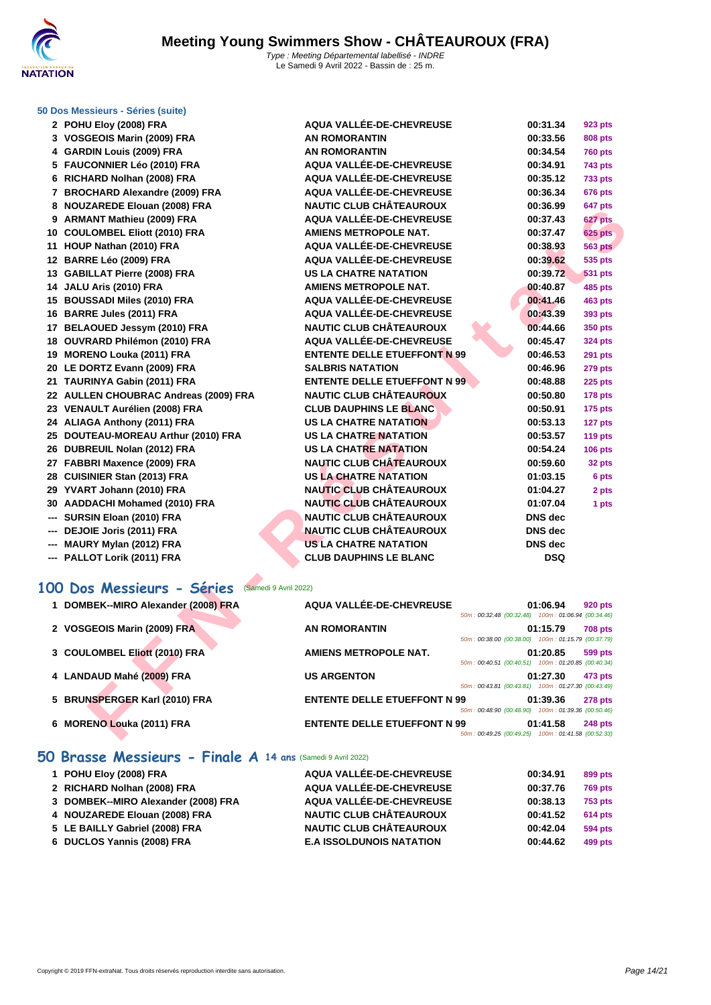

## **[50 Dos M](http://www.ffnatation.fr/webffn/index.php)essieurs - Séries (suite)**

| 2 POHU Eloy (2008) FRA                             | AQUA VALLÉE-DE-CHEVREUSE            | 00:31.34                                                         | 923 pts        |
|----------------------------------------------------|-------------------------------------|------------------------------------------------------------------|----------------|
| 3 VOSGEOIS Marin (2009) FRA                        | <b>AN ROMORANTIN</b>                | 00:33.56                                                         | 808 pts        |
| 4 GARDIN Louis (2009) FRA                          | <b>AN ROMORANTIN</b>                | 00:34.54                                                         | <b>760 pts</b> |
| 5 FAUCONNIER Léo (2010) FRA                        | <b>AQUA VALLÉE-DE-CHEVREUSE</b>     | 00:34.91                                                         | <b>743 pts</b> |
| 6 RICHARD Nolhan (2008) FRA                        | AQUA VALLÉE-DE-CHEVREUSE            | 00:35.12                                                         | <b>733 pts</b> |
| 7 BROCHARD Alexandre (2009) FRA                    | AQUA VALLÉE-DE-CHEVREUSE            | 00:36.34                                                         | <b>676 pts</b> |
| 8 NOUZAREDE Elouan (2008) FRA                      | <b>NAUTIC CLUB CHÂTEAUROUX</b>      | 00:36.99                                                         | 647 pts        |
| 9 ARMANT Mathieu (2009) FRA                        | <b>AQUA VALLÉE-DE-CHEVREUSE</b>     | 00:37.43                                                         | 627 pts        |
| 10 COULOMBEL Eliott (2010) FRA                     | <b>AMIENS METROPOLE NAT.</b>        | 00:37.47                                                         | <b>625 pts</b> |
| 11 HOUP Nathan (2010) FRA                          | AQUA VALLÉE-DE-CHEVREUSE            | 00:38.93                                                         | <b>563 pts</b> |
| 12 BARRE Léo (2009) FRA                            | AQUA VALLÉE-DE-CHEVREUSE            | 00:39.62                                                         | 535 pts        |
| 13 GABILLAT Pierre (2008) FRA                      | <b>US LA CHATRE NATATION</b>        | 00:39.72                                                         | <b>531 pts</b> |
| 14 JALU Aris (2010) FRA                            | <b>AMIENS METROPOLE NAT.</b>        | 00:40.87                                                         | 485 pts        |
| 15 BOUSSADI Miles (2010) FRA                       | AQUA VALLÉE-DE-CHEVREUSE            | 00:41.46                                                         | 463 pts        |
| 16 BARRE Jules (2011) FRA                          | AQUA VALLÉE-DE-CHEVREUSE            | 00:43.39                                                         | 393 pts        |
| 17 BELAOUED Jessym (2010) FRA                      | <b>NAUTIC CLUB CHÂTEAUROUX</b>      | 00:44.66                                                         | <b>350 pts</b> |
| 18 OUVRARD Philémon (2010) FRA                     | AQUA VALLÉE-DE-CHEVREUSE            | 00:45.47                                                         | <b>324 pts</b> |
| 19 MORENO Louka (2011) FRA                         | <b>ENTENTE DELLE ETUEFFONT N 99</b> | 00:46.53                                                         | <b>291 pts</b> |
| 20 LE DORTZ Evann (2009) FRA                       | <b>SALBRIS NATATION</b>             | 00:46.96                                                         | 279 pts        |
| 21 TAURINYA Gabin (2011) FRA                       | <b>ENTENTE DELLE ETUEFFONT N 99</b> | 00:48.88                                                         | <b>225 pts</b> |
| 22 AULLEN CHOUBRAC Andreas (2009) FRA              | <b>NAUTIC CLUB CHÂTEAUROUX</b>      | 00:50.80                                                         | <b>178 pts</b> |
| 23 VENAULT Aurélien (2008) FRA                     | <b>CLUB DAUPHINS LE BLANC</b>       | 00:50.91                                                         | <b>175 pts</b> |
| 24 ALIAGA Anthony (2011) FRA                       | <b>US LA CHATRE NATATION</b>        | 00:53.13                                                         | 127 pts        |
| 25 DOUTEAU-MOREAU Arthur (2010) FRA                | <b>US LA CHATRE NATATION</b>        | 00:53.57                                                         | 119 pts        |
| 26 DUBREUIL Nolan (2012) FRA                       | <b>US LA CHATRE NATATION</b>        | 00:54.24                                                         | <b>106 pts</b> |
| 27 FABBRI Maxence (2009) FRA                       | <b>NAUTIC CLUB CHATEAUROUX</b>      | 00:59.60                                                         | 32 pts         |
| 28 CUISINIER Stan (2013) FRA                       | <b>US LA CHATRE NATATION</b>        | 01:03.15                                                         | 6 pts          |
| 29 YVART Johann (2010) FRA                         | <b>NAUTIC CLUB CHÂTEAUROUX</b>      | 01:04.27                                                         | 2 pts          |
| 30 AADDACHI Mohamed (2010) FRA                     | <b>NAUTIC CLUB CHÂTEAUROUX</b>      | 01:07.04                                                         | 1 pts          |
| --- SURSIN Eloan (2010) FRA                        | <b>NAUTIC CLUB CHÂTEAUROUX</b>      | <b>DNS</b> dec                                                   |                |
| --- DEJOIE Joris (2011) FRA                        | NAUTIC CLUB CHÂTEAUROUX             | <b>DNS</b> dec                                                   |                |
| --- MAURY Mylan (2012) FRA                         | <b>US LA CHATRE NATATION</b>        | <b>DNS</b> dec                                                   |                |
| --- PALLOT Lorik (2011) FRA                        | <b>CLUB DAUPHINS LE BLANC</b>       | <b>DSQ</b>                                                       |                |
|                                                    |                                     |                                                                  |                |
| 00 Dos Messieurs - Séries<br>(Samedi 9 Avril 2022) |                                     |                                                                  |                |
| 1 DOMBEK--MIRO Alexander (2008) FRA                | AQUA VALLÉE-DE-CHEVREUSE            | 01:06.94<br>50m: 00:32.48 (00:32.48) 100m: 01:06.94 (00:34.46)   | <b>920 pts</b> |
| 2 VOSGEOIS Marin (2009) FRA                        | <b>AN ROMORANTIN</b>                | 01:15.79                                                         | <b>708 pts</b> |
|                                                    |                                     | 50m: 00:38.00 (00:38.00) 100m: 01:15.79 (00:37.79)               |                |
| 3 COULOMBEL Eliott (2010) FRA                      | <b>AMIENS METROPOLE NAT.</b>        | 01:20.85<br>50m: 00:40.51 (00:40.51) 100m: 01:20.85 (00:40.34)   | 599 pts        |
| 4 LANDAUD Mahé (2009) FRA                          | <b>US ARGENTON</b>                  | 01:27.30                                                         | 473 pts        |
|                                                    |                                     | 50m: 00:43.81 (00:43.81) 100m: 01:27.30 (00:43.49)               |                |
| 5 BRUNSPERGER Karl (2010) FRA                      | <b>ENTENTE DELLE ETUEFFONT N 99</b> | 01:39.36<br>50m : 00:48.90 (00:48.90) 100m : 01:39.36 (00:50.46) | <b>278 pts</b> |
| 6 MORENO Louka (2011) FRA                          | <b>ENTENTE DELLE ETUEFFONT N 99</b> | 01:41.58                                                         | <b>248 pts</b> |
|                                                    |                                     | 50m: 00:49.25 (00:49.25) 100m: 01:41.58 (00:52.33)               |                |

### **100 Dos Messieurs - Séries** (Samedi 9 Avril 2022)

| 1 DOMBEK--MIRO Alexander (2008) FRA | <b>AQUA VALLÉE-DE-CHEVREUSE</b>     |                                                    | 01:06.94 | <b>920 pts</b> |
|-------------------------------------|-------------------------------------|----------------------------------------------------|----------|----------------|
|                                     |                                     | 50m: 00:32.48 (00:32.48) 100m: 01:06.94 (00:34.46) |          |                |
| 2 VOSGEOIS Marin (2009) FRA         | <b>AN ROMORANTIN</b>                |                                                    | 01:15.79 | <b>708 pts</b> |
|                                     |                                     | 50m: 00:38.00 (00:38.00) 100m: 01:15.79 (00:37.79) |          |                |
| 3 COULOMBEL Eliott (2010) FRA       | <b>AMIENS METROPOLE NAT.</b>        |                                                    | 01:20.85 | 599 pts        |
|                                     |                                     | 50m: 00:40.51 (00:40.51) 100m: 01:20.85 (00:40.34) |          |                |
| 4 LANDAUD Mahé (2009) FRA           | <b>US ARGENTON</b>                  |                                                    | 01:27.30 | 473 pts        |
|                                     |                                     | 50m: 00:43.81 (00:43.81) 100m: 01:27.30 (00:43.49) |          |                |
| 5 BRUNSPERGER Karl (2010) FRA       | <b>ENTENTE DELLE ETUEFFONT N 99</b> |                                                    | 01:39.36 | <b>278 pts</b> |
|                                     |                                     | 50m: 00:48.90 (00:48.90) 100m: 01:39.36 (00:50.46) |          |                |
| 6 MORENO Louka (2011) FRA           | <b>ENTENTE DELLE ETUEFFONT N 99</b> |                                                    | 01:41.58 | <b>248 pts</b> |
|                                     |                                     | 50m: 00:49.25 (00:49.25) 100m: 01:41.58 (00:52.33) |          |                |

### **50 Brasse Messieurs - Finale A 14 ans** (Samedi 9 Avril 2022)

| 1 POHU Eloy (2008) FRA              | AQUA VALLÉE-DE-CHEVREUSE        | 00:34.91 | 899 pts        |
|-------------------------------------|---------------------------------|----------|----------------|
| 2 RICHARD Nolhan (2008) FRA         | AQUA VALLÉE-DE-CHEVREUSE        | 00:37.76 | <b>769 pts</b> |
| 3 DOMBEK--MIRO Alexander (2008) FRA | AQUA VALLÉE-DE-CHEVREUSE        | 00:38.13 | <b>753 pts</b> |
| 4 NOUZAREDE Elouan (2008) FRA       | <b>NAUTIC CLUB CHÂTEAUROUX</b>  | 00:41.52 | <b>614 pts</b> |
| 5 LE BAILLY Gabriel (2008) FRA      | <b>NAUTIC CLUB CHÂTEAUROUX</b>  | 00:42.04 | 594 pts        |
| 6 DUCLOS Yannis (2008) FRA          | <b>E.A ISSOLDUNOIS NATATION</b> | 00:44.62 | 499 pts        |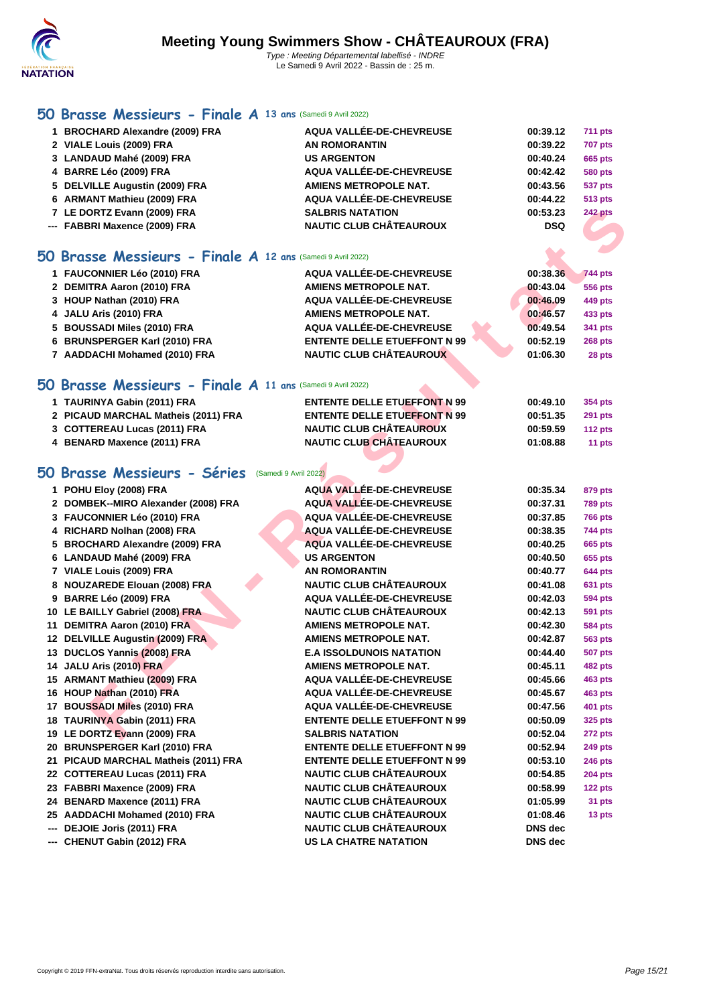#### **[50 Bra](http://www.ffnatation.fr/webffn/index.php)sse Messieurs - Finale A 13 ans** (Samedi 9 Avril 2022)

 **BROCHARD Alexandre (2009) FRA AQUA VALLÉE-DE-CHEVREUSE 00:39.12 711 pts VIALE Louis (2009) FRA AN ROMORANTIN 00:39.22 707 pts LANDAUD Mahé (2009) FRA US ARGENTON 00:40.24 665 pts [BARRE Léo \(2009\) FRA](http://www.ffnatation.fr/webffn/resultats.php?idact=nat&go=epr&idcpt=76957&idepr=71) AQUA VALLÉE-DE-CHEVREUSE 00:42.42 580 pts DELVILLE Augustin (2009) FRA AMIENS METROPOLE NAT. 00:43.56 537 pts ARMANT Mathieu (2009) FRA AQUA VALLÉE-DE-CHEVREUSE 00:44.22 513 pts LE DORTZ Evann (2009) FRA SALBRIS NATATION 00:53.23 242 pts --- FABBRI Maxence (2009) FRA NAUTIC CLUB CHÂTEAUROUX DSQ**

#### **50 Brasse Messieurs - Finale A 12 ans** (Samedi 9 Avril 2022)

| 1 FAUCONNIER Léo (2010) FRA   | AQUA VALLÉE-DE-CHEVREUSE            | 00:38.36 | <b>744 pts</b> |
|-------------------------------|-------------------------------------|----------|----------------|
| 2 DEMITRA Aaron (2010) FRA    | <b>AMIENS METROPOLE NAT.</b>        | 00:43.04 | 556 pts        |
| 3 HOUP Nathan (2010) FRA      | AQUA VALLÉE-DE-CHEVREUSE            | 00:46.09 | 449 pts        |
| 4 JALU Aris (2010) FRA        | <b>AMIENS METROPOLE NAT.</b>        | 00:46.57 | 433 pts        |
| 5 BOUSSADI Miles (2010) FRA   | AQUA VALLÉE-DE-CHEVREUSE            | 00:49.54 | 341 pts        |
| 6 BRUNSPERGER Karl (2010) FRA | <b>ENTENTE DELLE ETUEFFONT N 99</b> | 00:52.19 | <b>268 pts</b> |
| 7 AADDACHI Mohamed (2010) FRA | <b>NAUTIC CLUB CHÂTEAUROUX</b>      | 01:06.30 | 28 pts         |
|                               |                                     |          |                |

### **50 Brasse Messieurs - Finale A 11 ans** (Samedi 9 Avril 2022)

| <b>ENTENTE DELLE ETUEFFONT N 99</b> | 00:49.10 | <b>354 pts</b> |
|-------------------------------------|----------|----------------|
| <b>ENTENTE DELLE ETUEFFONT N 99</b> | 00:51.35 | <b>291 pts</b> |
| <b>NAUTIC CLUB CHÂTEAUROUX</b>      | 00:59.59 | 112 pts        |
| <b>NAUTIC CLUB CHÂTEAUROUX</b>      | 01:08.88 | 11 pts         |
|                                     |          |                |
|                                     |          |                |

### **50 Brasse Messieurs - Séries** (Samedi 9 Avril 2022)

|    | 7 LE DORTZ Evann (2009) FRA                              | <b>SALBRIS NATATION</b>             | 00:53.23       | <b>242 pts</b> |
|----|----------------------------------------------------------|-------------------------------------|----------------|----------------|
|    | --- FABBRI Maxence (2009) FRA                            | <b>NAUTIC CLUB CHÂTEAUROUX</b>      | <b>DSQ</b>     |                |
|    |                                                          |                                     |                |                |
| O  | Brasse Messieurs - Finale A 12 ans (Samedi 9 Avril 2022) |                                     |                |                |
|    | 1 FAUCONNIER Léo (2010) FRA                              | AQUA VALLÉE-DE-CHEVREUSE            | 00:38.36       | <b>744 pts</b> |
|    | 2 DEMITRA Aaron (2010) FRA                               | <b>AMIENS METROPOLE NAT.</b>        | 00:43.04       | <b>556 pts</b> |
|    | 3 HOUP Nathan (2010) FRA                                 | AQUA VALLÉE-DE-CHEVREUSE            | 00:46.09       | 449 pts        |
|    | 4 JALU Aris (2010) FRA                                   | <b>AMIENS METROPOLE NAT.</b>        | 00:46.57       | 433 pts        |
|    | 5 BOUSSADI Miles (2010) FRA                              | AQUA VALLÉE-DE-CHEVREUSE            | 00:49.54       | 341 pts        |
|    | 6 BRUNSPERGER Karl (2010) FRA                            | <b>ENTENTE DELLE ETUEFFONT N 99</b> | 00:52.19       | <b>268 pts</b> |
|    | 7 AADDACHI Mohamed (2010) FRA                            | <b>NAUTIC CLUB CHÂTEAUROUX</b>      | 01:06.30       | 28 pts         |
|    |                                                          |                                     |                |                |
| Ю. | Brasse Messieurs - Finale A 11 ans (Samedi 9 Avril 2022) |                                     |                |                |
|    | 1 TAURINYA Gabin (2011) FRA                              | <b>ENTENTE DELLE ETUEFFONT N 99</b> | 00:49.10       | 354 pts        |
|    | 2 PICAUD MARCHAL Matheis (2011) FRA                      | <b>ENTENTE DELLE ETUEFFONT N 99</b> | 00:51.35       | <b>291 pts</b> |
|    | 3 COTTEREAU Lucas (2011) FRA                             | <b>NAUTIC CLUB CHÂTEAUROUX</b>      | 00:59.59       | 112 pts        |
|    | 4 BENARD Maxence (2011) FRA                              | <b>NAUTIC CLUB CHÂTEAUROUX</b>      | 01:08.88       | 11 pts         |
|    |                                                          |                                     |                |                |
|    | iO Brasse Messieurs - Séries<br>(Samedi 9 Avril 2022)    |                                     |                |                |
|    | 1 POHU Eloy (2008) FRA                                   | AQUA VALLÉE-DE-CHEVREUSE            | 00:35.34       | 879 pts        |
|    | 2 DOMBEK--MIRO Alexander (2008) FRA                      | <b>AQUA VALLÉE-DE-CHEVREUSE</b>     | 00:37.31       | <b>789 pts</b> |
|    | 3 FAUCONNIER Léo (2010) FRA                              | <b>AQUA VALLÉE-DE-CHEVREUSE</b>     | 00:37.85       | <b>766 pts</b> |
|    | 4 RICHARD Nolhan (2008) FRA                              | AQUA VALLÉE-DE-CHEVREUSE            | 00:38.35       | 744 pts        |
|    | 5 BROCHARD Alexandre (2009) FRA                          | AQUA VALLÉE-DE-CHEVREUSE            | 00:40.25       | <b>665 pts</b> |
|    | 6 LANDAUD Mahé (2009) FRA                                | <b>US ARGENTON</b>                  | 00:40.50       | 655 pts        |
|    | 7 VIALE Louis (2009) FRA                                 | <b>AN ROMORANTIN</b>                | 00:40.77       | <b>644 pts</b> |
|    | 8 NOUZAREDE Elouan (2008) FRA                            | <b>NAUTIC CLUB CHÂTEAUROUX</b>      | 00:41.08       | 631 pts        |
|    | 9 BARRE Léo (2009) FRA                                   | AQUA VALLÉE-DE-CHEVREUSE            | 00:42.03       | <b>594 pts</b> |
|    | 10 LE BAILLY Gabriel (2008) FRA                          | <b>NAUTIC CLUB CHÂTEAUROUX</b>      | 00:42.13       | <b>591 pts</b> |
|    | 11 DEMITRA Aaron (2010) FRA                              | <b>AMIENS METROPOLE NAT.</b>        | 00:42.30       | 584 pts        |
|    | 12 DELVILLE Augustin (2009) FRA                          | <b>AMIENS METROPOLE NAT.</b>        | 00:42.87       | <b>563 pts</b> |
|    | 13 DUCLOS Yannis (2008) FRA                              | <b>E.A ISSOLDUNOIS NATATION</b>     | 00:44.40       | <b>507 pts</b> |
|    | 14 JALU Aris (2010) FRA                                  | <b>AMIENS METROPOLE NAT.</b>        | 00:45.11       | <b>482 pts</b> |
|    | 15 ARMANT Mathieu (2009) FRA                             | AQUA VALLÉE-DE-CHEVREUSE            | 00:45.66       | 463 pts        |
|    | 16 HOUP Nathan (2010) FRA                                | AQUA VALLÉE-DE-CHEVREUSE            | 00:45.67       | 463 pts        |
|    | 17 BOUSSADI Miles (2010) FRA                             | AQUA VALLÉE-DE-CHEVREUSE            | 00:47.56       | 401 pts        |
|    | 18 TAURINYA Gabin (2011) FRA                             | <b>ENTENTE DELLE ETUEFFONT N 99</b> | 00:50.09       | 325 pts        |
|    | 19 LE DORTZ Evann (2009) FRA                             | <b>SALBRIS NATATION</b>             | 00:52.04       | 272 pts        |
|    | 20 BRUNSPERGER Karl (2010) FRA                           | <b>ENTENTE DELLE ETUEFFONT N 99</b> | 00:52.94       | <b>249 pts</b> |
|    | 21 PICAUD MARCHAL Matheis (2011) FRA                     | <b>ENTENTE DELLE ETUEFFONT N 99</b> | 00:53.10       | <b>246 pts</b> |
|    | 22 COTTEREAU Lucas (2011) FRA                            | <b>NAUTIC CLUB CHÂTEAUROUX</b>      | 00:54.85       | <b>204 pts</b> |
|    | 23 FABBRI Maxence (2009) FRA                             | <b>NAUTIC CLUB CHÂTEAUROUX</b>      | 00:58.99       | 122 pts        |
|    | 24 BENARD Maxence (2011) FRA                             | <b>NAUTIC CLUB CHÂTEAUROUX</b>      | 01:05.99       | 31 pts         |
|    | 25 AADDACHI Mohamed (2010) FRA                           | <b>NAUTIC CLUB CHÂTEAUROUX</b>      | 01:08.46       | 13 pts         |
|    | --- DEJOIE Joris (2011) FRA                              | <b>NAUTIC CLUB CHÂTEAUROUX</b>      | <b>DNS</b> dec |                |
|    | --- CHENUT Gabin (2012) FRA                              | <b>US LA CHATRE NATATION</b>        | DNS dec        |                |
|    |                                                          |                                     |                |                |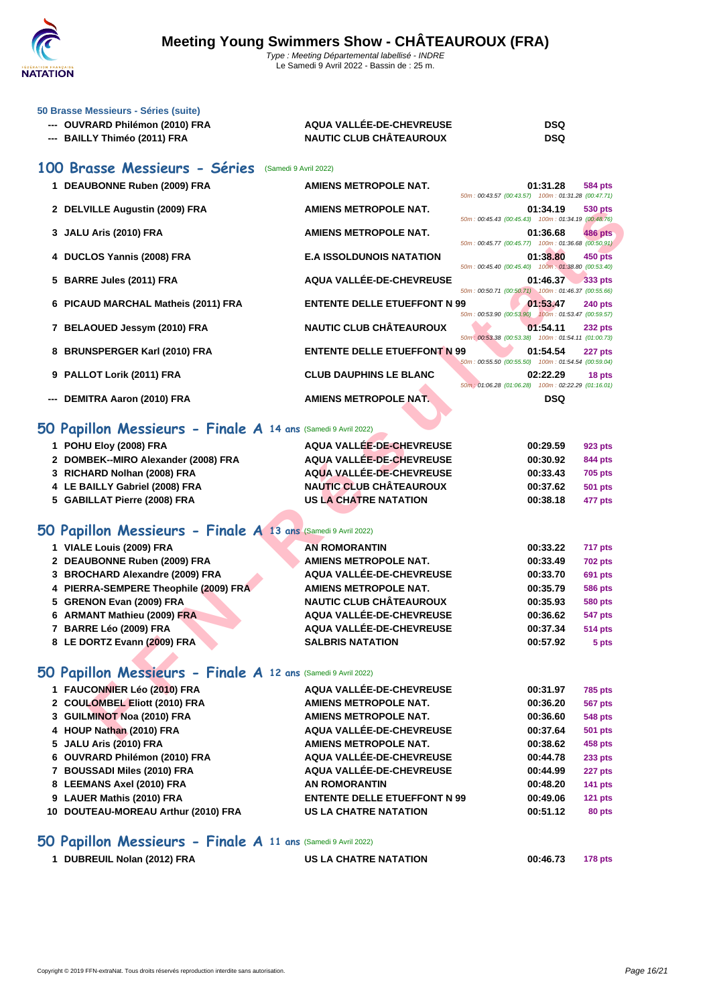

#### **[50 Brasse](http://www.ffnatation.fr/webffn/index.php) Messieurs - Séries (suite)**

| --- OUVRARD Philémon (2010) FRA | AQUA VALLÉE-DE-CHEVREUSE       | <b>DSQ</b> |
|---------------------------------|--------------------------------|------------|
| --- BAILLY Thiméo (2011) FRA    | <b>NAUTIC CLUB CHÂTEAUROUX</b> | <b>DSQ</b> |

### **100 Brasse Messieurs - Séries** (Samedi 9 Avril 2022)

|     | 1 DEAUBONNE Ruben (2009) FRA        | AMIENS METROPOLE NAT.               | 50m: 00:43.57 (00:43.57) 100m: 01:31.28 (00:47.71)   | 01:31.28                              | 584 pts        |
|-----|-------------------------------------|-------------------------------------|------------------------------------------------------|---------------------------------------|----------------|
|     | 2 DELVILLE Augustin (2009) FRA      | AMIENS METROPOLE NAT.               | 50m: 00:45.43 (00:45.43) 100m: 01:34.19 (00:48.76)   | 01:34.19                              | 530 pts        |
|     | 3 JALU Aris (2010) FRA              | AMIENS METROPOLE NAT.               | 50m: 00:45.77 (00:45.77) 100m: 01:36.68 (00:50.91)   | 01:36.68                              | <b>486 pts</b> |
|     | 4 DUCLOS Yannis (2008) FRA          | <b>E.A ISSOLDUNOIS NATATION</b>     | 50m: 00:45.40 (00:45.40) 100m: 01:38.80 (00:53.40)   | 01:38.80                              | <b>450 pts</b> |
|     | 5 BARRE Jules (2011) FRA            | AQUA VALLÉE-DE-CHEVREUSE            | 50m: 00:50.71 (00:50.71) 100m: 01:46.37 (00:55.66)   | 01:46.37                              | 333 pts        |
|     | 6 PICAUD MARCHAL Matheis (2011) FRA | <b>ENTENTE DELLE ETUEFFONT N 99</b> | 50m: 00:53.90 (00:53.90) 100m: 01:53.47 (00:59.57)   | 01:53.47                              | <b>240 pts</b> |
|     | 7 BELAOUED Jessym (2010) FRA        | <b>NAUTIC CLUB CHÂTEAUROUX</b>      | 50m : 00:53.38 (00:53.38) 100m : 01:54.11 (01:00.73) | 01:54.11                              | <b>232 pts</b> |
|     | 8 BRUNSPERGER Karl (2010) FRA       | <b>ENTENTE DELLE ETUEFFONT N 99</b> | 50m: 00:55.50 (00:55.50) 100m: 01:54.54 (00:59.04)   | 01:54.54                              | <b>227 pts</b> |
|     | 9 PALLOT Lorik (2011) FRA           | <b>CLUB DAUPHINS LE BLANC</b>       | 50m: 01:06.28 (01:06.28)                             | 02:22.29<br>100m: 02:22.29 (01:16.01) | 18 pts         |
| --- | DEMITRA Aaron (2010) FRA            | AMIENS METROPOLE NAT.               |                                                      | <b>DSQ</b>                            |                |

### **50 Papillon Messieurs - Finale A 14 ans** (Samedi 9 Avril 2022)

| 2 DELVILLE Augustin (2009) FRA                                | AMIENS METROPOLE NAT.               | 01:34.19<br>530 pts<br>50m: 00:45.43 (00:45.43) 100m: 01:34.19 (00:48.76)          |
|---------------------------------------------------------------|-------------------------------------|------------------------------------------------------------------------------------|
| 3 JALU Aris (2010) FRA                                        | <b>AMIENS METROPOLE NAT.</b>        | 01:36.68<br><b>486 pts</b><br>50m: 00:45.77 (00:45.77) 100m: 01:36.68 (00:50.91)   |
| 4 DUCLOS Yannis (2008) FRA                                    | <b>E.A ISSOLDUNOIS NATATION</b>     | 01:38.80<br><b>450 pts</b><br>50m: 00:45.40 (00:45.40) 100m: 01:38.80 (00:53.40)   |
| 5 BARRE Jules (2011) FRA                                      | AQUA VALLÉE-DE-CHEVREUSE            | 01:46.37<br><b>333 pts</b><br>50m: 00:50.71 (00:50.71) 100m: 01:46.37 (00:55.66)   |
| 6 PICAUD MARCHAL Matheis (2011) FRA                           | <b>ENTENTE DELLE ETUEFFONT N 99</b> | 01:53.47<br><b>240 pts</b><br>50m: 00:53.90 (00:53.90) 100m: 01:53.47 (00:59.57)   |
| 7 BELAOUED Jessym (2010) FRA                                  | <b>NAUTIC CLUB CHÂTEAUROUX</b>      | 01:54.11<br><b>232 pts</b><br>50m : 00:53.38 (00:53.38) 100m : 01:54.11 (01:00.73) |
| 8 BRUNSPERGER Karl (2010) FRA                                 | <b>ENTENTE DELLE ETUEFFONT N 99</b> | 01:54.54<br>227 pts<br>50m: 00:55.50 (00:55.50) 100m: 01:54.54 (00:59.04)          |
| 9 PALLOT Lorik (2011) FRA                                     | <b>CLUB DAUPHINS LE BLANC</b>       | 02:22.29<br>18 pts<br>50m : 01:06.28 (01:06.28) 100m : 02:22.29 (01:16.01)         |
| --- DEMITRA Aaron (2010) FRA                                  | <b>AMIENS METROPOLE NAT.</b>        | <b>DSQ</b>                                                                         |
| 50 Papillon Messieurs - Finale A 14 ans (Samedi 9 Avril 2022) |                                     |                                                                                    |
| 1 POHU Eloy (2008) FRA                                        | AQUA VALLÉE-DE-CHEVREUSE            | 00:29.59<br>923 pts                                                                |
| 2 DOMBEK--MIRO Alexander (2008) FRA                           | <b>AQUA VALLÉE-DE-CHEVREUSE</b>     | 00:30.92<br>844 pts                                                                |
| 3 RICHARD Nolhan (2008) FRA                                   | <b>AQUA VALLÉE-DE-CHEVREUSE</b>     | 00:33.43<br><b>705 pts</b>                                                         |
| 4 LE BAILLY Gabriel (2008) FRA                                | <b>NAUTIC CLUB CHÂTEAUROUX</b>      | 00:37.62<br>501 pts                                                                |
| 5 GABILLAT Pierre (2008) FRA                                  | <b>US LA CHATRE NATATION</b>        | 00:38.18<br>477 pts                                                                |
| 50 Papillon Messieurs - Finale A 13 ans (Samedi 9 Avril 2022) |                                     |                                                                                    |
| 1 VIALE Louis (2009) FRA                                      | <b>AN ROMORANTIN</b>                | 00:33.22<br>717 pts                                                                |
| 2 DEAUBONNE Ruben (2009) FRA                                  | <b>AMIENS METROPOLE NAT.</b>        | 00:33.49<br>702 pts                                                                |
| 3 BROCHARD Alexandre (2009) FRA                               | AQUA VALLÉE-DE-CHEVREUSE            | 00:33.70<br>691 pts                                                                |
| 4 PIERRA-SEMPERE Theophile (2009) FRA                         | <b>AMIENS METROPOLE NAT.</b>        | 00:35.79<br>586 pts                                                                |
| 5 GRENON Evan (2009) FRA                                      | <b>NAUTIC CLUB CHÂTEAUROUX</b>      | 00:35.93<br>580 pts                                                                |
| 6 ARMANT Mathieu (2009) FRA                                   | AQUA VALLÉE-DE-CHEVREUSE            | 00:36.62<br>547 pts                                                                |
| 7 BARRE Léo (2009) FRA                                        | AQUA VALLÉE-DE-CHEVREUSE            | 00:37.34<br>514 pts                                                                |
| 8 LE DORTZ Evann (2009) FRA                                   | <b>SALBRIS NATATION</b>             | 00:57.92<br>5 pts                                                                  |
| 50 Papillon Messieurs - Finale A 12 ans (Samedi 9 Avril 2022) |                                     |                                                                                    |
| 1 FAUCONNIER Léo (2010) FRA                                   | AQUA VALLÉE-DE-CHEVREUSE            | 00:31.97<br>785 pts                                                                |
| 2 COULOMBEL Eliott (2010) FRA                                 | <b>AMIENS METROPOLE NAT.</b>        | 00:36.20<br>567 pts                                                                |
| 3 GUILMINOT Noa (2010) FRA                                    | <b>AMIENS METROPOLE NAT.</b>        | 00:36.60<br>548 pts                                                                |
| 4 HOUP Nathan (2010) FRA                                      | AQUA VALLÉE-DE-CHEVREUSE            | 00:37.64<br>501 pts                                                                |
|                                                               |                                     |                                                                                    |

### **50 Papillon Messieurs - Finale A 12 ans** (Samedi 9 Avril 2022)

| 1 FAUCONNIER Léo (2010) FRA         | AQUA VALLÉE-DE-CHEVREUSE            | 00:31.97 | <b>785 pts</b> |
|-------------------------------------|-------------------------------------|----------|----------------|
| 2 COULOMBEL Eliott (2010) FRA       | <b>AMIENS METROPOLE NAT.</b>        | 00:36.20 | <b>567 pts</b> |
| 3 GUILMINOT Noa (2010) FRA          | <b>AMIENS METROPOLE NAT.</b>        | 00:36.60 | <b>548 pts</b> |
| 4 HOUP Nathan (2010) FRA            | AQUA VALLÉE-DE-CHEVREUSE            | 00:37.64 | <b>501 pts</b> |
| 5 JALU Aris (2010) FRA              | AMIENS METROPOLE NAT.               | 00:38.62 | <b>458 pts</b> |
| 6 OUVRARD Philémon (2010) FRA       | AQUA VALLÉE-DE-CHEVREUSE            | 00:44.78 | <b>233 pts</b> |
| 7 BOUSSADI Miles (2010) FRA         | AQUA VALLÉE-DE-CHEVREUSE            | 00:44.99 | 227 pts        |
| 8 LEEMANS Axel (2010) FRA           | <b>AN ROMORANTIN</b>                | 00:48.20 | 141 pts        |
| 9 LAUER Mathis (2010) FRA           | <b>ENTENTE DELLE ETUEFFONT N 99</b> | 00:49.06 | <b>121 pts</b> |
| 10 DOUTEAU-MOREAU Arthur (2010) FRA | <b>US LA CHATRE NATATION</b>        | 00:51.12 | 80 pts         |
|                                     |                                     |          |                |

### **50 Papillon Messieurs - Finale A 11 ans** (Samedi 9 Avril 2022)

| 1 DUBREUIL Nolan (2012) FRA |  |  |
|-----------------------------|--|--|
|                             |  |  |

**178 pts 178 pts 178 pts**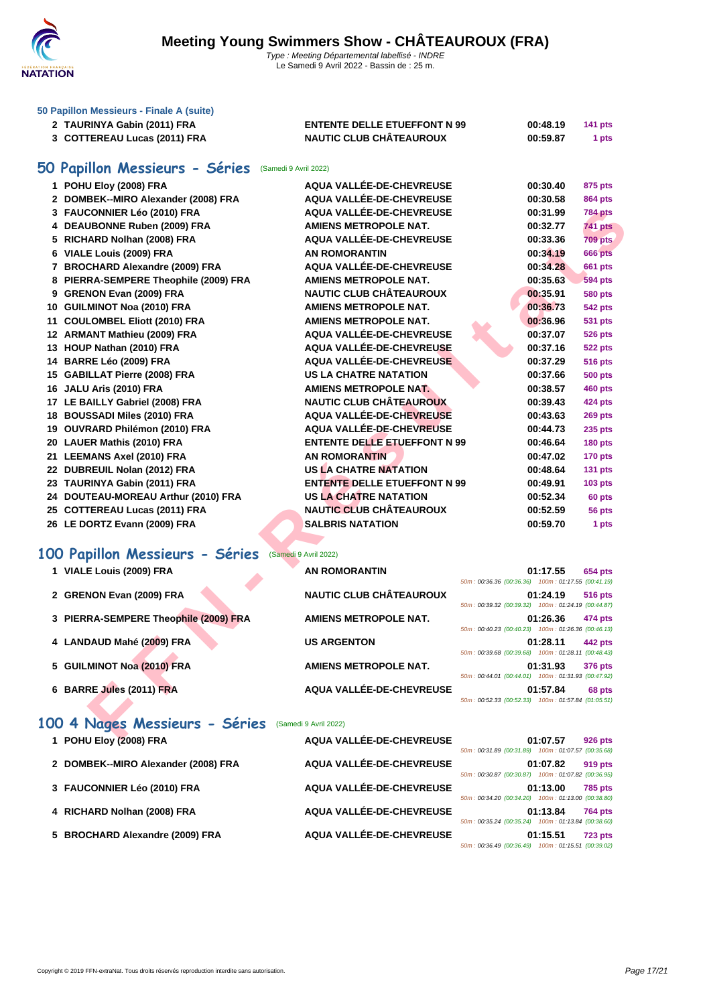

| 50 Papillon Messieurs - Finale A (suite)<br>2 TAURINYA Gabin (2011) FRA<br>3 COTTEREAU Lucas (2011) FRA | <b>ENTENTE DELLE ETUEFFONT N 99</b><br><b>NAUTIC CLUB CHÂTEAUROUX</b> | 00:48.19<br>00:59.87 | <b>141 pts</b><br>1 pts |
|---------------------------------------------------------------------------------------------------------|-----------------------------------------------------------------------|----------------------|-------------------------|
| 50 Papillon Messieurs - Séries (Samedi 9 Avril 2022)                                                    |                                                                       |                      |                         |

# CONNER Leig (2010) FRA AGUAI VALLÉE-DE-CHEVREUSE 00:37-99 TASH AGUAI VALLÉE-DE-CHEVREUSE 00:37-99 TASH AGUAI VALLÉE-DE-CHEVREUSE DESIGNATION<br>
E Louis (2009) FRA AGUAI VALLÉE-DE-CHEVREUSE 00:37-39 FRA AGUAI VALLÉE-DE-CHEVRE **POHU Eloy (2008) FRA AQUA VALLÉE-DE-CHEVREUSE 00:30.40 875 pts DOMBEK--MIRO Alexander (2008) FRA AQUA VALLÉE-DE-CHEVREUSE 00:30.58 864 pts FAUCONNIER Léo (2010) FRA AQUA VALLÉE-DE-CHEVREUSE 00:31.99 784 pts DEAUBONNE Ruben (2009) FRA AMIENS METROPOLE NAT. 00:32.77 741 pts RICHARD Nolhan (2008) FRA AQUA VALLÉE-DE-CHEVREUSE 00:33.36 709 pts VIALE Louis (2009) FRA AN ROMORANTIN 00:34.19 666 pts BROCHARD Alexandre (2009) FRA AQUA VALLÉE-DE-CHEVREUSE 00:34.28 661 pts PIERRA-SEMPERE Theophile (2009) FRA AMIENS METROPOLE NAT. 00:35.63 594 pts GRENON Evan (2009) FRA NAUTIC CLUB CHÂTEAUROUX 00:35.91 580 pts GUILMINOT Noa (2010) FRA AMIENS METROPOLE NAT. 00:36.73 542 pts COULOMBEL Eliott (2010) FRA AMIENS METROPOLE NAT. 00:36.96 531 pts ARMANT Mathieu (2009) FRA AQUA VALLÉE-DE-CHEVREUSE 00:37.07 526 pts HOUP Nathan (2010) FRA AQUA VALLÉE-DE-CHEVREUSE 00:37.16 522 pts BARRE Léo (2009) FRA AQUA VALLÉE-DE-CHEVREUSE 00:37.29 516 pts GABILLAT Pierre (2008) FRA US LA CHATRE NATATION 00:37.66 500 pts JALU Aris (2010) FRA AMIENS METROPOLE NAT. 00:38.57 460 pts**

- 
- **LE BAILLY Gabriel (2008) FRA NAUTIC CLUB CHÂTEAUROUX 00:39.43 424 pts**
- **BOUSSADI Miles (2010) FRA AQUA VALLÉE-DE-CHEVREUSE 00:43.63 269 pts**
- **OUVRARD Philémon (2010) FRA AQUA VALLÉE-DE-CHEVREUSE 00:44.73 235 pts**
- **LAUER Mathis (2010) FRA ENTENTE DELLE ETUEFFONT N 99 00:46.64 180 pts**
- **LEEMANS Axel (2010) FRA AN ROMORANTIN 00:47.02 170 pts**
- **DUBREUIL Nolan (2012) FRA US LA CHATRE NATATION 00:48.64 131 pts**
- **TAURINYA Gabin (2011) FRA ENTENTE DELLE ETUEFFONT N 99 00:49.91 103 pts**
- **DOUTEAU-MOREAU Arthur (2010) FRA US LA CHATRE NATATION 00:52.34 60 pts COTTEREAU Lucas (2011) FRA NAUTIC CLUB CHÂTEAUROUX 00:52.59 56 pts**
- **LE DORTZ Evann (2009) FRA SALBRIS NATATION 00:59.70 1 pts**

#### **100 Papillon Messieurs - Séries** (Samedi 9 Avril 2022)

| 1 VIALE Louis (2009) FRA              | <b>AN ROMORANTIN</b>           |                                                    | 01:17.55 | <b>654 pts</b> |
|---------------------------------------|--------------------------------|----------------------------------------------------|----------|----------------|
|                                       |                                | 50m: 00:36.36 (00:36.36) 100m: 01:17.55 (00:41.19) |          |                |
| 2 GRENON Evan (2009) FRA              | <b>NAUTIC CLUB CHÂTEAUROUX</b> |                                                    | 01:24.19 | <b>516 pts</b> |
|                                       |                                | 50m: 00:39.32 (00:39.32) 100m: 01:24.19 (00:44.87) |          |                |
| 3 PIERRA-SEMPERE Theophile (2009) FRA | <b>AMIENS METROPOLE NAT.</b>   |                                                    | 01:26.36 | 474 pts        |
|                                       |                                | 50m: 00:40.23 (00:40.23) 100m: 01:26.36 (00:46.13) |          |                |
| 4 LANDAUD Mahé (2009) FRA             | <b>US ARGENTON</b>             |                                                    | 01:28.11 | 442 pts        |
|                                       |                                | 50m: 00:39.68 (00:39.68) 100m: 01:28.11 (00:48.43) |          |                |
| 5 GUILMINOT Noa (2010) FRA            | AMIENS METROPOLE NAT.          |                                                    | 01:31.93 | 376 pts        |
|                                       |                                | 50m: 00:44.01 (00:44.01) 100m: 01:31.93 (00:47.92) |          |                |
| 6 BARRE Jules (2011) FRA              | AQUA VALLÉE-DE-CHEVREUSE       |                                                    | 01:57.84 | 68 pts         |
|                                       |                                | 50m: 00:52.33 (00:52.33) 100m: 01:57.84 (01:05.51) |          |                |

### 100 4 Nages Messieurs - Séries (Samedi 9 Avril 2022)

| 1 POHU Eloy (2008) FRA              | AQUA VALLÉE-DE-CHEVREUSE | 50m: 00:31.89 (00:31.89) 100m: 01:07.57 (00:35.68) | 01:07.57 | <b>926 pts</b> |
|-------------------------------------|--------------------------|----------------------------------------------------|----------|----------------|
| 2 DOMBEK--MIRO Alexander (2008) FRA | AQUA VALLÉE-DE-CHEVREUSE | 50m: 00:30.87 (00:30.87) 100m: 01:07.82 (00:36.95) | 01:07.82 | 919 pts        |
| 3 FAUCONNIER Léo (2010) FRA         | AQUA VALLÉE-DE-CHEVREUSE | 50m: 00:34.20 (00:34.20) 100m: 01:13.00 (00:38.80) | 01:13.00 | <b>785 pts</b> |
| 4 RICHARD Nolhan (2008) FRA         | AQUA VALLÉE-DE-CHEVREUSE | 50m: 00:35.24 (00:35.24) 100m: 01:13.84 (00:38.60) | 01:13.84 | <b>764 pts</b> |
| 5 BROCHARD Alexandre (2009) FRA     | AQUA VALLÉE-DE-CHEVREUSE | 50m: 00:36.49 (00:36.49) 100m: 01:15.51 (00:39.02) | 01:15.51 | <b>723 pts</b> |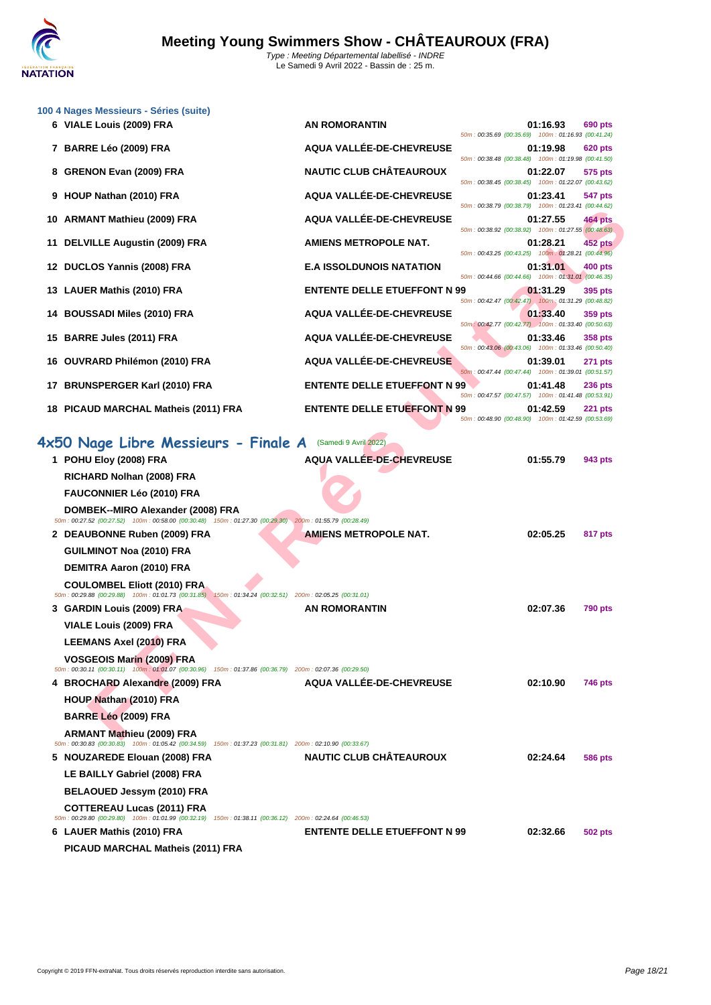

|    | 100 4 Nages Messieurs - Séries (suite)<br>6 VIALE Louis (2009) FRA                                                                                                                                                                             | <b>AN ROMORANTIN</b>                | 01:16.93                                                         | 690 pts        |
|----|------------------------------------------------------------------------------------------------------------------------------------------------------------------------------------------------------------------------------------------------|-------------------------------------|------------------------------------------------------------------|----------------|
|    | 7 BARRE Léo (2009) FRA                                                                                                                                                                                                                         | AQUA VALLÉE-DE-CHEVREUSE            | 50m: 00:35.69 (00:35.69) 100m: 01:16.93 (00:41.24)<br>01:19.98   | 620 pts        |
|    | 8 GRENON Evan (2009) FRA                                                                                                                                                                                                                       | <b>NAUTIC CLUB CHÂTEAUROUX</b>      | 50m: 00:38.48 (00:38.48) 100m: 01:19.98 (00:41.50)<br>01:22.07   | 575 pts        |
|    | 9 HOUP Nathan (2010) FRA                                                                                                                                                                                                                       | AQUA VALLÉE-DE-CHEVREUSE            | 50m: 00:38.45 (00:38.45) 100m: 01:22.07 (00:43.62)<br>01:23.41   | 547 pts        |
|    | 10 ARMANT Mathieu (2009) FRA                                                                                                                                                                                                                   | AQUA VALLÉE-DE-CHEVREUSE            | 50m: 00:38.79 (00:38.79) 100m: 01:23.41 (00:44.62)<br>01:27.55   | 464 pts        |
| 11 | <b>DELVILLE Augustin (2009) FRA</b>                                                                                                                                                                                                            | <b>AMIENS METROPOLE NAT.</b>        | 50m : 00:38.92 (00:38.92) 100m : 01:27.55 (00:48.63)<br>01:28.21 | <b>452 pts</b> |
| 12 | DUCLOS Yannis (2008) FRA                                                                                                                                                                                                                       | <b>E.A ISSOLDUNOIS NATATION</b>     | 50m: 00:43.25 (00:43.25) 100m: 01:28.21 (00:44.96)<br>01:31.01   | 400 pts        |
|    | 13 LAUER Mathis (2010) FRA                                                                                                                                                                                                                     | <b>ENTENTE DELLE ETUEFFONT N 99</b> | 50m: 00:44.66 (00:44.66) 100m: 01:31.01 (00:46.35)<br>01:31.29   | 395 pts        |
|    | 14 BOUSSADI Miles (2010) FRA                                                                                                                                                                                                                   | AQUA VALLÉE-DE-CHEVREUSE            | 50m: 00:42.47 (00:42.47) 100m: 01:31.29 (00:48.82)<br>01:33.40   | 359 pts        |
|    | 15 BARRE Jules (2011) FRA                                                                                                                                                                                                                      | AQUA VALLÉE-DE-CHEVREUSE            | 50m: 00:42.77 (00:42.77) 100m: 01:33.40 (00:50.63)<br>01:33.46   | 358 pts        |
|    | 16 OUVRARD Philémon (2010) FRA                                                                                                                                                                                                                 | AQUA VALLÉE-DE-CHEVREUSE            | 50m: 00:43.06 (00:43.06) 100m: 01:33.46 (00:50.40)<br>01:39.01   | 271 pts        |
|    |                                                                                                                                                                                                                                                |                                     | 50m: 00:47.44 (00:47.44) 100m: 01:39.01 (00:51.57)               |                |
|    | 17 BRUNSPERGER Karl (2010) FRA                                                                                                                                                                                                                 | <b>ENTENTE DELLE ETUEFFONT N 99</b> | 01:41.48<br>50m: 00:47.57 (00:47.57) 100m: 01:41.48 (00:53.91)   | 236 pts        |
|    | 18 PICAUD MARCHAL Matheis (2011) FRA                                                                                                                                                                                                           | <b>ENTENTE DELLE ETUEFFONT N 99</b> | 01:42.59<br>50m : 00:48.90 (00:48.90) 100m : 01:42.59 (00:53.69) | <b>221 pts</b> |
|    | 4x50 Nage Libre Messieurs - Finale A (Samedi 9 Avril 2022)<br>1 POHU Eloy (2008) FRA<br>RICHARD Nolhan (2008) FRA<br><b>FAUCONNIER Léo (2010) FRA</b>                                                                                          | <b>AQUA VALLEE-DE-CHEVREUSE</b>     | 01:55.79                                                         | 943 pts        |
|    | DOMBEK--MIRO Alexander (2008) FRA<br>50m : 00:27.52 (00:27.52) 100m : 00:58.00 (00:30.48) 150m : 01:27.30 (00:29.30) 200m : 01:55.79 (00:28.49)<br>2 DEAUBONNE Ruben (2009) FRA<br><b>GUILMINOT Noa (2010) FRA</b><br>DEMITRA Aaron (2010) FRA | <b>AMIENS METROPOLE NAT.</b>        | 02:05.25                                                         | 817 pts        |
|    | <b>COULOMBEL Eliott (2010) FRA</b><br>50m: 00:29.88 (00:29.88) 100m: 01:01.73 (00:31.85) 150m: 01:34.24 (00:32.51) 200m: 02:05.25 (00:31.01)<br>3 GARDIN Louis (2009) FRA<br>VIALE Louis (2009) FRA<br><b>LEEMANS Axel (2010) FRA</b>          | <b>AN ROMORANTIN</b>                | 02:07.36                                                         | <b>790 pts</b> |
|    | <b>VOSGEOIS Marin (2009) FRA</b><br>50m: 00:30.11 (00:30.11) 100m: 01:01.07 (00:30.96) 150m: 01:37.86 (00:36.79) 200m: 02:07.36 (00:29.50)<br>4 BROCHARD Alexandre (2009) FRA<br>HOUP Nathan (2010) FRA                                        | AQUA VALLÉE-DE-CHEVREUSE            | 02:10.90                                                         | 746 pts        |
|    | BARRE Léo (2009) FRA<br><b>ARMANT Mathieu (2009) FRA</b><br>50m : 00:30.83 (00:30.83) 100m : 01:05.42 (00:34.59) 150m : 01:37.23 (00:31.81) 200m : 02:10.90 (00:33.67)                                                                         |                                     |                                                                  |                |
|    | 5 NOUZAREDE Elouan (2008) FRA<br>LE BAILLY Gabriel (2008) FRA<br>BELAOUED Jessym (2010) FRA                                                                                                                                                    | <b>NAUTIC CLUB CHÂTEAUROUX</b>      | 02:24.64                                                         | 586 pts        |
|    | <b>COTTEREAU Lucas (2011) FRA</b><br>50m : 00:29.80 (00:29.80) 100m : 01:01.99 (00:32.19) 150m : 01:38.11 (00:36.12) 200m : 02:24.64 (00:46.53)<br>6 LAUER Mathis (2010) FRA<br>PICAUD MARCHAL Matheis (2011) FRA                              | <b>ENTENTE DELLE ETUEFFONT N 99</b> | 02:32.66                                                         | 502 pts        |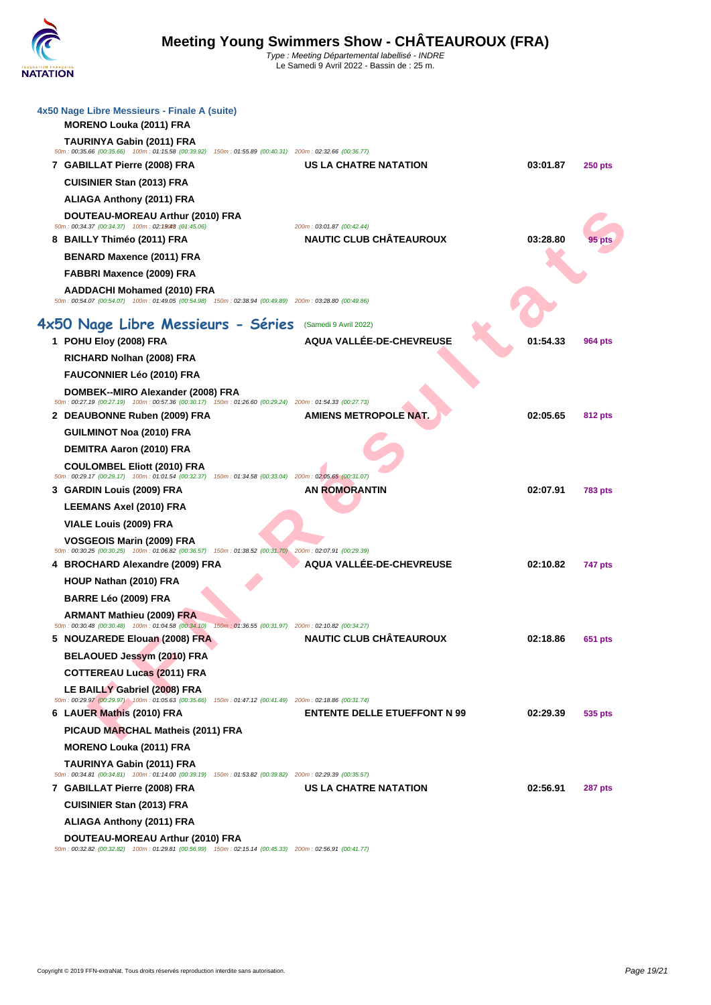| 4x50 Nage Libre Messieurs - Finale A (suite)<br><b>MORENO Louka (2011) FRA</b>                                                                 |                                                             |          |                |
|------------------------------------------------------------------------------------------------------------------------------------------------|-------------------------------------------------------------|----------|----------------|
| TAURINYA Gabin (2011) FRA<br>50m: 00:35.66 (00:35.66) 100m: 01:15.58 (00:39.92) 150m: 01:55.89 (00:40.31) 200m: 02:32.66 (00:36.77)            |                                                             |          |                |
| 7 GABILLAT Pierre (2008) FRA                                                                                                                   | <b>US LA CHATRE NATATION</b>                                | 03:01.87 | <b>250 pts</b> |
| <b>CUISINIER Stan (2013) FRA</b>                                                                                                               |                                                             |          |                |
| <b>ALIAGA Anthony (2011) FRA</b>                                                                                                               |                                                             |          |                |
| DOUTEAU-MOREAU Arthur (2010) FRA                                                                                                               |                                                             |          |                |
| 50m: 00:34.37 (00:34.37) 100m: 02:19048 : (04:45.06)                                                                                           | 200m: 03:01.87 (00:42.44)<br><b>NAUTIC CLUB CHÂTEAUROUX</b> | 03:28.80 |                |
| 8 BAILLY Thiméo (2011) FRA<br><b>BENARD Maxence (2011) FRA</b>                                                                                 |                                                             |          |                |
| FABBRI Maxence (2009) FRA                                                                                                                      |                                                             |          |                |
| <b>AADDACHI Mohamed (2010) FRA</b>                                                                                                             |                                                             |          |                |
| 50m : 00:54.07 (00:54.07) 100m : 01:49.05 (00:54.98) 150m : 02:38.94 (00:49.89) 200m : 03:28.80 (00:49.86)                                     |                                                             |          |                |
| 4x50 Nage Libre Messieurs - Séries                                                                                                             | (Samedi 9 Avril 2022)                                       |          |                |
| 1 POHU Eloy (2008) FRA                                                                                                                         | AQUA VALLÉE-DE-CHEVREUSE                                    | 01:54.33 | 964 pts        |
| RICHARD Nolhan (2008) FRA                                                                                                                      |                                                             |          |                |
| FAUCONNIER Léo (2010) FRA                                                                                                                      |                                                             |          |                |
| DOMBEK--MIRO Alexander (2008) FRA<br>50m: 00:27.19 (00:27.19) 100m: 00:57.36 (00:30.17) 150m: 01:26.60 (00:29.24) 200m: 01:54.33 (00:27.73)    |                                                             |          |                |
| 2 DEAUBONNE Ruben (2009) FRA                                                                                                                   | <b>AMIENS METROPOLE NAT.</b>                                | 02:05.65 | 812 pts        |
| <b>GUILMINOT Noa (2010) FRA</b>                                                                                                                |                                                             |          |                |
| DEMITRA Aaron (2010) FRA                                                                                                                       |                                                             |          |                |
| <b>COULOMBEL Eliott (2010) FRA</b>                                                                                                             |                                                             |          |                |
| 50m : 00:29.17 (00:29.17) 100m : 01:01.54 (00:32.37) 150m : 01:34.58 (00:33.04) 200m : 02:05.65 (00:31.07)<br>3 GARDIN Louis (2009) FRA        | <b>AN ROMORANTIN</b>                                        | 02:07.91 | <b>783 pts</b> |
| LEEMANS Axel (2010) FRA                                                                                                                        |                                                             |          |                |
| VIALE Louis (2009) FRA                                                                                                                         |                                                             |          |                |
| VOSGEOIS Marin (2009) FRA                                                                                                                      |                                                             |          |                |
| 50m: 00:30.25 (00:30.25) 100m: 01:06.82 (00:36.57) 150m: 01:38.52 (00:31.70) 200m: 02:07.91 (00:29.39)                                         |                                                             |          |                |
| 4 BROCHARD Alexandre (2009) FRA                                                                                                                | <b>AQUA VALLÉE-DE-CHEVREUSE</b>                             | 02:10.82 | 747 pts        |
| HOUP Nathan (2010) FRA                                                                                                                         |                                                             |          |                |
| BARRE Léo (2009) FRA                                                                                                                           |                                                             |          |                |
| <b>ARMANT Mathieu (2009) FRA</b><br>50m : 00:30.48 (00:30.48) 100m : 01:04.58 (00:34.10) 150m : 01:36.55 (00:31.97) 200m : 02:10.82 (00:34.27) |                                                             |          |                |
| 5 NOUZAREDE Elouan (2008) FRA                                                                                                                  | <b>NAUTIC CLUB CHÂTEAUROUX</b>                              | 02:18.86 | 651 pts        |
| BELAOUED Jessym (2010) FRA                                                                                                                     |                                                             |          |                |
| <b>COTTEREAU Lucas (2011) FRA</b>                                                                                                              |                                                             |          |                |
| LE BAILLY Gabriel (2008) FRA                                                                                                                   |                                                             |          |                |
| 50m : 00:29.97 (00:29.97) 100m : 01:05.63 (00:35.66) 150m : 01:47.12 (00:41.49) 200m : 02:18.86 (00:31.74)<br>6 LAUER Mathis (2010) FRA        | <b>ENTENTE DELLE ETUEFFONT N 99</b>                         | 02:29.39 | 535 pts        |
| PICAUD MARCHAL Matheis (2011) FRA                                                                                                              |                                                             |          |                |
| <b>MORENO Louka (2011) FRA</b>                                                                                                                 |                                                             |          |                |
| TAURINYA Gabin (2011) FRA                                                                                                                      |                                                             |          |                |
| 50m : 00:34.81 (00:34.81) 100m : 01:14.00 (00:39.19) 150m : 01:53.82 (00:39.82) 200m : 02:29.39 (00:35.57)                                     |                                                             |          |                |
| 7 GABILLAT Pierre (2008) FRA                                                                                                                   | US LA CHATRE NATATION                                       | 02:56.91 | 287 pts        |
| <b>CUISINIER Stan (2013) FRA</b>                                                                                                               |                                                             |          |                |
| <b>ALIAGA Anthony (2011) FRA</b>                                                                                                               |                                                             |          |                |
| DOUTEAU-MOREAU Arthur (2010) FRA<br>50m : 00:32.82 (00:32.82) 100m : 01:29.81 (00:56.99) 150m : 02:15.14 (00:45.33) 200m : 02:56.91 (00:41.77) |                                                             |          |                |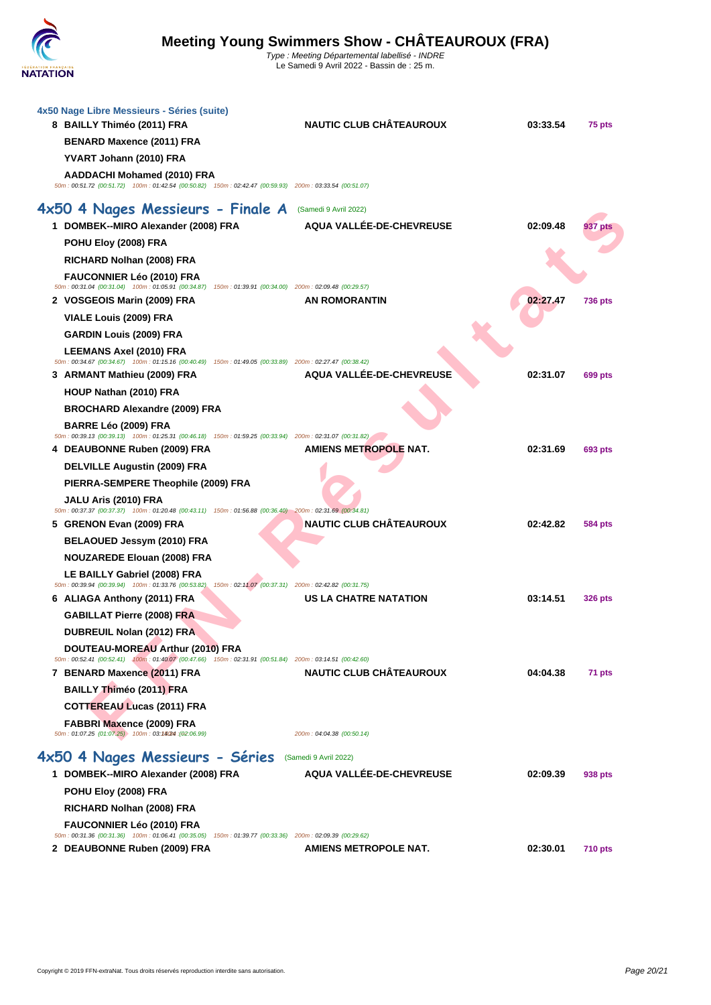

| 4x50 Nage Libre Messieurs - Séries (suite)<br>8 BAILLY Thiméo (2011) FRA                                                                     | <b>NAUTIC CLUB CHÂTEAUROUX</b>  | 03:33.54 | 75 pts         |
|----------------------------------------------------------------------------------------------------------------------------------------------|---------------------------------|----------|----------------|
| BENARD Maxence (2011) FRA                                                                                                                    |                                 |          |                |
| YVART Johann (2010) FRA                                                                                                                      |                                 |          |                |
| <b>AADDACHI Mohamed (2010) FRA</b>                                                                                                           |                                 |          |                |
| 50m : 00:51.72 (00:51.72) 100m : 01:42.54 (00:50.82) 150m : 02:42.47 (00:59.93) 200m : 03:33.54 (00:51.07)                                   |                                 |          |                |
| 4x50 4 Nages Messieurs - Finale A                                                                                                            | (Samedi 9 Avril 2022)           |          |                |
| 1 DOMBEK--MIRO Alexander (2008) FRA                                                                                                          | <b>AQUA VALLÉE-DE-CHEVREUSE</b> | 02:09.48 | 937 pts        |
| POHU Eloy (2008) FRA                                                                                                                         |                                 |          |                |
| RICHARD Nolhan (2008) FRA                                                                                                                    |                                 |          |                |
| <b>FAUCONNIER Léo (2010) FRA</b>                                                                                                             |                                 |          |                |
| 50m: 00:31.04 (00:31.04) 100m: 01:05.91 (00:34.87) 150m: 01:39.91 (00:34.00) 200m: 02:09.48 (00:29.57)                                       | <b>AN ROMORANTIN</b>            | 02:27.47 |                |
| 2 VOSGEOIS Marin (2009) FRA                                                                                                                  |                                 |          | <b>736 pts</b> |
| VIALE Louis (2009) FRA                                                                                                                       |                                 |          |                |
| <b>GARDIN Louis (2009) FRA</b>                                                                                                               |                                 |          |                |
| <b>LEEMANS Axel (2010) FRA</b><br>50m : 00:34.67 (00:34.67) 100m : 01:15.16 (00:40.49) 150m : 01:49.05 (00:33.89) 200m : 02:27.47 (00:38.42) |                                 |          |                |
| 3 ARMANT Mathieu (2009) FRA                                                                                                                  | AQUA VALLÉE-DE-CHEVREUSE        | 02:31.07 | 699 pts        |
| HOUP Nathan (2010) FRA                                                                                                                       |                                 |          |                |
| <b>BROCHARD Alexandre (2009) FRA</b>                                                                                                         |                                 |          |                |
| BARRE Léo (2009) FRA<br>50m : 00:39.13 (00:39.13) 100m : 01:25.31 (00:46.18) 150m : 01:59.25 (00:33.94) 200m : 02:31.07 (00:31.82)           |                                 |          |                |
| 4 DEAUBONNE Ruben (2009) FRA                                                                                                                 | <b>AMIENS METROPOLE NAT.</b>    | 02:31.69 | 693 pts        |
| <b>DELVILLE Augustin (2009) FRA</b>                                                                                                          |                                 |          |                |
| PIERRA-SEMPERE Theophile (2009) FRA                                                                                                          |                                 |          |                |
| JALU Aris (2010) FRA                                                                                                                         |                                 |          |                |
| 50m : 00:37.37 (00:37.37) 100m : 01:20.48 (00:43.11) 150m : 01:56.88 (00:36.40) 200m : 02:31.69 (00:34.81)<br>5 GRENON Evan (2009) FRA       | <b>NAUTIC CLUB CHÂTEAUROUX</b>  | 02:42.82 | 584 pts        |
| BELAOUED Jessym (2010) FRA                                                                                                                   |                                 |          |                |
| <b>NOUZAREDE Elouan (2008) FRA</b>                                                                                                           |                                 |          |                |
| LE BAILLY Gabriel (2008) FRA                                                                                                                 |                                 |          |                |
| 50m : 00:39.94 (00:39.94) 100m : 01:33.76 (00:53.82) 150m : 02:11.07 (00:37.31) 200m : 02:42.82 (00:31.75)                                   |                                 |          |                |
| 6 ALIAGA Anthony (2011) FRA                                                                                                                  | US LA CHATRE NATATION           | 03:14.51 | <b>326 pts</b> |
| <b>GABILLAT Pierre (2008) FRA</b>                                                                                                            |                                 |          |                |
| DUBREUIL Nolan (2012) FRA                                                                                                                    |                                 |          |                |
| DOUTEAU-MOREAU Arthur (2010) FRA<br>50m: 00:52.41 (00:52.41) 100m: 01:40.07 (00:47.66) 150m: 02:31.91 (00:51.84) 200m: 03:14.51 (00:42.60)   |                                 |          |                |
| 7 BENARD Maxence (2011) FRA                                                                                                                  | <b>NAUTIC CLUB CHÂTEAUROUX</b>  | 04:04.38 | 71 pts         |
| <b>BAILLY Thiméo (2011) FRA</b>                                                                                                              |                                 |          |                |
| <b>COTTEREAU Lucas (2011) FRA</b>                                                                                                            |                                 |          |                |
| FABBRI Maxence (2009) FRA                                                                                                                    |                                 |          |                |
| 50m: 01:07.25 (01:07.25) 100m: 03:14024 :(02:06.99)                                                                                          | 200m: 04:04.38 (00:50.14)       |          |                |
| 4x50 4 Nages Messieurs - Séries                                                                                                              | (Samedi 9 Avril 2022)           |          |                |
| 1 DOMBEK--MIRO Alexander (2008) FRA                                                                                                          | <b>AQUA VALLÉE-DE-CHEVREUSE</b> | 02:09.39 | 938 pts        |
| POHU Eloy (2008) FRA                                                                                                                         |                                 |          |                |
| RICHARD Nolhan (2008) FRA                                                                                                                    |                                 |          |                |
| FAUCONNIER Léo (2010) FRA<br>50m: 00:31.36 (00:31.36) 100m: 01:06.41 (00:35.05) 150m: 01:39.77 (00:33.36) 200m: 02:09.39 (00:29.62)          |                                 |          |                |
| 2 DEAUBONNE Ruben (2009) FRA                                                                                                                 | <b>AMIENS METROPOLE NAT.</b>    | 02:30.01 | <b>710 pts</b> |